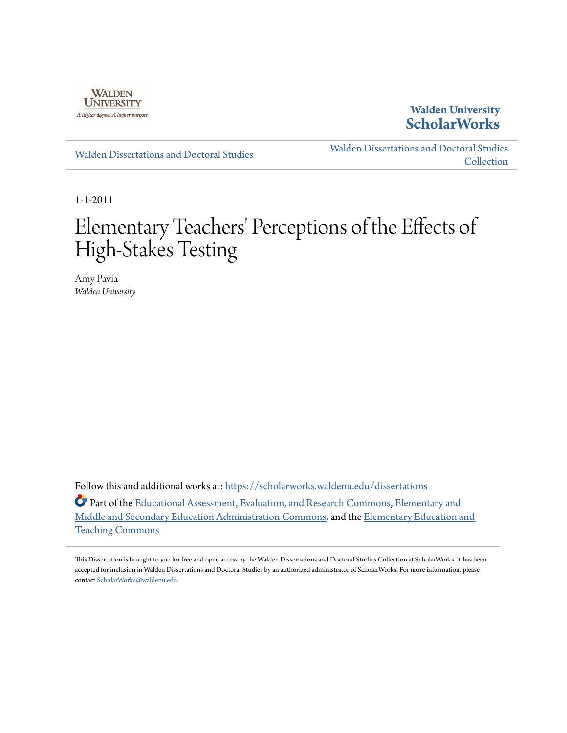

**Walden University [ScholarWorks](https://scholarworks.waldenu.edu?utm_source=scholarworks.waldenu.edu%2Fdissertations%2F1003&utm_medium=PDF&utm_campaign=PDFCoverPages)**

[Walden Dissertations and Doctoral Studies](https://scholarworks.waldenu.edu/dissertations?utm_source=scholarworks.waldenu.edu%2Fdissertations%2F1003&utm_medium=PDF&utm_campaign=PDFCoverPages)

[Walden Dissertations and Doctoral Studies](https://scholarworks.waldenu.edu/dissanddoc?utm_source=scholarworks.waldenu.edu%2Fdissertations%2F1003&utm_medium=PDF&utm_campaign=PDFCoverPages) **[Collection](https://scholarworks.waldenu.edu/dissanddoc?utm_source=scholarworks.waldenu.edu%2Fdissertations%2F1003&utm_medium=PDF&utm_campaign=PDFCoverPages)** 

1-1-2011

# Elementary Teachers' Perceptions of the Effects of High-Stakes Testing

Amy Pavia *Walden University*

Follow this and additional works at: [https://scholarworks.waldenu.edu/dissertations](https://scholarworks.waldenu.edu/dissertations?utm_source=scholarworks.waldenu.edu%2Fdissertations%2F1003&utm_medium=PDF&utm_campaign=PDFCoverPages)

Part of the [Educational Assessment, Evaluation, and Research Commons,](http://network.bepress.com/hgg/discipline/796?utm_source=scholarworks.waldenu.edu%2Fdissertations%2F1003&utm_medium=PDF&utm_campaign=PDFCoverPages) [Elementary and](http://network.bepress.com/hgg/discipline/790?utm_source=scholarworks.waldenu.edu%2Fdissertations%2F1003&utm_medium=PDF&utm_campaign=PDFCoverPages) [Middle and Secondary Education Administration Commons](http://network.bepress.com/hgg/discipline/790?utm_source=scholarworks.waldenu.edu%2Fdissertations%2F1003&utm_medium=PDF&utm_campaign=PDFCoverPages), and the [Elementary Education and](http://network.bepress.com/hgg/discipline/805?utm_source=scholarworks.waldenu.edu%2Fdissertations%2F1003&utm_medium=PDF&utm_campaign=PDFCoverPages) [Teaching Commons](http://network.bepress.com/hgg/discipline/805?utm_source=scholarworks.waldenu.edu%2Fdissertations%2F1003&utm_medium=PDF&utm_campaign=PDFCoverPages)

This Dissertation is brought to you for free and open access by the Walden Dissertations and Doctoral Studies Collection at ScholarWorks. It has been accepted for inclusion in Walden Dissertations and Doctoral Studies by an authorized administrator of ScholarWorks. For more information, please contact [ScholarWorks@waldenu.edu](mailto:ScholarWorks@waldenu.edu).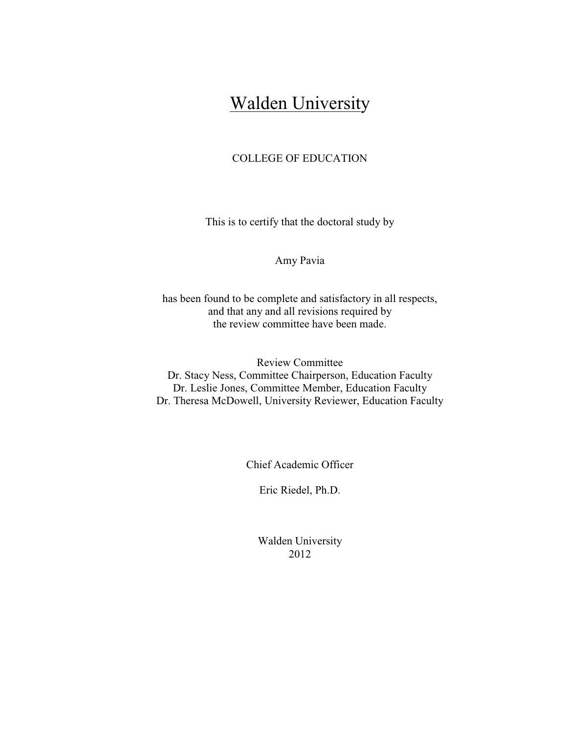## **Walden University**

## COLLEGE OF EDUCATION

This is to certify that the doctoral study by

Amy Pavia

has been found to be complete and satisfactory in all respects, and that any and all revisions required by the review committee have been made.

Review Committee Dr. Stacy Ness, Committee Chairperson, Education Faculty Dr. Leslie Jones, Committee Member, Education Faculty Dr. Theresa McDowell, University Reviewer, Education Faculty

Chief Academic Officer

Eric Riedel, Ph.D.

Walden University 2012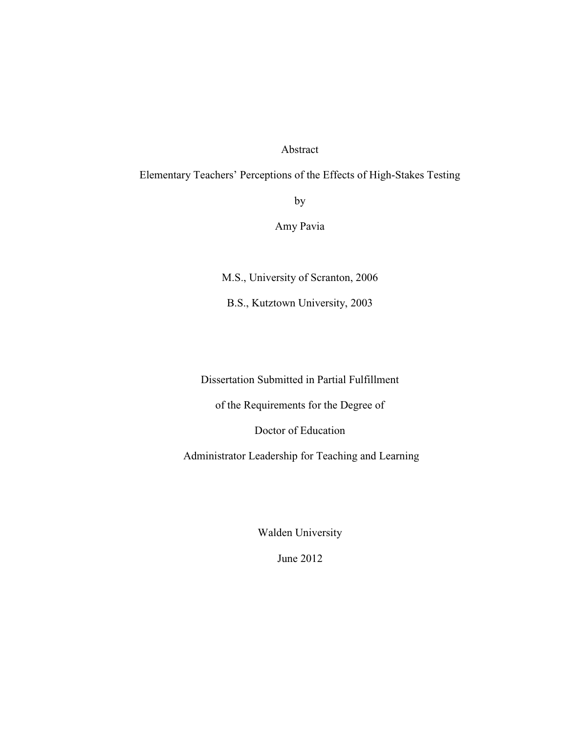### Abstract

## Elementary Teachers' Perceptions of the Effects of High-Stakes Testing

by

Amy Pavia

M.S., University of Scranton, 2006

B.S., Kutztown University, 2003

Dissertation Submitted in Partial Fulfillment

of the Requirements for the Degree of

Doctor of Education

Administrator Leadership for Teaching and Learning

Walden University

June 2012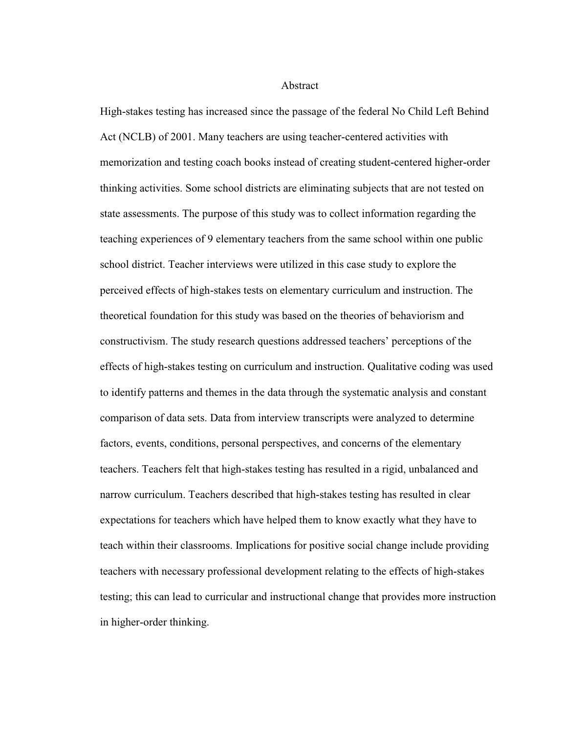#### Abstract

High-stakes testing has increased since the passage of the federal No Child Left Behind Act (NCLB) of 2001. Many teachers are using teacher-centered activities with memorization and testing coach books instead of creating student-centered higher-order thinking activities. Some school districts are eliminating subjects that are not tested on state assessments. The purpose of this study was to collect information regarding the teaching experiences of 9 elementary teachers from the same school within one public school district. Teacher interviews were utilized in this case study to explore the perceived effects of high-stakes tests on elementary curriculum and instruction. The theoretical foundation for this study was based on the theories of behaviorism and constructivism. The study research questions addressed teachers' perceptions of the effects of high-stakes testing on curriculum and instruction. Qualitative coding was used to identify patterns and themes in the data through the systematic analysis and constant comparison of data sets. Data from interview transcripts were analyzed to determine factors, events, conditions, personal perspectives, and concerns of the elementary teachers. Teachers felt that high-stakes testing has resulted in a rigid, unbalanced and narrow curriculum. Teachers described that high-stakes testing has resulted in clear expectations for teachers which have helped them to know exactly what they have to teach within their classrooms. Implications for positive social change include providing teachers with necessary professional development relating to the effects of high-stakes testing; this can lead to curricular and instructional change that provides more instruction in higher-order thinking.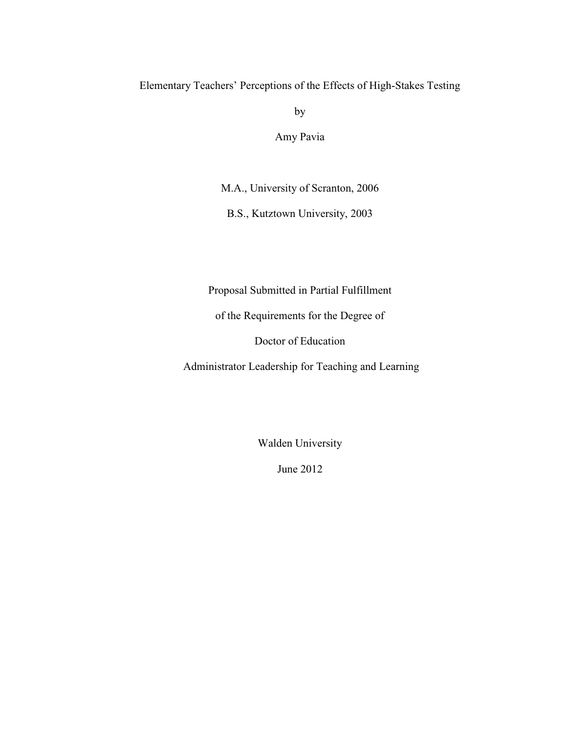## Elementary Teachers' Perceptions of the Effects of High-Stakes Testing

by

Amy Pavia

M.A., University of Scranton, 2006

B.S., Kutztown University, 2003

Proposal Submitted in Partial Fulfillment

of the Requirements for the Degree of

Doctor of Education

Administrator Leadership for Teaching and Learning

Walden University

June 2012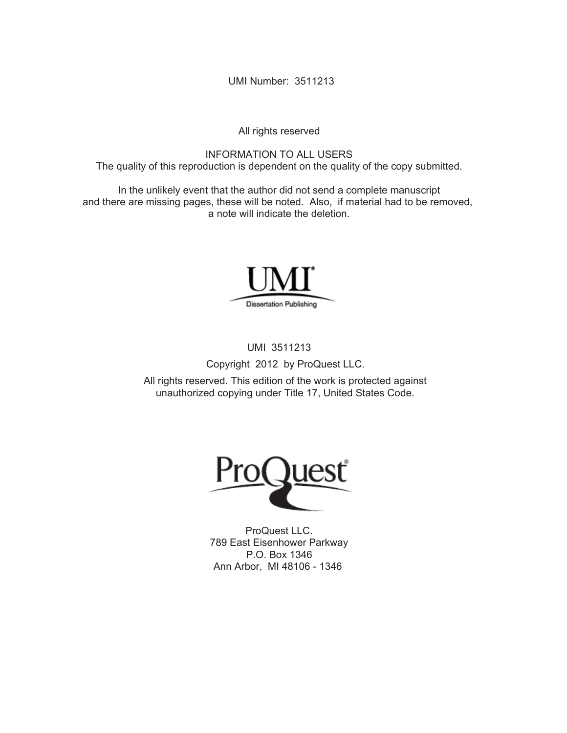UMI Number: 3511213

All rights reserved

INFORMATION TO ALL USERS The quality of this reproduction is dependent on the quality of the copy submitted.

In the unlikely event that the author did not send a complete manuscript and there are missing pages, these will be noted. Also, if material had to be removed, a note will indicate the deletion.



UMI 3511213

Copyright 2012 by ProQuest LLC.

All rights reserved. This edition of the work is protected against unauthorized copying under Title 17, United States Code.



ProQuest LLC. 789 East Eisenhower Parkway P.O. Box 1346 Ann Arbor, MI 48106 - 1346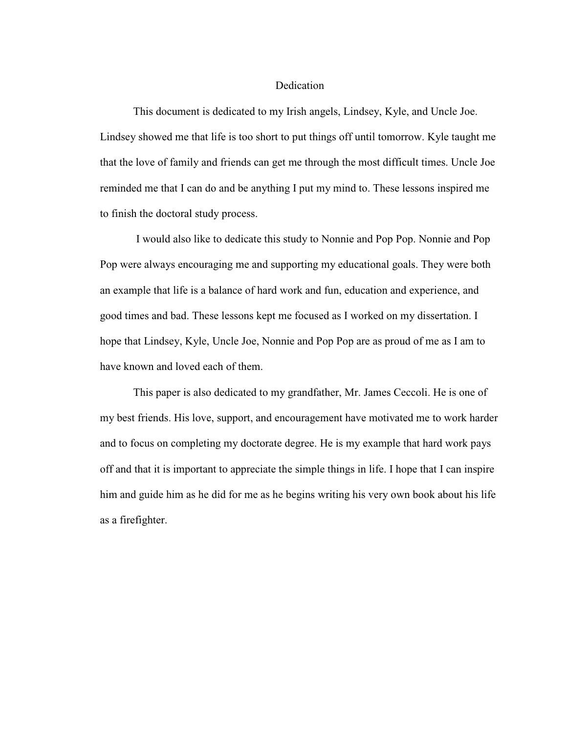#### Dedication

 This document is dedicated to my Irish angels, Lindsey, Kyle, and Uncle Joe. Lindsey showed me that life is too short to put things off until tomorrow. Kyle taught me that the love of family and friends can get me through the most difficult times. Uncle Joe reminded me that I can do and be anything I put my mind to. These lessons inspired me to finish the doctoral study process.

 I would also like to dedicate this study to Nonnie and Pop Pop. Nonnie and Pop Pop were always encouraging me and supporting my educational goals. They were both an example that life is a balance of hard work and fun, education and experience, and good times and bad. These lessons kept me focused as I worked on my dissertation. I hope that Lindsey, Kyle, Uncle Joe, Nonnie and Pop Pop are as proud of me as I am to have known and loved each of them.

 This paper is also dedicated to my grandfather, Mr. James Ceccoli. He is one of my best friends. His love, support, and encouragement have motivated me to work harder and to focus on completing my doctorate degree. He is my example that hard work pays off and that it is important to appreciate the simple things in life. I hope that I can inspire him and guide him as he did for me as he begins writing his very own book about his life as a firefighter.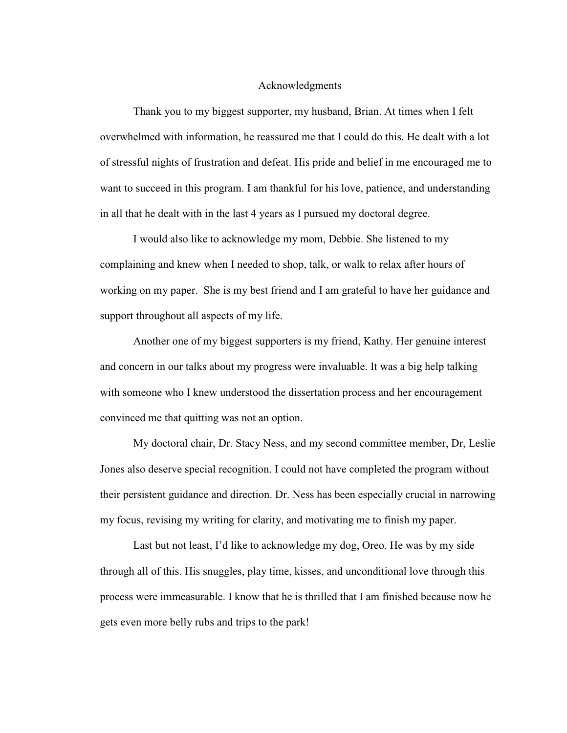#### Acknowledgments

 Thank you to my biggest supporter, my husband, Brian. At times when I felt overwhelmed with information, he reassured me that I could do this. He dealt with a lot of stressful nights of frustration and defeat. His pride and belief in me encouraged me to want to succeed in this program. I am thankful for his love, patience, and understanding in all that he dealt with in the last 4 years as I pursued my doctoral degree.

 I would also like to acknowledge my mom, Debbie. She listened to my complaining and knew when I needed to shop, talk, or walk to relax after hours of working on my paper. She is my best friend and I am grateful to have her guidance and support throughout all aspects of my life.

 Another one of my biggest supporters is my friend, Kathy. Her genuine interest and concern in our talks about my progress were invaluable. It was a big help talking with someone who I knew understood the dissertation process and her encouragement convinced me that quitting was not an option.

 My doctoral chair, Dr. Stacy Ness, and my second committee member, Dr, Leslie Jones also deserve special recognition. I could not have completed the program without their persistent guidance and direction. Dr. Ness has been especially crucial in narrowing my focus, revising my writing for clarity, and motivating me to finish my paper.

 Last but not least, I'd like to acknowledge my dog, Oreo. He was by my side through all of this. His snuggles, play time, kisses, and unconditional love through this process were immeasurable. I know that he is thrilled that I am finished because now he gets even more belly rubs and trips to the park!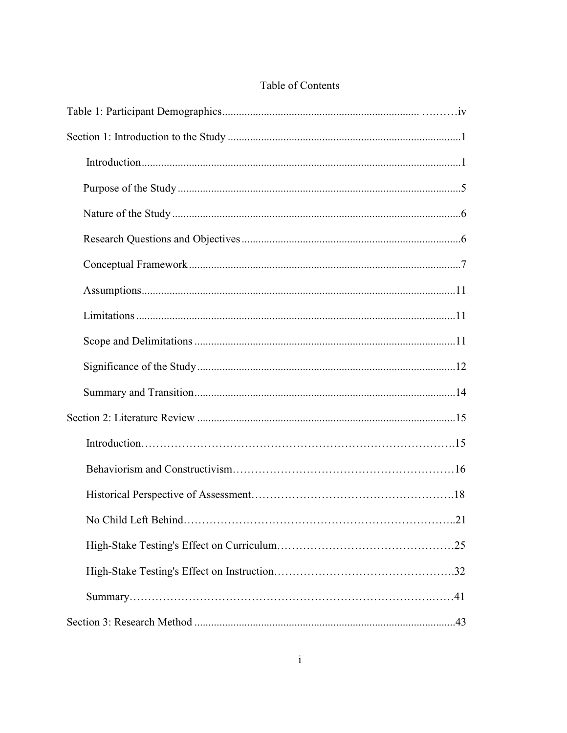## Table of Contents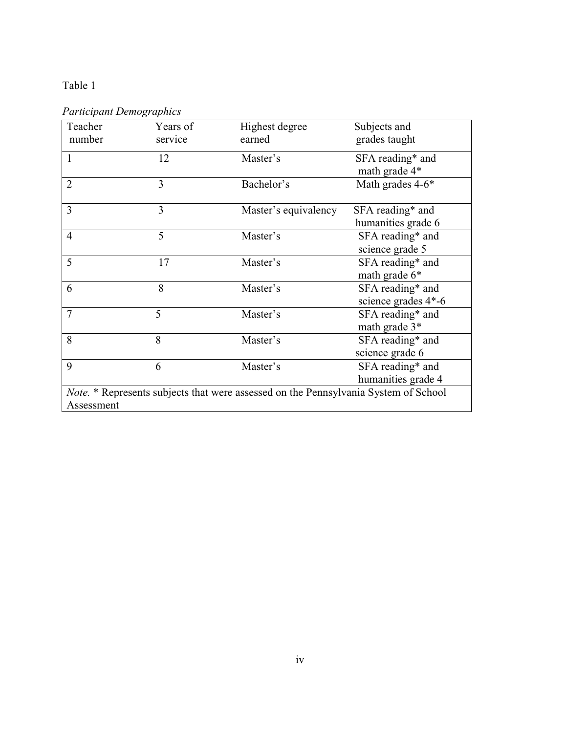## Table 1

*Participant Demographics* 

| Teacher<br>number                                                                                        | Years of<br>service | Highest degree<br>earned | Subjects and<br>grades taught           |  |  |
|----------------------------------------------------------------------------------------------------------|---------------------|--------------------------|-----------------------------------------|--|--|
| 1                                                                                                        | 12                  | Master's                 | SFA reading* and<br>math grade 4*       |  |  |
| $\overline{2}$                                                                                           | 3                   | Bachelor's               | Math grades 4-6*                        |  |  |
| 3                                                                                                        | 3                   | Master's equivalency     | SFA reading* and<br>humanities grade 6  |  |  |
| $\overline{4}$                                                                                           | 5                   | Master's                 | SFA reading* and<br>science grade 5     |  |  |
| 5                                                                                                        | 17                  | Master's                 | SFA reading* and<br>math grade 6*       |  |  |
| 6                                                                                                        | 8                   | Master's                 | SFA reading* and<br>science grades 4*-6 |  |  |
| $\overline{7}$                                                                                           | 5                   | Master's                 | SFA reading* and<br>math grade 3*       |  |  |
| 8                                                                                                        | 8                   | Master's                 | SFA reading* and<br>science grade 6     |  |  |
| 9                                                                                                        | 6                   | Master's                 | SFA reading* and<br>humanities grade 4  |  |  |
| <i>Note.</i> * Represents subjects that were assessed on the Pennsylvania System of School<br>Assessment |                     |                          |                                         |  |  |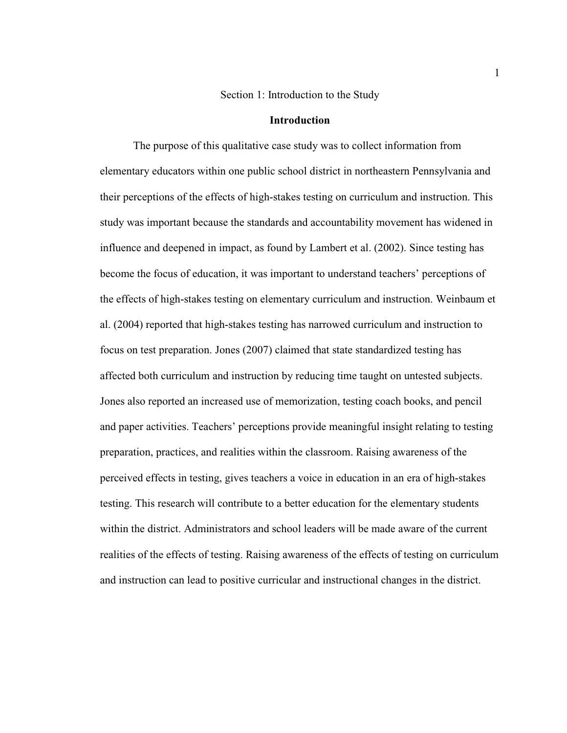#### Section 1: Introduction to the Study

#### **Introduction**

 The purpose of this qualitative case study was to collect information from elementary educators within one public school district in northeastern Pennsylvania and their perceptions of the effects of high-stakes testing on curriculum and instruction. This study was important because the standards and accountability movement has widened in influence and deepened in impact, as found by Lambert et al. (2002). Since testing has become the focus of education, it was important to understand teachers' perceptions of the effects of high-stakes testing on elementary curriculum and instruction. Weinbaum et al. (2004) reported that high-stakes testing has narrowed curriculum and instruction to focus on test preparation. Jones (2007) claimed that state standardized testing has affected both curriculum and instruction by reducing time taught on untested subjects. Jones also reported an increased use of memorization, testing coach books, and pencil and paper activities. Teachers' perceptions provide meaningful insight relating to testing preparation, practices, and realities within the classroom. Raising awareness of the perceived effects in testing, gives teachers a voice in education in an era of high-stakes testing. This research will contribute to a better education for the elementary students within the district. Administrators and school leaders will be made aware of the current realities of the effects of testing. Raising awareness of the effects of testing on curriculum and instruction can lead to positive curricular and instructional changes in the district.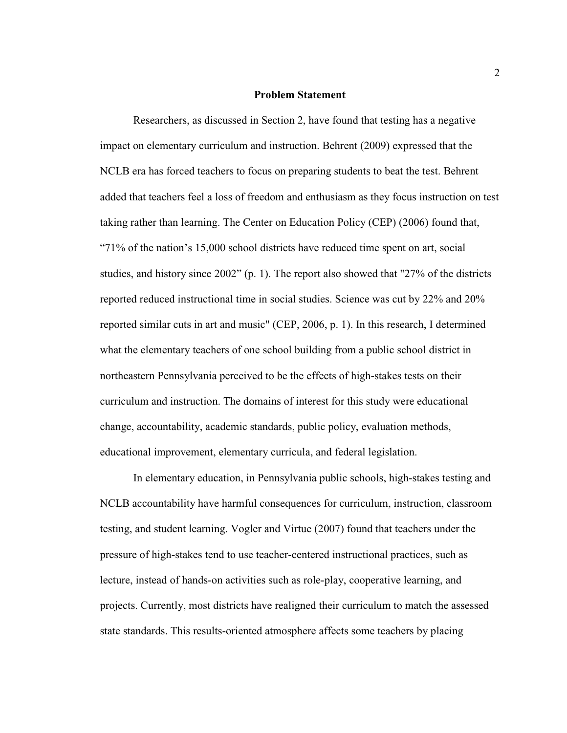#### **Problem Statement**

 Researchers, as discussed in Section 2, have found that testing has a negative impact on elementary curriculum and instruction. Behrent (2009) expressed that the NCLB era has forced teachers to focus on preparing students to beat the test. Behrent added that teachers feel a loss of freedom and enthusiasm as they focus instruction on test taking rather than learning. The Center on Education Policy (CEP) (2006) found that, "71% of the nation's 15,000 school districts have reduced time spent on art, social studies, and history since 2002" (p. 1). The report also showed that "27% of the districts reported reduced instructional time in social studies. Science was cut by 22% and 20% reported similar cuts in art and music" (CEP, 2006, p. 1). In this research, I determined what the elementary teachers of one school building from a public school district in northeastern Pennsylvania perceived to be the effects of high-stakes tests on their curriculum and instruction. The domains of interest for this study were educational change, accountability, academic standards, public policy, evaluation methods, educational improvement, elementary curricula, and federal legislation.

In elementary education, in Pennsylvania public schools, high-stakes testing and NCLB accountability have harmful consequences for curriculum, instruction, classroom testing, and student learning. Vogler and Virtue (2007) found that teachers under the pressure of high-stakes tend to use teacher-centered instructional practices, such as lecture, instead of hands-on activities such as role-play, cooperative learning, and projects. Currently, most districts have realigned their curriculum to match the assessed state standards. This results-oriented atmosphere affects some teachers by placing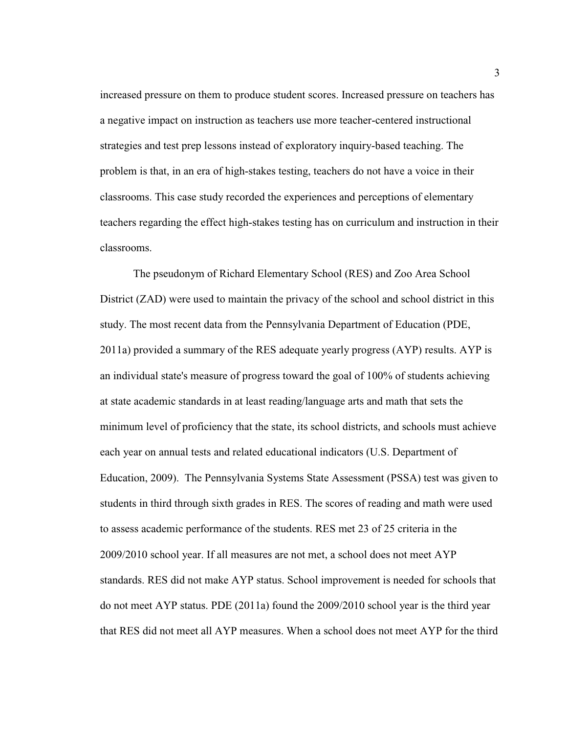increased pressure on them to produce student scores. Increased pressure on teachers has a negative impact on instruction as teachers use more teacher-centered instructional strategies and test prep lessons instead of exploratory inquiry-based teaching. The problem is that, in an era of high-stakes testing, teachers do not have a voice in their classrooms. This case study recorded the experiences and perceptions of elementary teachers regarding the effect high-stakes testing has on curriculum and instruction in their classrooms.

 The pseudonym of Richard Elementary School (RES) and Zoo Area School District (ZAD) were used to maintain the privacy of the school and school district in this study. The most recent data from the Pennsylvania Department of Education (PDE, 2011a) provided a summary of the RES adequate yearly progress (AYP) results. AYP is an individual state's measure of progress toward the goal of 100% of students achieving at state academic standards in at least reading/language arts and math that sets the minimum level of proficiency that the state, its school districts, and schools must achieve each year on annual tests and related educational indicators (U.S. Department of Education, 2009). The Pennsylvania Systems State Assessment (PSSA) test was given to students in third through sixth grades in RES. The scores of reading and math were used to assess academic performance of the students. RES met 23 of 25 criteria in the 2009/2010 school year. If all measures are not met, a school does not meet AYP standards. RES did not make AYP status. School improvement is needed for schools that do not meet AYP status. PDE (2011a) found the 2009/2010 school year is the third year that RES did not meet all AYP measures. When a school does not meet AYP for the third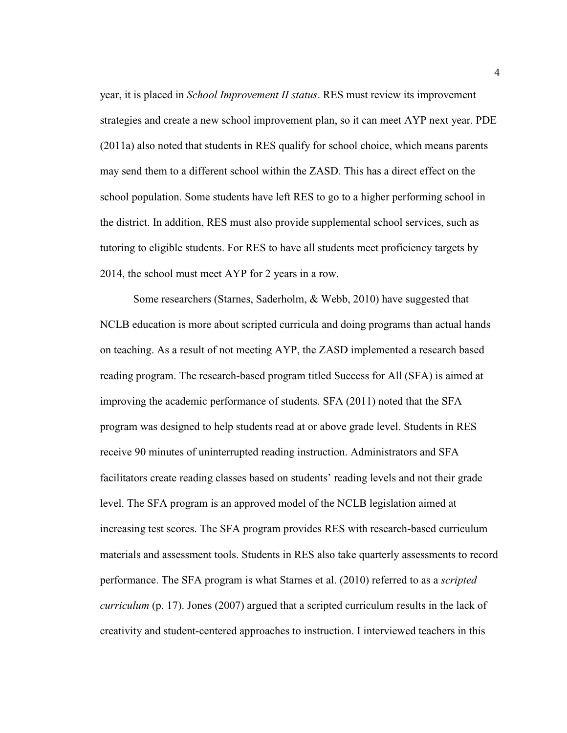year, it is placed in *School Improvement II status*. RES must review its improvement strategies and create a new school improvement plan, so it can meet AYP next year. PDE (2011a) also noted that students in RES qualify for school choice, which means parents may send them to a different school within the ZASD. This has a direct effect on the school population. Some students have left RES to go to a higher performing school in the district. In addition, RES must also provide supplemental school services, such as tutoring to eligible students. For RES to have all students meet proficiency targets by 2014, the school must meet AYP for 2 years in a row.

Some researchers (Starnes, Saderholm, & Webb, 2010) have suggested that NCLB education is more about scripted curricula and doing programs than actual hands on teaching. As a result of not meeting AYP, the ZASD implemented a research based reading program. The research-based program titled Success for All (SFA) is aimed at improving the academic performance of students. SFA (2011) noted that the SFA program was designed to help students read at or above grade level. Students in RES receive 90 minutes of uninterrupted reading instruction. Administrators and SFA facilitators create reading classes based on students' reading levels and not their grade level. The SFA program is an approved model of the NCLB legislation aimed at increasing test scores. The SFA program provides RES with research-based curriculum materials and assessment tools. Students in RES also take quarterly assessments to record performance. The SFA program is what Starnes et al. (2010) referred to as a *scripted curriculum* (p. 17). Jones (2007) argued that a scripted curriculum results in the lack of creativity and student-centered approaches to instruction. I interviewed teachers in this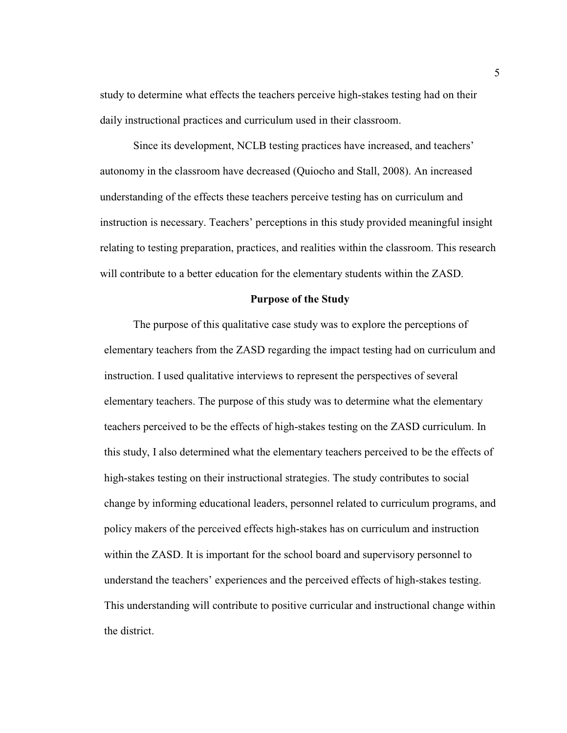study to determine what effects the teachers perceive high-stakes testing had on their daily instructional practices and curriculum used in their classroom.

 Since its development, NCLB testing practices have increased, and teachers' autonomy in the classroom have decreased (Quiocho and Stall, 2008). An increased understanding of the effects these teachers perceive testing has on curriculum and instruction is necessary. Teachers' perceptions in this study provided meaningful insight relating to testing preparation, practices, and realities within the classroom. This research will contribute to a better education for the elementary students within the ZASD.

#### **Purpose of the Study**

The purpose of this qualitative case study was to explore the perceptions of elementary teachers from the ZASD regarding the impact testing had on curriculum and instruction. I used qualitative interviews to represent the perspectives of several elementary teachers. The purpose of this study was to determine what the elementary teachers perceived to be the effects of high-stakes testing on the ZASD curriculum. In this study, I also determined what the elementary teachers perceived to be the effects of high-stakes testing on their instructional strategies. The study contributes to social change by informing educational leaders, personnel related to curriculum programs, and policy makers of the perceived effects high-stakes has on curriculum and instruction within the ZASD. It is important for the school board and supervisory personnel to understand the teachers' experiences and the perceived effects of high-stakes testing. This understanding will contribute to positive curricular and instructional change within the district.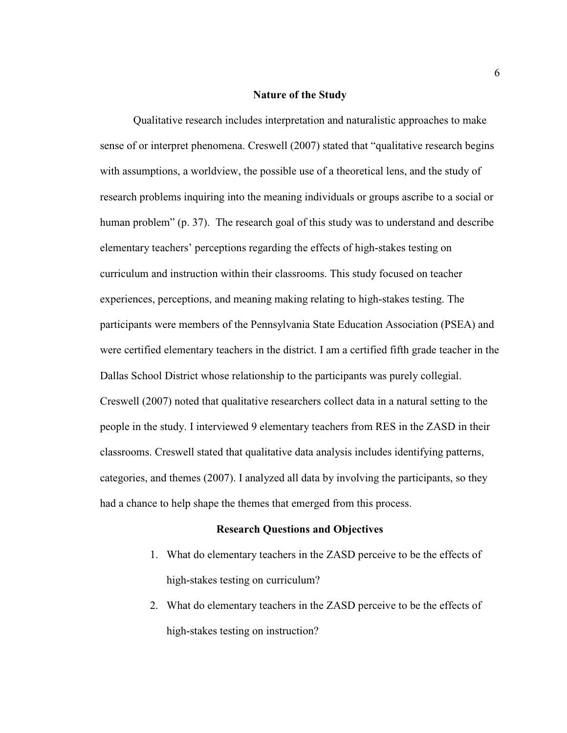#### **Nature of the Study**

 Qualitative research includes interpretation and naturalistic approaches to make sense of or interpret phenomena. Creswell (2007) stated that "qualitative research begins with assumptions, a worldview, the possible use of a theoretical lens, and the study of research problems inquiring into the meaning individuals or groups ascribe to a social or human problem" (p. 37). The research goal of this study was to understand and describe elementary teachers' perceptions regarding the effects of high-stakes testing on curriculum and instruction within their classrooms. This study focused on teacher experiences, perceptions, and meaning making relating to high-stakes testing. The participants were members of the Pennsylvania State Education Association (PSEA) and were certified elementary teachers in the district. I am a certified fifth grade teacher in the Dallas School District whose relationship to the participants was purely collegial. Creswell (2007) noted that qualitative researchers collect data in a natural setting to the people in the study. I interviewed 9 elementary teachers from RES in the ZASD in their classrooms. Creswell stated that qualitative data analysis includes identifying patterns, categories, and themes (2007). I analyzed all data by involving the participants, so they had a chance to help shape the themes that emerged from this process.

#### **Research Questions and Objectives**

- 1. What do elementary teachers in the ZASD perceive to be the effects of high-stakes testing on curriculum?
- 2. What do elementary teachers in the ZASD perceive to be the effects of high-stakes testing on instruction?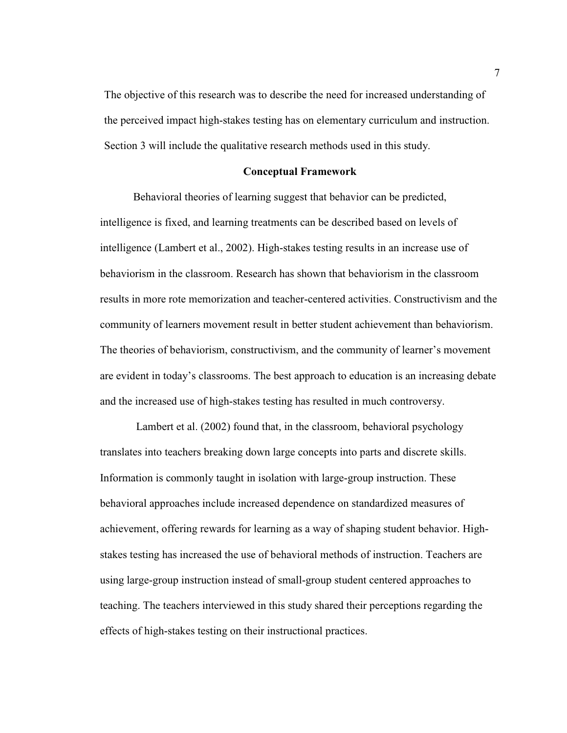The objective of this research was to describe the need for increased understanding of the perceived impact high-stakes testing has on elementary curriculum and instruction. Section 3 will include the qualitative research methods used in this study.

#### **Conceptual Framework**

Behavioral theories of learning suggest that behavior can be predicted, intelligence is fixed, and learning treatments can be described based on levels of intelligence (Lambert et al., 2002). High-stakes testing results in an increase use of behaviorism in the classroom. Research has shown that behaviorism in the classroom results in more rote memorization and teacher-centered activities. Constructivism and the community of learners movement result in better student achievement than behaviorism. The theories of behaviorism, constructivism, and the community of learner's movement are evident in today's classrooms. The best approach to education is an increasing debate and the increased use of high-stakes testing has resulted in much controversy.

 Lambert et al. (2002) found that, in the classroom, behavioral psychology translates into teachers breaking down large concepts into parts and discrete skills. Information is commonly taught in isolation with large-group instruction. These behavioral approaches include increased dependence on standardized measures of achievement, offering rewards for learning as a way of shaping student behavior. Highstakes testing has increased the use of behavioral methods of instruction. Teachers are using large-group instruction instead of small-group student centered approaches to teaching. The teachers interviewed in this study shared their perceptions regarding the effects of high-stakes testing on their instructional practices.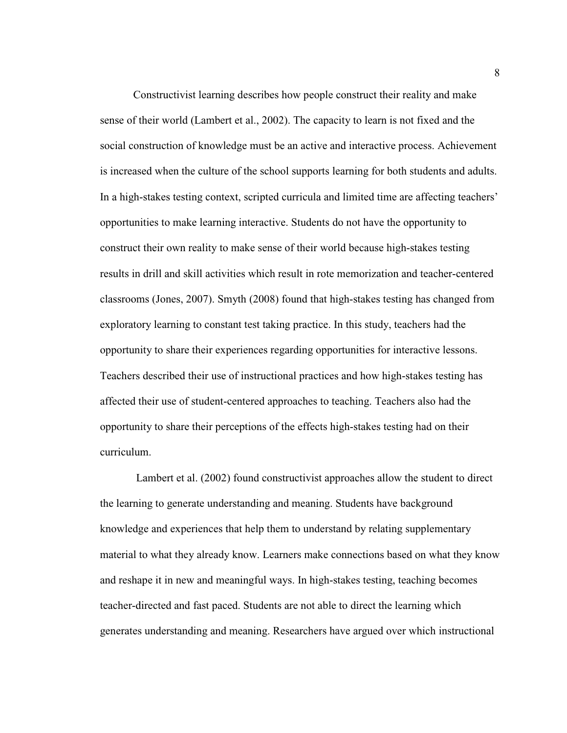Constructivist learning describes how people construct their reality and make sense of their world (Lambert et al., 2002). The capacity to learn is not fixed and the social construction of knowledge must be an active and interactive process. Achievement is increased when the culture of the school supports learning for both students and adults. In a high-stakes testing context, scripted curricula and limited time are affecting teachers' opportunities to make learning interactive. Students do not have the opportunity to construct their own reality to make sense of their world because high-stakes testing results in drill and skill activities which result in rote memorization and teacher-centered classrooms (Jones, 2007). Smyth (2008) found that high-stakes testing has changed from exploratory learning to constant test taking practice. In this study, teachers had the opportunity to share their experiences regarding opportunities for interactive lessons. Teachers described their use of instructional practices and how high-stakes testing has affected their use of student-centered approaches to teaching. Teachers also had the opportunity to share their perceptions of the effects high-stakes testing had on their curriculum.

 Lambert et al. (2002) found constructivist approaches allow the student to direct the learning to generate understanding and meaning. Students have background knowledge and experiences that help them to understand by relating supplementary material to what they already know. Learners make connections based on what they know and reshape it in new and meaningful ways. In high-stakes testing, teaching becomes teacher-directed and fast paced. Students are not able to direct the learning which generates understanding and meaning. Researchers have argued over which instructional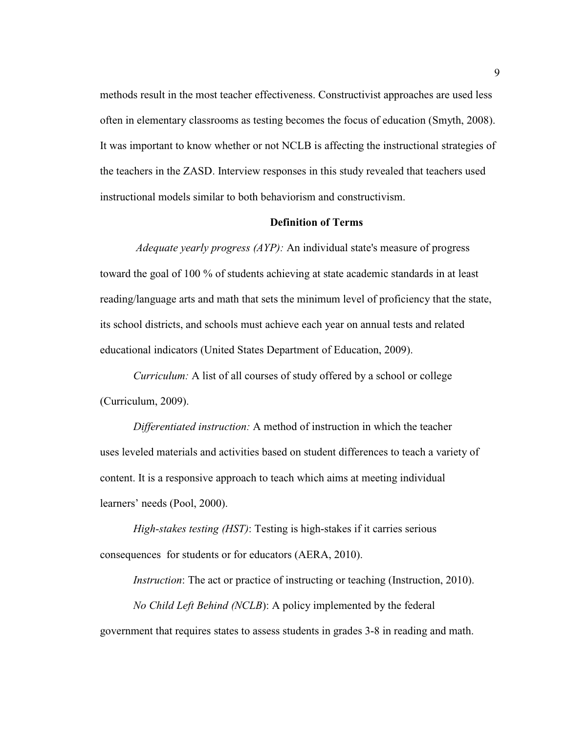methods result in the most teacher effectiveness. Constructivist approaches are used less often in elementary classrooms as testing becomes the focus of education (Smyth, 2008). It was important to know whether or not NCLB is affecting the instructional strategies of the teachers in the ZASD. Interview responses in this study revealed that teachers used instructional models similar to both behaviorism and constructivism.

#### **Definition of Terms**

 *Adequate yearly progress (AYP):* An individual state's measure of progress toward the goal of 100 % of students achieving at state academic standards in at least reading/language arts and math that sets the minimum level of proficiency that the state, its school districts, and schools must achieve each year on annual tests and related educational indicators (United States Department of Education, 2009).

*Curriculum:* A list of all courses of study offered by a school or college (Curriculum, 2009).

*Differentiated instruction:* A method of instruction in which the teacher uses leveled materials and activities based on student differences to teach a variety of content. It is a responsive approach to teach which aims at meeting individual learners' needs (Pool, 2000).

*High-stakes testing (HST)*: Testing is high-stakes if it carries serious consequences for students or for educators (AERA, 2010).

*Instruction*: The act or practice of instructing or teaching (Instruction, 2010). *No Child Left Behind (NCLB*): A policy implemented by the federal government that requires states to assess students in grades 3-8 in reading and math.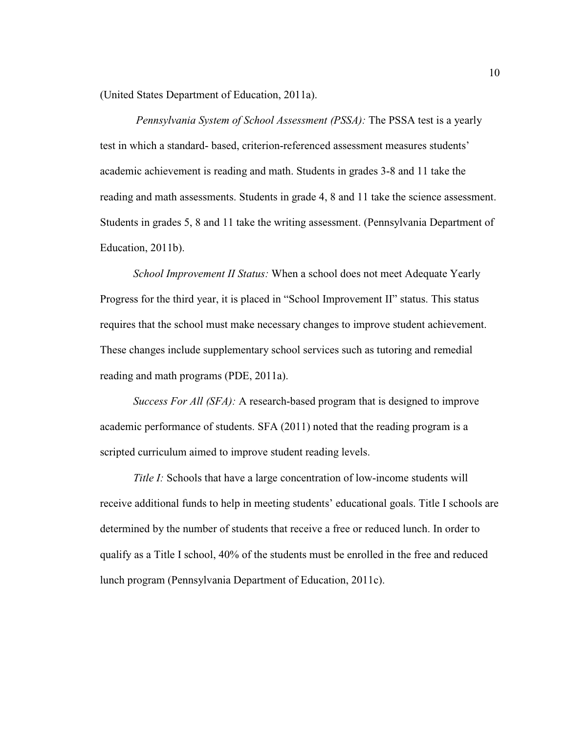(United States Department of Education, 2011a).

 *Pennsylvania System of School Assessment (PSSA):* The PSSA test is a yearly test in which a standard- based, criterion-referenced assessment measures students' academic achievement is reading and math. Students in grades 3-8 and 11 take the reading and math assessments. Students in grade 4, 8 and 11 take the science assessment. Students in grades 5, 8 and 11 take the writing assessment. (Pennsylvania Department of Education, 2011b).

*School Improvement II Status:* When a school does not meet Adequate Yearly Progress for the third year, it is placed in "School Improvement II" status. This status requires that the school must make necessary changes to improve student achievement. These changes include supplementary school services such as tutoring and remedial reading and math programs (PDE, 2011a).

*Success For All (SFA):* A research-based program that is designed to improve academic performance of students. SFA (2011) noted that the reading program is a scripted curriculum aimed to improve student reading levels.

*Title I:* Schools that have a large concentration of low-income students will receive additional funds to help in meeting students' educational goals. Title I schools are determined by the number of students that receive a free or reduced lunch. In order to qualify as a Title I school, 40% of the students must be enrolled in the free and reduced lunch program (Pennsylvania Department of Education, 2011c).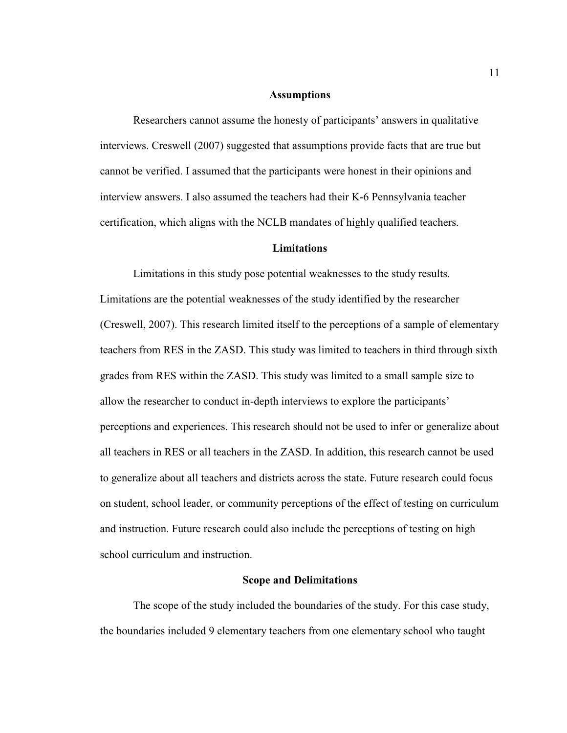#### **Assumptions**

Researchers cannot assume the honesty of participants' answers in qualitative interviews. Creswell (2007) suggested that assumptions provide facts that are true but cannot be verified. I assumed that the participants were honest in their opinions and interview answers. I also assumed the teachers had their K-6 Pennsylvania teacher certification, which aligns with the NCLB mandates of highly qualified teachers.

#### **Limitations**

 Limitations in this study pose potential weaknesses to the study results. Limitations are the potential weaknesses of the study identified by the researcher (Creswell, 2007). This research limited itself to the perceptions of a sample of elementary teachers from RES in the ZASD. This study was limited to teachers in third through sixth grades from RES within the ZASD. This study was limited to a small sample size to allow the researcher to conduct in-depth interviews to explore the participants' perceptions and experiences. This research should not be used to infer or generalize about all teachers in RES or all teachers in the ZASD. In addition, this research cannot be used to generalize about all teachers and districts across the state. Future research could focus on student, school leader, or community perceptions of the effect of testing on curriculum and instruction. Future research could also include the perceptions of testing on high school curriculum and instruction.

#### **Scope and Delimitations**

 The scope of the study included the boundaries of the study. For this case study, the boundaries included 9 elementary teachers from one elementary school who taught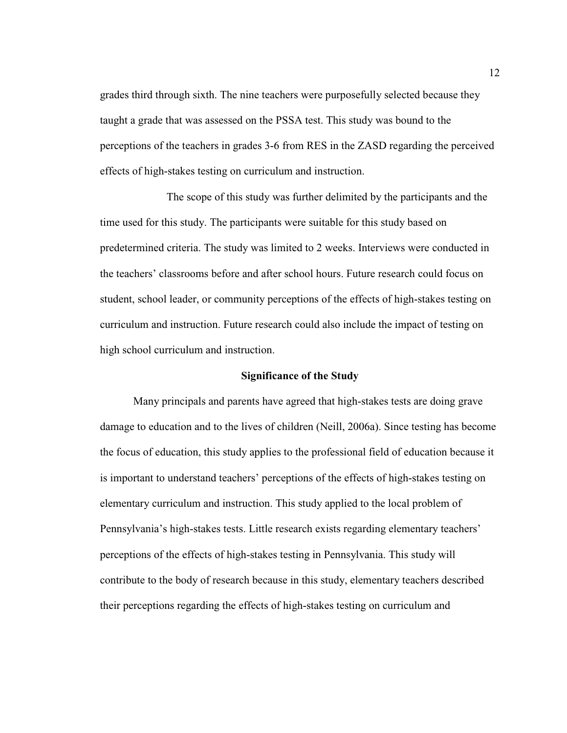grades third through sixth. The nine teachers were purposefully selected because they taught a grade that was assessed on the PSSA test. This study was bound to the perceptions of the teachers in grades 3-6 from RES in the ZASD regarding the perceived effects of high-stakes testing on curriculum and instruction.

 The scope of this study was further delimited by the participants and the time used for this study. The participants were suitable for this study based on predetermined criteria. The study was limited to 2 weeks. Interviews were conducted in the teachers' classrooms before and after school hours. Future research could focus on student, school leader, or community perceptions of the effects of high-stakes testing on curriculum and instruction. Future research could also include the impact of testing on high school curriculum and instruction.

#### **Significance of the Study**

Many principals and parents have agreed that high-stakes tests are doing grave damage to education and to the lives of children (Neill, 2006a). Since testing has become the focus of education, this study applies to the professional field of education because it is important to understand teachers' perceptions of the effects of high-stakes testing on elementary curriculum and instruction. This study applied to the local problem of Pennsylvania's high-stakes tests. Little research exists regarding elementary teachers' perceptions of the effects of high-stakes testing in Pennsylvania. This study will contribute to the body of research because in this study, elementary teachers described their perceptions regarding the effects of high-stakes testing on curriculum and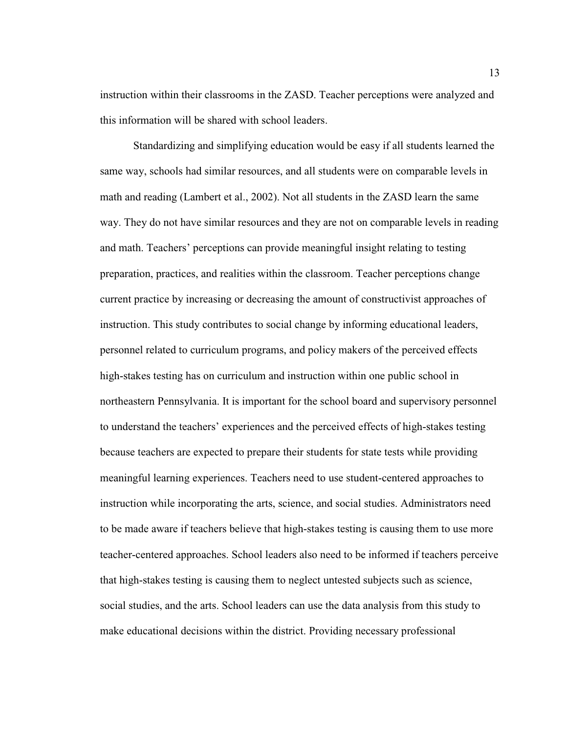instruction within their classrooms in the ZASD. Teacher perceptions were analyzed and this information will be shared with school leaders.

Standardizing and simplifying education would be easy if all students learned the same way, schools had similar resources, and all students were on comparable levels in math and reading (Lambert et al., 2002). Not all students in the ZASD learn the same way. They do not have similar resources and they are not on comparable levels in reading and math. Teachers' perceptions can provide meaningful insight relating to testing preparation, practices, and realities within the classroom. Teacher perceptions change current practice by increasing or decreasing the amount of constructivist approaches of instruction. This study contributes to social change by informing educational leaders, personnel related to curriculum programs, and policy makers of the perceived effects high-stakes testing has on curriculum and instruction within one public school in northeastern Pennsylvania. It is important for the school board and supervisory personnel to understand the teachers' experiences and the perceived effects of high-stakes testing because teachers are expected to prepare their students for state tests while providing meaningful learning experiences. Teachers need to use student-centered approaches to instruction while incorporating the arts, science, and social studies. Administrators need to be made aware if teachers believe that high-stakes testing is causing them to use more teacher-centered approaches. School leaders also need to be informed if teachers perceive that high-stakes testing is causing them to neglect untested subjects such as science, social studies, and the arts. School leaders can use the data analysis from this study to make educational decisions within the district. Providing necessary professional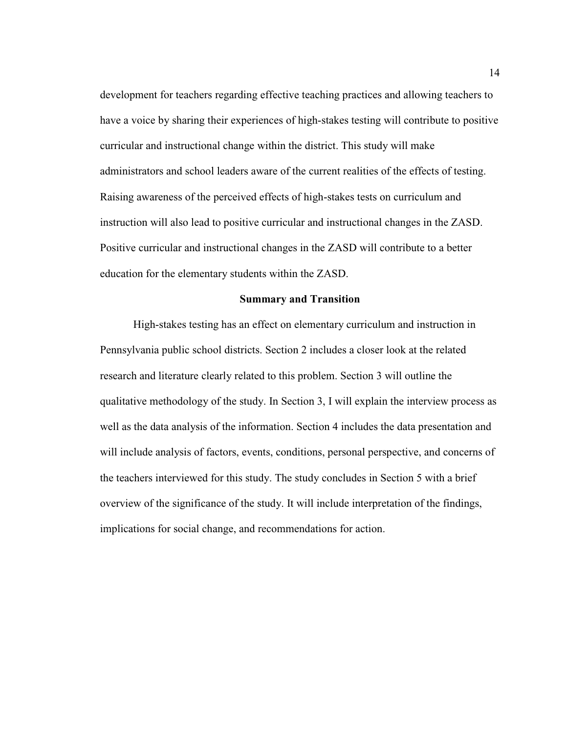development for teachers regarding effective teaching practices and allowing teachers to have a voice by sharing their experiences of high-stakes testing will contribute to positive curricular and instructional change within the district. This study will make administrators and school leaders aware of the current realities of the effects of testing. Raising awareness of the perceived effects of high-stakes tests on curriculum and instruction will also lead to positive curricular and instructional changes in the ZASD. Positive curricular and instructional changes in the ZASD will contribute to a better education for the elementary students within the ZASD.

#### **Summary and Transition**

High-stakes testing has an effect on elementary curriculum and instruction in Pennsylvania public school districts. Section 2 includes a closer look at the related research and literature clearly related to this problem. Section 3 will outline the qualitative methodology of the study. In Section 3, I will explain the interview process as well as the data analysis of the information. Section 4 includes the data presentation and will include analysis of factors, events, conditions, personal perspective, and concerns of the teachers interviewed for this study. The study concludes in Section 5 with a brief overview of the significance of the study. It will include interpretation of the findings, implications for social change, and recommendations for action.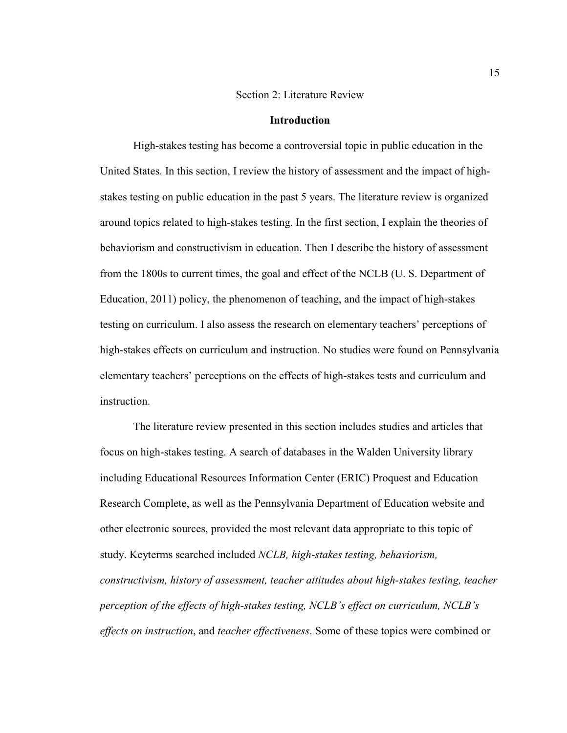#### Section 2: Literature Review

#### **Introduction**

High-stakes testing has become a controversial topic in public education in the United States. In this section, I review the history of assessment and the impact of highstakes testing on public education in the past 5 years. The literature review is organized around topics related to high-stakes testing. In the first section, I explain the theories of behaviorism and constructivism in education. Then I describe the history of assessment from the 1800s to current times, the goal and effect of the NCLB (U. S. Department of Education, 2011) policy, the phenomenon of teaching, and the impact of high-stakes testing on curriculum. I also assess the research on elementary teachers' perceptions of high-stakes effects on curriculum and instruction. No studies were found on Pennsylvania elementary teachers' perceptions on the effects of high-stakes tests and curriculum and instruction.

The literature review presented in this section includes studies and articles that focus on high-stakes testing. A search of databases in the Walden University library including Educational Resources Information Center (ERIC) Proquest and Education Research Complete, as well as the Pennsylvania Department of Education website and other electronic sources, provided the most relevant data appropriate to this topic of study. Keyterms searched included *NCLB, high-stakes testing, behaviorism, constructivism, history of assessment, teacher attitudes about high-stakes testing, teacher perception of the effects of high-stakes testing, NCLB's effect on curriculum, NCLB's effects on instruction*, and *teacher effectiveness*. Some of these topics were combined or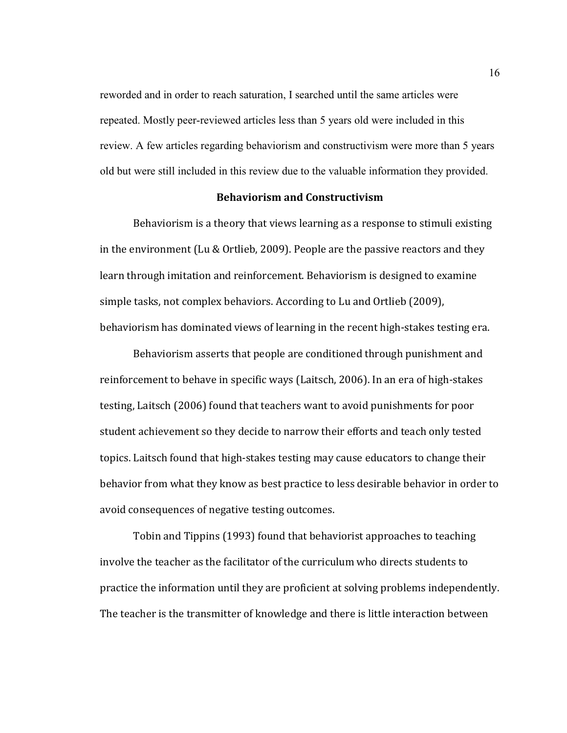reworded and in order to reach saturation, I searched until the same articles were repeated. Mostly peer-reviewed articles less than 5 years old were included in this review. A few articles regarding behaviorism and constructivism were more than 5 years old but were still included in this review due to the valuable information they provided.

#### Behaviorism and Constructivism

 Behaviorism is a theory that views learning as a response to stimuli existing in the environment (Lu & Ortlieb, 2009). People are the passive reactors and they learn through imitation and reinforcement. Behaviorism is designed to examine simple tasks, not complex behaviors. According to Lu and Ortlieb (2009), behaviorism has dominated views of learning in the recent high-stakes testing era.

 Behaviorism asserts that people are conditioned through punishment and reinforcement to behave in specific ways (Laitsch, 2006). In an era of high-stakes testing, Laitsch (2006) found that teachers want to avoid punishments for poor student achievement so they decide to narrow their efforts and teach only tested topics. Laitsch found that high-stakes testing may cause educators to change their behavior from what they know as best practice to less desirable behavior in order to avoid consequences of negative testing outcomes.

Tobin and Tippins (1993) found that behaviorist approaches to teaching involve the teacher as the facilitator of the curriculum who directs students to practice the information until they are proficient at solving problems independently. The teacher is the transmitter of knowledge and there is little interaction between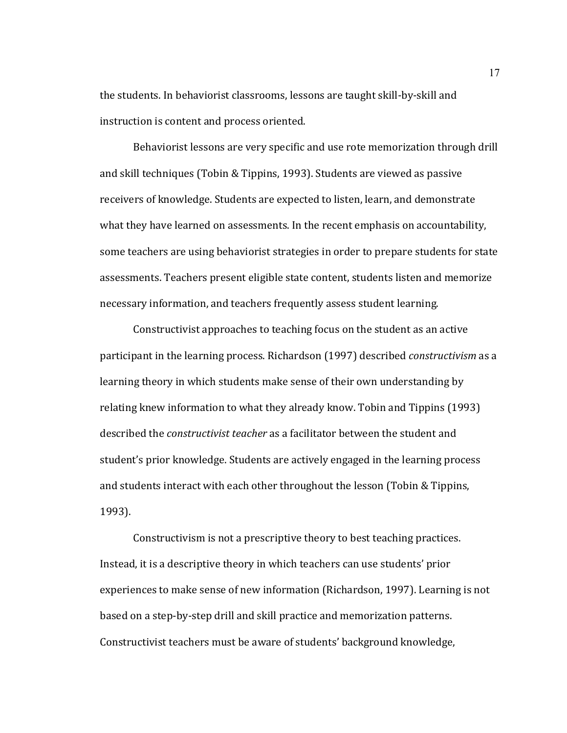the students. In behaviorist classrooms, lessons are taught skill-by-skill and instruction is content and process oriented.

 Behaviorist lessons are very specific and use rote memorization through drill and skill techniques (Tobin & Tippins, 1993). Students are viewed as passive receivers of knowledge. Students are expected to listen, learn, and demonstrate what they have learned on assessments. In the recent emphasis on accountability, some teachers are using behaviorist strategies in order to prepare students for state assessments. Teachers present eligible state content, students listen and memorize necessary information, and teachers frequently assess student learning.

 Constructivist approaches to teaching focus on the student as an active participant in the learning process. Richardson (1997) described constructivism as a learning theory in which students make sense of their own understanding by relating knew information to what they already know. Tobin and Tippins (1993) described the constructivist teacher as a facilitator between the student and student's prior knowledge. Students are actively engaged in the learning process and students interact with each other throughout the lesson (Tobin & Tippins, 1993).

 Constructivism is not a prescriptive theory to best teaching practices. Instead, it is a descriptive theory in which teachers can use students' prior experiences to make sense of new information (Richardson, 1997). Learning is not based on a step-by-step drill and skill practice and memorization patterns. Constructivist teachers must be aware of students' background knowledge,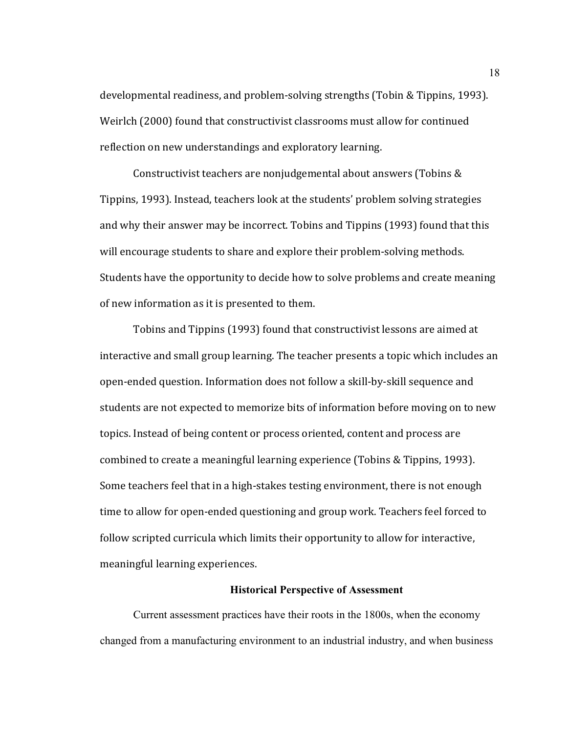developmental readiness, and problem-solving strengths (Tobin & Tippins, 1993). Weirlch (2000) found that constructivist classrooms must allow for continued reflection on new understandings and exploratory learning.

 Constructivist teachers are nonjudgemental about answers (Tobins & Tippins, 1993). Instead, teachers look at the students' problem solving strategies and why their answer may be incorrect. Tobins and Tippins (1993) found that this will encourage students to share and explore their problem-solving methods. Students have the opportunity to decide how to solve problems and create meaning of new information as it is presented to them.

 Tobins and Tippins (1993) found that constructivist lessons are aimed at interactive and small group learning. The teacher presents a topic which includes an open-ended question. Information does not follow a skill-by-skill sequence and students are not expected to memorize bits of information before moving on to new topics. Instead of being content or process oriented, content and process are combined to create a meaningful learning experience (Tobins & Tippins, 1993). Some teachers feel that in a high-stakes testing environment, there is not enough time to allow for open-ended questioning and group work. Teachers feel forced to follow scripted curricula which limits their opportunity to allow for interactive, meaningful learning experiences.

#### **Historical Perspective of Assessment**

Current assessment practices have their roots in the 1800s, when the economy changed from a manufacturing environment to an industrial industry, and when business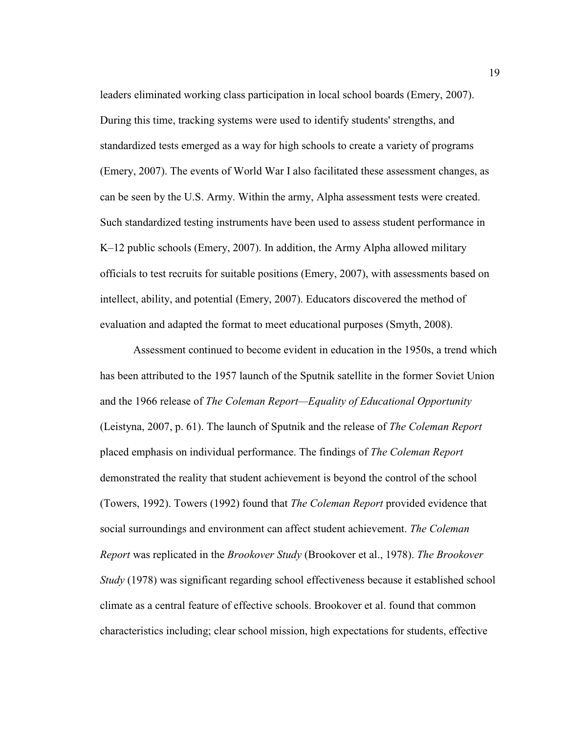leaders eliminated working class participation in local school boards (Emery, 2007). During this time, tracking systems were used to identify students' strengths, and standardized tests emerged as a way for high schools to create a variety of programs (Emery, 2007). The events of World War I also facilitated these assessment changes, as can be seen by the U.S. Army. Within the army, Alpha assessment tests were created. Such standardized testing instruments have been used to assess student performance in K–12 public schools (Emery, 2007). In addition, the Army Alpha allowed military officials to test recruits for suitable positions (Emery, 2007), with assessments based on intellect, ability, and potential (Emery, 2007). Educators discovered the method of evaluation and adapted the format to meet educational purposes (Smyth, 2008).

 Assessment continued to become evident in education in the 1950s, a trend which has been attributed to the 1957 launch of the Sputnik satellite in the former Soviet Union and the 1966 release of *The Coleman Report—Equality of Educational Opportunity* (Leistyna, 2007, p. 61). The launch of Sputnik and the release of *The Coleman Report* placed emphasis on individual performance. The findings of *The Coleman Report*  demonstrated the reality that student achievement is beyond the control of the school (Towers, 1992). Towers (1992) found that *The Coleman Report* provided evidence that social surroundings and environment can affect student achievement. *The Coleman Report* was replicated in the *Brookover Study* (Brookover et al., 1978). *The Brookover Study* (1978) was significant regarding school effectiveness because it established school climate as a central feature of effective schools. Brookover et al. found that common characteristics including; clear school mission, high expectations for students, effective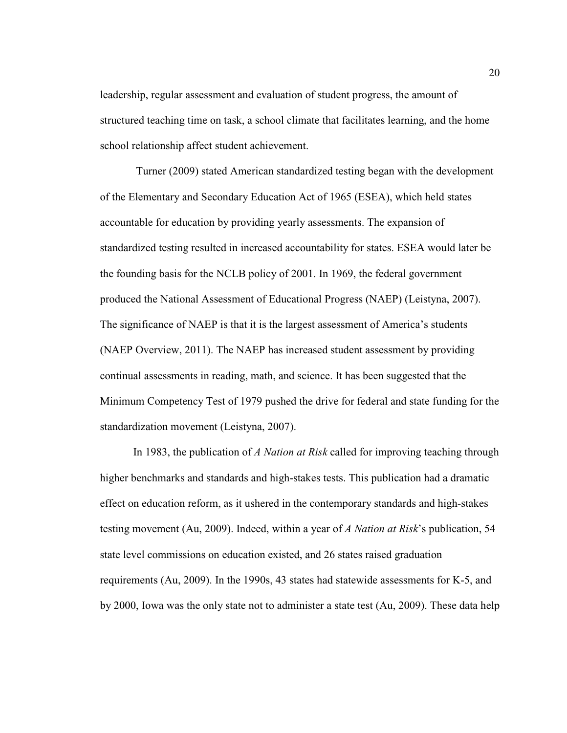leadership, regular assessment and evaluation of student progress, the amount of structured teaching time on task, a school climate that facilitates learning, and the home school relationship affect student achievement.

 Turner (2009) stated American standardized testing began with the development of the Elementary and Secondary Education Act of 1965 (ESEA), which held states accountable for education by providing yearly assessments. The expansion of standardized testing resulted in increased accountability for states. ESEA would later be the founding basis for the NCLB policy of 2001. In 1969, the federal government produced the National Assessment of Educational Progress (NAEP) (Leistyna, 2007). The significance of NAEP is that it is the largest assessment of America's students (NAEP Overview, 2011). The NAEP has increased student assessment by providing continual assessments in reading, math, and science. It has been suggested that the Minimum Competency Test of 1979 pushed the drive for federal and state funding for the standardization movement (Leistyna, 2007).

 In 1983, the publication of *A Nation at Risk* called for improving teaching through higher benchmarks and standards and high-stakes tests. This publication had a dramatic effect on education reform, as it ushered in the contemporary standards and high-stakes testing movement (Au, 2009). Indeed, within a year of *A Nation at Risk*'s publication, 54 state level commissions on education existed, and 26 states raised graduation requirements (Au, 2009). In the 1990s, 43 states had statewide assessments for K-5, and by 2000, Iowa was the only state not to administer a state test (Au, 2009). These data help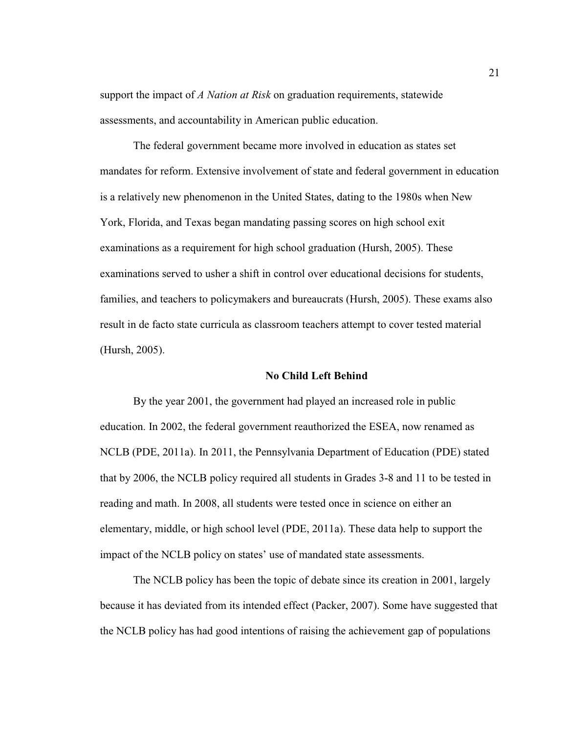support the impact of *A Nation at Risk* on graduation requirements, statewide assessments, and accountability in American public education.

The federal government became more involved in education as states set mandates for reform. Extensive involvement of state and federal government in education is a relatively new phenomenon in the United States, dating to the 1980s when New York, Florida, and Texas began mandating passing scores on high school exit examinations as a requirement for high school graduation (Hursh, 2005). These examinations served to usher a shift in control over educational decisions for students, families, and teachers to policymakers and bureaucrats (Hursh, 2005). These exams also result in de facto state curricula as classroom teachers attempt to cover tested material (Hursh, 2005).

#### **No Child Left Behind**

By the year 2001, the government had played an increased role in public education. In 2002, the federal government reauthorized the ESEA, now renamed as NCLB (PDE, 2011a). In 2011, the Pennsylvania Department of Education (PDE) stated that by 2006, the NCLB policy required all students in Grades 3-8 and 11 to be tested in reading and math. In 2008, all students were tested once in science on either an elementary, middle, or high school level (PDE, 2011a). These data help to support the impact of the NCLB policy on states' use of mandated state assessments.

The NCLB policy has been the topic of debate since its creation in 2001, largely because it has deviated from its intended effect (Packer, 2007). Some have suggested that the NCLB policy has had good intentions of raising the achievement gap of populations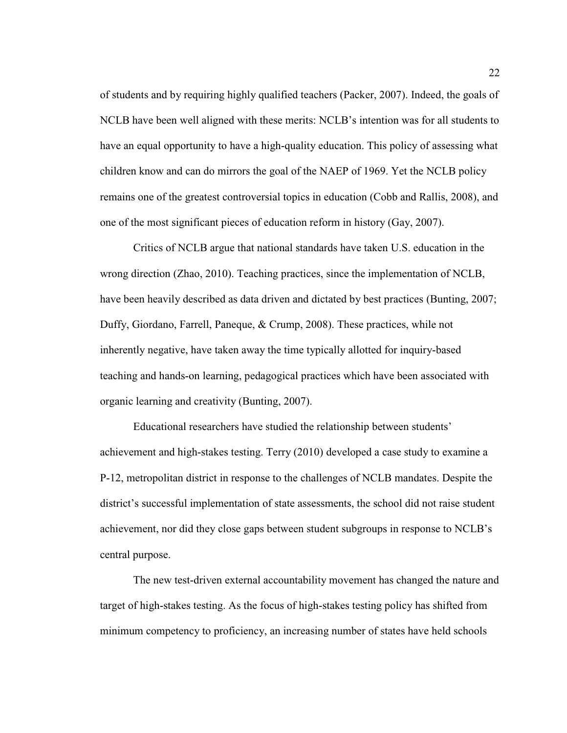of students and by requiring highly qualified teachers (Packer, 2007). Indeed, the goals of NCLB have been well aligned with these merits: NCLB's intention was for all students to have an equal opportunity to have a high-quality education. This policy of assessing what children know and can do mirrors the goal of the NAEP of 1969. Yet the NCLB policy remains one of the greatest controversial topics in education (Cobb and Rallis, 2008), and one of the most significant pieces of education reform in history (Gay, 2007).

Critics of NCLB argue that national standards have taken U.S. education in the wrong direction (Zhao, 2010). Teaching practices, since the implementation of NCLB, have been heavily described as data driven and dictated by best practices (Bunting, 2007; Duffy, Giordano, Farrell, Paneque, & Crump, 2008). These practices, while not inherently negative, have taken away the time typically allotted for inquiry-based teaching and hands-on learning, pedagogical practices which have been associated with organic learning and creativity (Bunting, 2007).

Educational researchers have studied the relationship between students' achievement and high-stakes testing. Terry (2010) developed a case study to examine a P-12, metropolitan district in response to the challenges of NCLB mandates. Despite the district's successful implementation of state assessments, the school did not raise student achievement, nor did they close gaps between student subgroups in response to NCLB's central purpose.

The new test-driven external accountability movement has changed the nature and target of high-stakes testing. As the focus of high-stakes testing policy has shifted from minimum competency to proficiency, an increasing number of states have held schools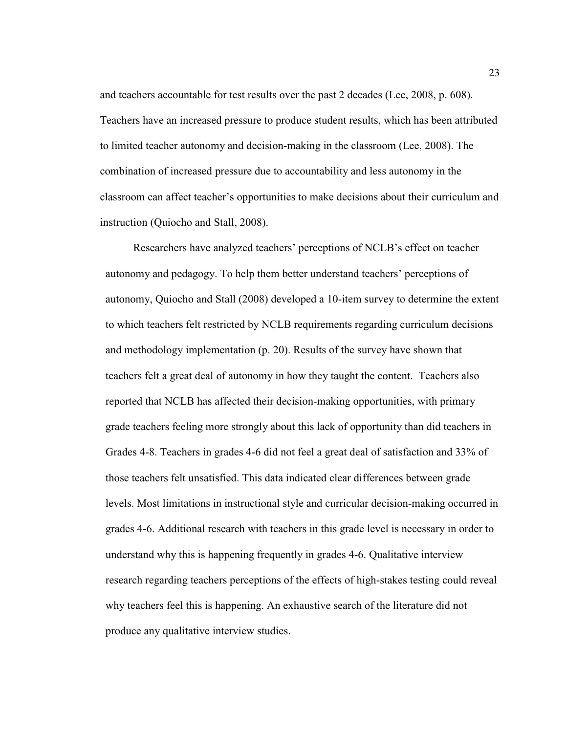and teachers accountable for test results over the past 2 decades (Lee, 2008, p. 608). Teachers have an increased pressure to produce student results, which has been attributed to limited teacher autonomy and decision-making in the classroom (Lee, 2008). The combination of increased pressure due to accountability and less autonomy in the classroom can affect teacher's opportunities to make decisions about their curriculum and instruction (Quiocho and Stall, 2008).

Researchers have analyzed teachers' perceptions of NCLB's effect on teacher autonomy and pedagogy. To help them better understand teachers' perceptions of autonomy, Quiocho and Stall (2008) developed a 10-item survey to determine the extent to which teachers felt restricted by NCLB requirements regarding curriculum decisions and methodology implementation (p. 20). Results of the survey have shown that teachers felt a great deal of autonomy in how they taught the content. Teachers also reported that NCLB has affected their decision-making opportunities, with primary grade teachers feeling more strongly about this lack of opportunity than did teachers in Grades 4-8. Teachers in grades 4-6 did not feel a great deal of satisfaction and 33% of those teachers felt unsatisfied. This data indicated clear differences between grade levels. Most limitations in instructional style and curricular decision-making occurred in grades 4-6. Additional research with teachers in this grade level is necessary in order to understand why this is happening frequently in grades 4-6. Qualitative interview research regarding teachers perceptions of the effects of high-stakes testing could reveal why teachers feel this is happening. An exhaustive search of the literature did not produce any qualitative interview studies.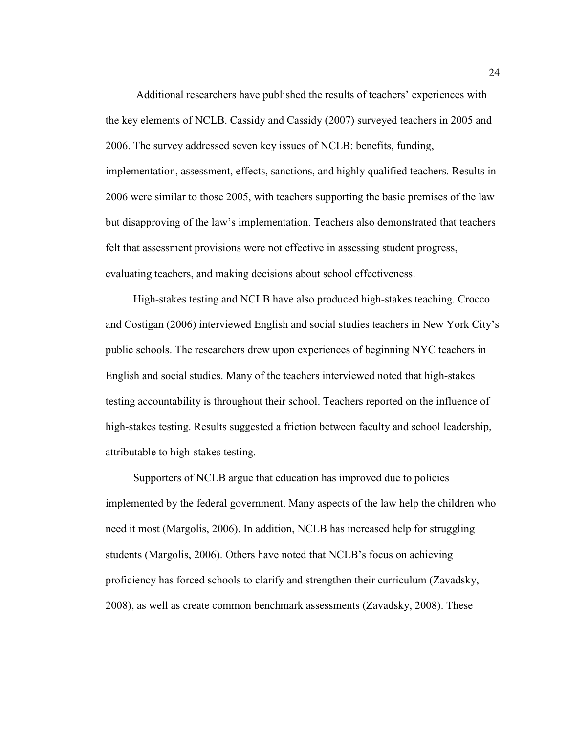Additional researchers have published the results of teachers' experiences with the key elements of NCLB. Cassidy and Cassidy (2007) surveyed teachers in 2005 and 2006. The survey addressed seven key issues of NCLB: benefits, funding, implementation, assessment, effects, sanctions, and highly qualified teachers. Results in 2006 were similar to those 2005, with teachers supporting the basic premises of the law but disapproving of the law's implementation. Teachers also demonstrated that teachers felt that assessment provisions were not effective in assessing student progress, evaluating teachers, and making decisions about school effectiveness.

High-stakes testing and NCLB have also produced high-stakes teaching. Crocco and Costigan (2006) interviewed English and social studies teachers in New York City's public schools. The researchers drew upon experiences of beginning NYC teachers in English and social studies. Many of the teachers interviewed noted that high-stakes testing accountability is throughout their school. Teachers reported on the influence of high-stakes testing. Results suggested a friction between faculty and school leadership, attributable to high-stakes testing.

Supporters of NCLB argue that education has improved due to policies implemented by the federal government. Many aspects of the law help the children who need it most (Margolis, 2006). In addition, NCLB has increased help for struggling students (Margolis, 2006). Others have noted that NCLB's focus on achieving proficiency has forced schools to clarify and strengthen their curriculum (Zavadsky, 2008), as well as create common benchmark assessments (Zavadsky, 2008). These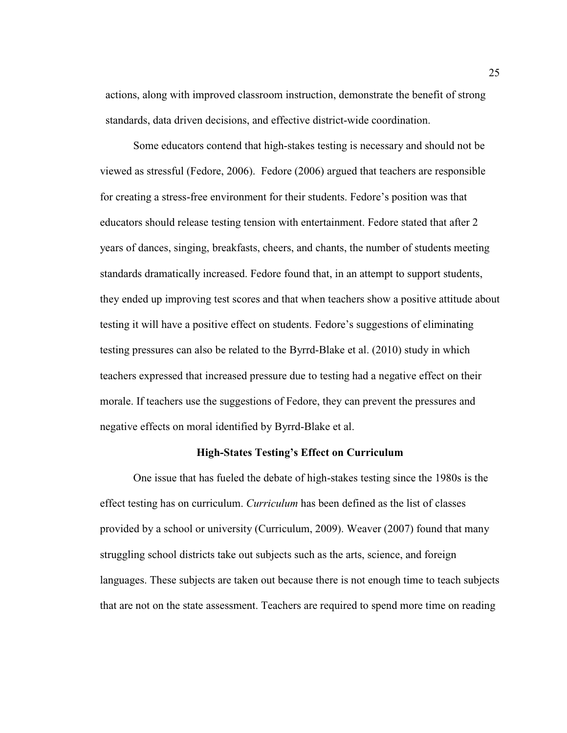actions, along with improved classroom instruction, demonstrate the benefit of strong standards, data driven decisions, and effective district-wide coordination.

 Some educators contend that high-stakes testing is necessary and should not be viewed as stressful (Fedore, 2006). Fedore (2006) argued that teachers are responsible for creating a stress-free environment for their students. Fedore's position was that educators should release testing tension with entertainment. Fedore stated that after 2 years of dances, singing, breakfasts, cheers, and chants, the number of students meeting standards dramatically increased. Fedore found that, in an attempt to support students, they ended up improving test scores and that when teachers show a positive attitude about testing it will have a positive effect on students. Fedore's suggestions of eliminating testing pressures can also be related to the Byrrd-Blake et al. (2010) study in which teachers expressed that increased pressure due to testing had a negative effect on their morale. If teachers use the suggestions of Fedore, they can prevent the pressures and negative effects on moral identified by Byrrd-Blake et al.

# **High-States Testing's Effect on Curriculum**

One issue that has fueled the debate of high-stakes testing since the 1980s is the effect testing has on curriculum. *Curriculum* has been defined as the list of classes provided by a school or university (Curriculum, 2009). Weaver (2007) found that many struggling school districts take out subjects such as the arts, science, and foreign languages. These subjects are taken out because there is not enough time to teach subjects that are not on the state assessment. Teachers are required to spend more time on reading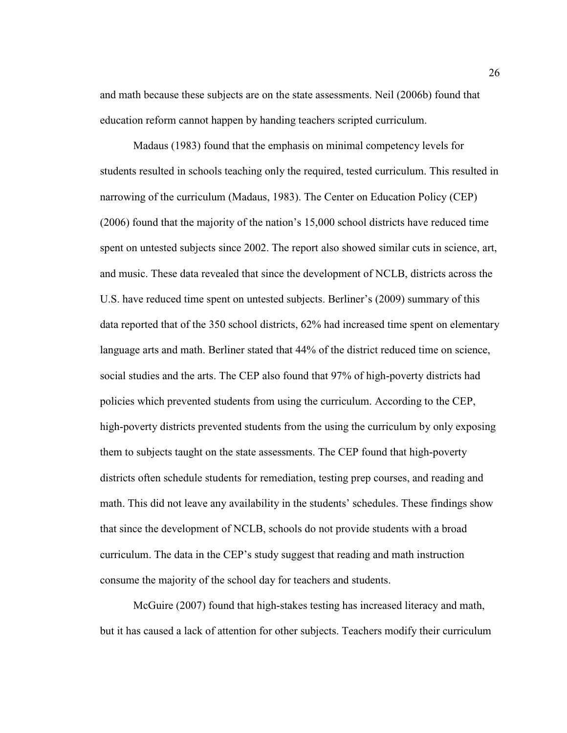and math because these subjects are on the state assessments. Neil (2006b) found that education reform cannot happen by handing teachers scripted curriculum.

Madaus (1983) found that the emphasis on minimal competency levels for students resulted in schools teaching only the required, tested curriculum. This resulted in narrowing of the curriculum (Madaus, 1983). The Center on Education Policy (CEP) (2006) found that the majority of the nation's 15,000 school districts have reduced time spent on untested subjects since 2002. The report also showed similar cuts in science, art, and music. These data revealed that since the development of NCLB, districts across the U.S. have reduced time spent on untested subjects. Berliner's (2009) summary of this data reported that of the 350 school districts, 62% had increased time spent on elementary language arts and math. Berliner stated that 44% of the district reduced time on science, social studies and the arts. The CEP also found that 97% of high-poverty districts had policies which prevented students from using the curriculum. According to the CEP, high-poverty districts prevented students from the using the curriculum by only exposing them to subjects taught on the state assessments. The CEP found that high-poverty districts often schedule students for remediation, testing prep courses, and reading and math. This did not leave any availability in the students' schedules. These findings show that since the development of NCLB, schools do not provide students with a broad curriculum. The data in the CEP's study suggest that reading and math instruction consume the majority of the school day for teachers and students.

 McGuire (2007) found that high-stakes testing has increased literacy and math, but it has caused a lack of attention for other subjects. Teachers modify their curriculum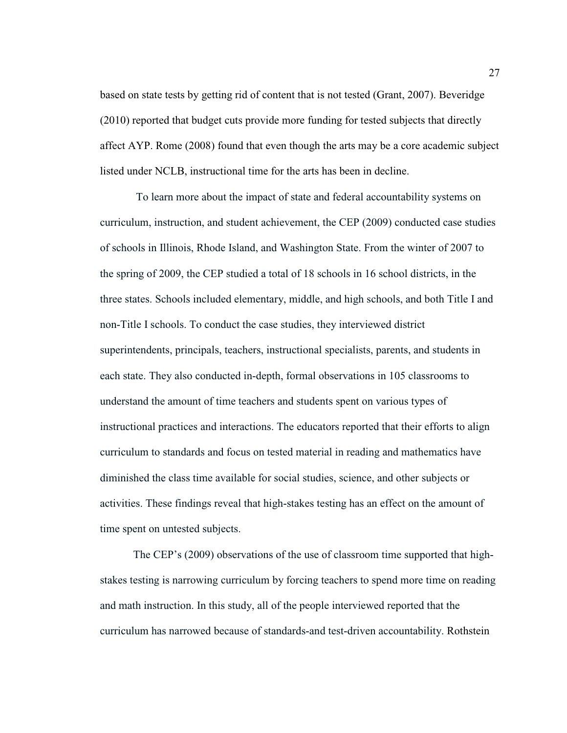based on state tests by getting rid of content that is not tested (Grant, 2007). Beveridge (2010) reported that budget cuts provide more funding for tested subjects that directly affect AYP. Rome (2008) found that even though the arts may be a core academic subject listed under NCLB, instructional time for the arts has been in decline.

 To learn more about the impact of state and federal accountability systems on curriculum, instruction, and student achievement, the CEP (2009) conducted case studies of schools in Illinois, Rhode Island, and Washington State. From the winter of 2007 to the spring of 2009, the CEP studied a total of 18 schools in 16 school districts, in the three states. Schools included elementary, middle, and high schools, and both Title I and non-Title I schools. To conduct the case studies, they interviewed district superintendents, principals, teachers, instructional specialists, parents, and students in each state. They also conducted in-depth, formal observations in 105 classrooms to understand the amount of time teachers and students spent on various types of instructional practices and interactions. The educators reported that their efforts to align curriculum to standards and focus on tested material in reading and mathematics have diminished the class time available for social studies, science, and other subjects or activities. These findings reveal that high-stakes testing has an effect on the amount of time spent on untested subjects.

The CEP's (2009) observations of the use of classroom time supported that highstakes testing is narrowing curriculum by forcing teachers to spend more time on reading and math instruction. In this study, all of the people interviewed reported that the curriculum has narrowed because of standards-and test-driven accountability. Rothstein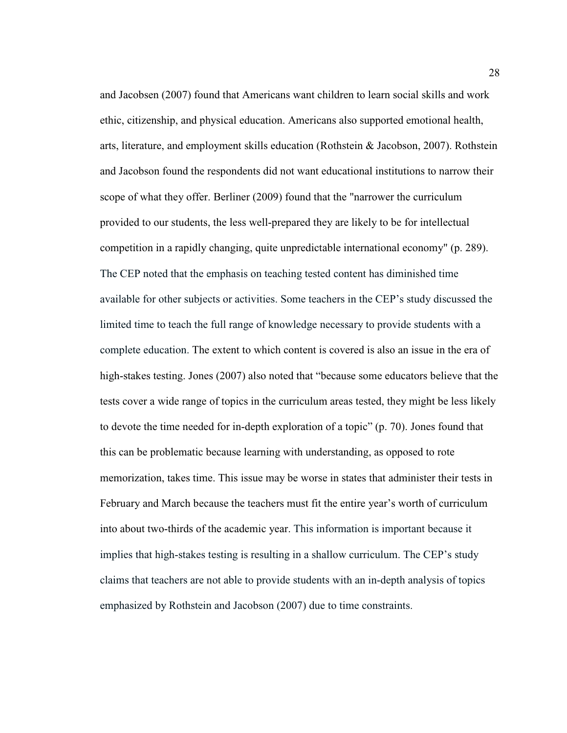and Jacobsen (2007) found that Americans want children to learn social skills and work ethic, citizenship, and physical education. Americans also supported emotional health, arts, literature, and employment skills education (Rothstein & Jacobson, 2007). Rothstein and Jacobson found the respondents did not want educational institutions to narrow their scope of what they offer. Berliner (2009) found that the "narrower the curriculum provided to our students, the less well-prepared they are likely to be for intellectual competition in a rapidly changing, quite unpredictable international economy" (p. 289). The CEP noted that the emphasis on teaching tested content has diminished time available for other subjects or activities. Some teachers in the CEP's study discussed the limited time to teach the full range of knowledge necessary to provide students with a complete education. The extent to which content is covered is also an issue in the era of high-stakes testing. Jones (2007) also noted that "because some educators believe that the tests cover a wide range of topics in the curriculum areas tested, they might be less likely to devote the time needed for in-depth exploration of a topic" (p. 70). Jones found that this can be problematic because learning with understanding, as opposed to rote memorization, takes time. This issue may be worse in states that administer their tests in February and March because the teachers must fit the entire year's worth of curriculum into about two-thirds of the academic year. This information is important because it implies that high-stakes testing is resulting in a shallow curriculum. The CEP's study claims that teachers are not able to provide students with an in-depth analysis of topics emphasized by Rothstein and Jacobson (2007) due to time constraints.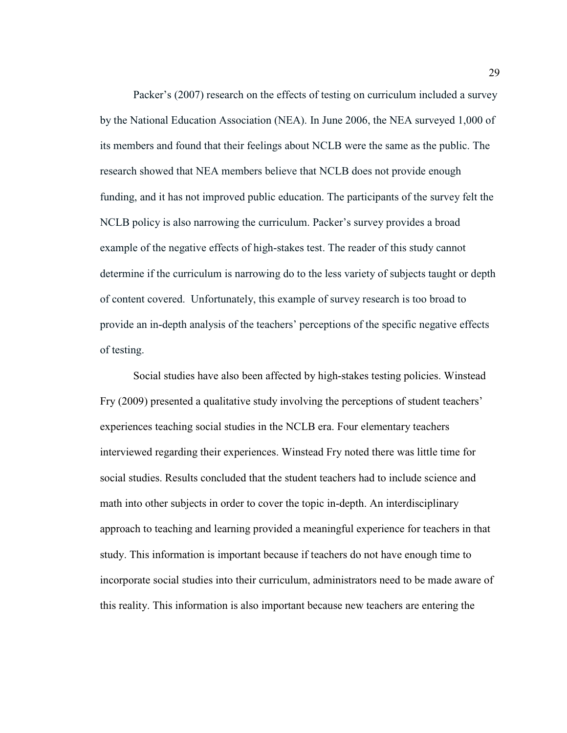Packer's (2007) research on the effects of testing on curriculum included a survey by the National Education Association (NEA). In June 2006, the NEA surveyed 1,000 of its members and found that their feelings about NCLB were the same as the public. The research showed that NEA members believe that NCLB does not provide enough funding, and it has not improved public education. The participants of the survey felt the NCLB policy is also narrowing the curriculum. Packer's survey provides a broad example of the negative effects of high-stakes test. The reader of this study cannot determine if the curriculum is narrowing do to the less variety of subjects taught or depth of content covered. Unfortunately, this example of survey research is too broad to provide an in-depth analysis of the teachers' perceptions of the specific negative effects of testing.

Social studies have also been affected by high-stakes testing policies. Winstead Fry (2009) presented a qualitative study involving the perceptions of student teachers' experiences teaching social studies in the NCLB era. Four elementary teachers interviewed regarding their experiences. Winstead Fry noted there was little time for social studies. Results concluded that the student teachers had to include science and math into other subjects in order to cover the topic in-depth. An interdisciplinary approach to teaching and learning provided a meaningful experience for teachers in that study. This information is important because if teachers do not have enough time to incorporate social studies into their curriculum, administrators need to be made aware of this reality. This information is also important because new teachers are entering the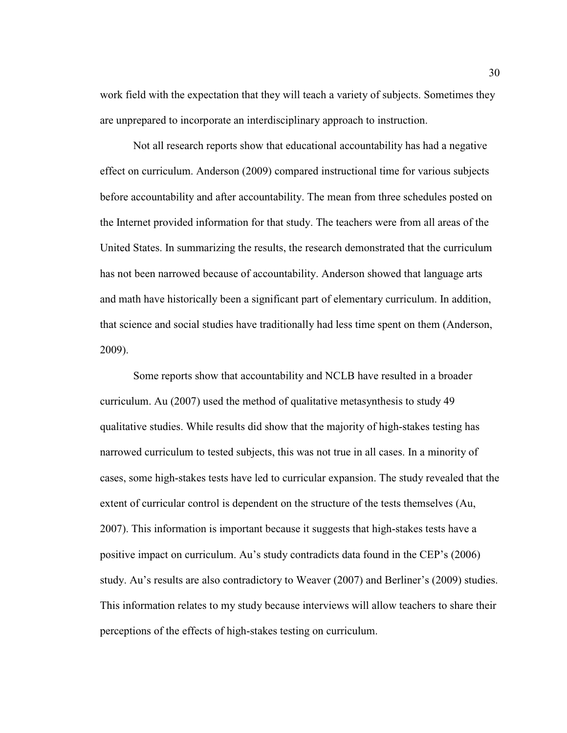work field with the expectation that they will teach a variety of subjects. Sometimes they are unprepared to incorporate an interdisciplinary approach to instruction.

Not all research reports show that educational accountability has had a negative effect on curriculum. Anderson (2009) compared instructional time for various subjects before accountability and after accountability. The mean from three schedules posted on the Internet provided information for that study. The teachers were from all areas of the United States. In summarizing the results, the research demonstrated that the curriculum has not been narrowed because of accountability. Anderson showed that language arts and math have historically been a significant part of elementary curriculum. In addition, that science and social studies have traditionally had less time spent on them (Anderson, 2009).

Some reports show that accountability and NCLB have resulted in a broader curriculum. Au (2007) used the method of qualitative metasynthesis to study 49 qualitative studies. While results did show that the majority of high-stakes testing has narrowed curriculum to tested subjects, this was not true in all cases. In a minority of cases, some high-stakes tests have led to curricular expansion. The study revealed that the extent of curricular control is dependent on the structure of the tests themselves (Au, 2007). This information is important because it suggests that high-stakes tests have a positive impact on curriculum. Au's study contradicts data found in the CEP's (2006) study. Au's results are also contradictory to Weaver (2007) and Berliner's (2009) studies. This information relates to my study because interviews will allow teachers to share their perceptions of the effects of high-stakes testing on curriculum.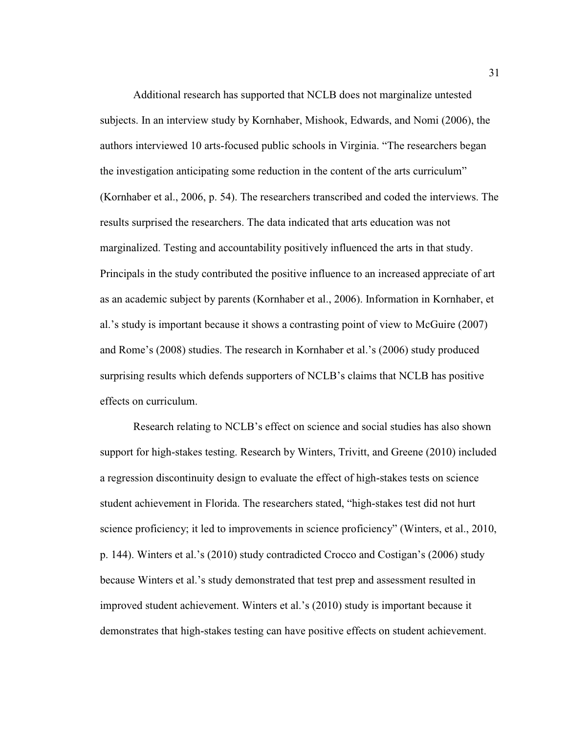Additional research has supported that NCLB does not marginalize untested subjects. In an interview study by Kornhaber, Mishook, Edwards, and Nomi (2006), the authors interviewed 10 arts-focused public schools in Virginia. "The researchers began the investigation anticipating some reduction in the content of the arts curriculum" (Kornhaber et al., 2006, p. 54). The researchers transcribed and coded the interviews. The results surprised the researchers. The data indicated that arts education was not marginalized. Testing and accountability positively influenced the arts in that study. Principals in the study contributed the positive influence to an increased appreciate of art as an academic subject by parents (Kornhaber et al., 2006). Information in Kornhaber, et al.'s study is important because it shows a contrasting point of view to McGuire (2007) and Rome's (2008) studies. The research in Kornhaber et al.'s (2006) study produced surprising results which defends supporters of NCLB's claims that NCLB has positive effects on curriculum.

Research relating to NCLB's effect on science and social studies has also shown support for high-stakes testing. Research by Winters, Trivitt, and Greene (2010) included a regression discontinuity design to evaluate the effect of high-stakes tests on science student achievement in Florida. The researchers stated, "high-stakes test did not hurt science proficiency; it led to improvements in science proficiency" (Winters, et al., 2010, p. 144). Winters et al.'s (2010) study contradicted Crocco and Costigan's (2006) study because Winters et al.'s study demonstrated that test prep and assessment resulted in improved student achievement. Winters et al.'s (2010) study is important because it demonstrates that high-stakes testing can have positive effects on student achievement.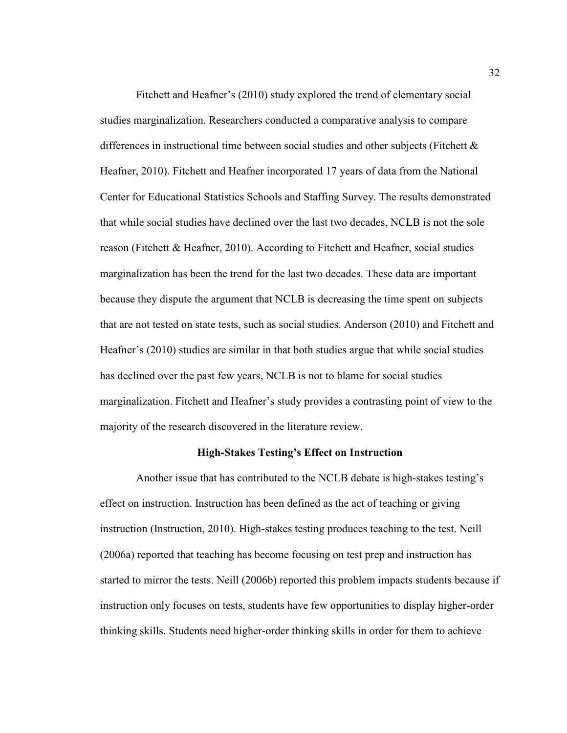Fitchett and Heafner's (2010) study explored the trend of elementary social studies marginalization. Researchers conducted a comparative analysis to compare differences in instructional time between social studies and other subjects (Fitchett  $\&$ Heafner, 2010). Fitchett and Heafner incorporated 17 years of data from the National Center for Educational Statistics Schools and Staffing Survey. The results demonstrated that while social studies have declined over the last two decades, NCLB is not the sole reason (Fitchett & Heafner, 2010). According to Fitchett and Heafner, social studies marginalization has been the trend for the last two decades. These data are important because they dispute the argument that NCLB is decreasing the time spent on subjects that are not tested on state tests, such as social studies. Anderson (2010) and Fitchett and Heafner's (2010) studies are similar in that both studies argue that while social studies has declined over the past few years, NCLB is not to blame for social studies marginalization. Fitchett and Heafner's study provides a contrasting point of view to the majority of the research discovered in the literature review.

# **High-Stakes Testing's Effect on Instruction**

 Another issue that has contributed to the NCLB debate is high-stakes testing's effect on instruction. Instruction has been defined as the act of teaching or giving instruction (Instruction, 2010). High-stakes testing produces teaching to the test. Neill (2006a) reported that teaching has become focusing on test prep and instruction has started to mirror the tests. Neill (2006b) reported this problem impacts students because if instruction only focuses on tests, students have few opportunities to display higher-order thinking skills. Students need higher-order thinking skills in order for them to achieve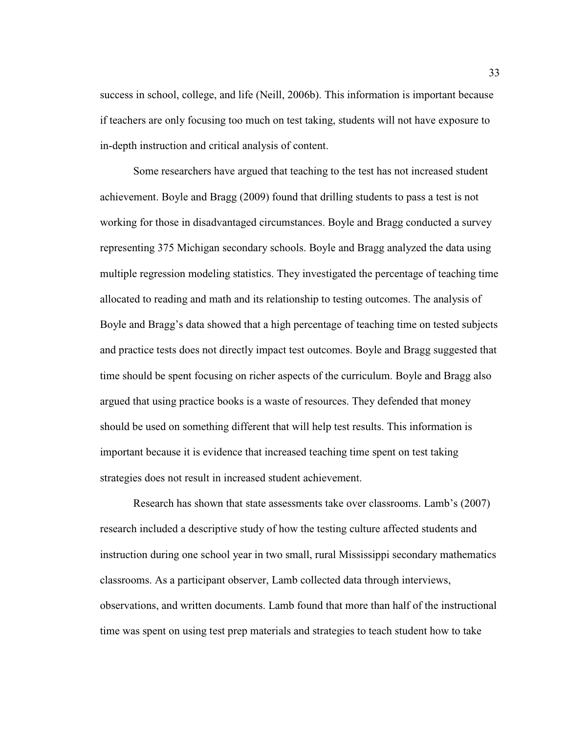success in school, college, and life (Neill, 2006b). This information is important because if teachers are only focusing too much on test taking, students will not have exposure to in-depth instruction and critical analysis of content.

 Some researchers have argued that teaching to the test has not increased student achievement. Boyle and Bragg (2009) found that drilling students to pass a test is not working for those in disadvantaged circumstances. Boyle and Bragg conducted a survey representing 375 Michigan secondary schools. Boyle and Bragg analyzed the data using multiple regression modeling statistics. They investigated the percentage of teaching time allocated to reading and math and its relationship to testing outcomes. The analysis of Boyle and Bragg's data showed that a high percentage of teaching time on tested subjects and practice tests does not directly impact test outcomes. Boyle and Bragg suggested that time should be spent focusing on richer aspects of the curriculum. Boyle and Bragg also argued that using practice books is a waste of resources. They defended that money should be used on something different that will help test results. This information is important because it is evidence that increased teaching time spent on test taking strategies does not result in increased student achievement.

Research has shown that state assessments take over classrooms. Lamb's (2007) research included a descriptive study of how the testing culture affected students and instruction during one school year in two small, rural Mississippi secondary mathematics classrooms. As a participant observer, Lamb collected data through interviews, observations, and written documents. Lamb found that more than half of the instructional time was spent on using test prep materials and strategies to teach student how to take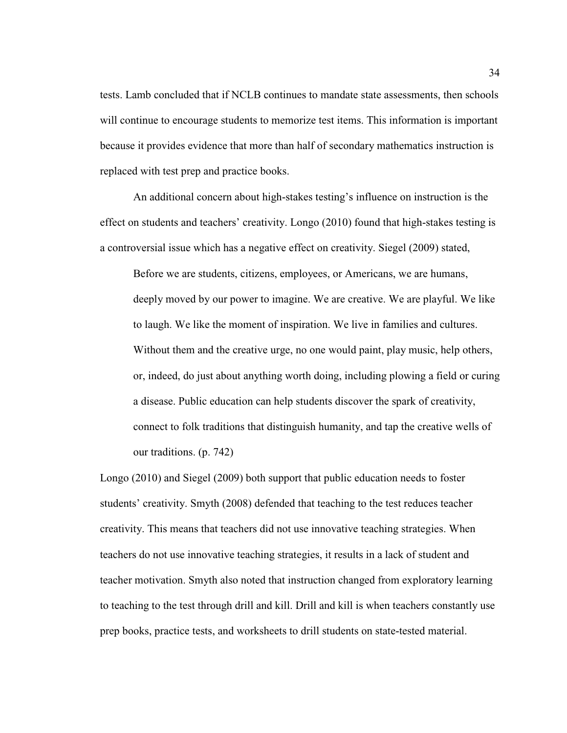tests. Lamb concluded that if NCLB continues to mandate state assessments, then schools will continue to encourage students to memorize test items. This information is important because it provides evidence that more than half of secondary mathematics instruction is replaced with test prep and practice books.

 An additional concern about high-stakes testing's influence on instruction is the effect on students and teachers' creativity. Longo (2010) found that high-stakes testing is a controversial issue which has a negative effect on creativity. Siegel (2009) stated,

Before we are students, citizens, employees, or Americans, we are humans, deeply moved by our power to imagine. We are creative. We are playful. We like to laugh. We like the moment of inspiration. We live in families and cultures. Without them and the creative urge, no one would paint, play music, help others, or, indeed, do just about anything worth doing, including plowing a field or curing a disease. Public education can help students discover the spark of creativity, connect to folk traditions that distinguish humanity, and tap the creative wells of our traditions. (p. 742)

Longo (2010) and Siegel (2009) both support that public education needs to foster students' creativity. Smyth (2008) defended that teaching to the test reduces teacher creativity. This means that teachers did not use innovative teaching strategies. When teachers do not use innovative teaching strategies, it results in a lack of student and teacher motivation. Smyth also noted that instruction changed from exploratory learning to teaching to the test through drill and kill. Drill and kill is when teachers constantly use prep books, practice tests, and worksheets to drill students on state-tested material.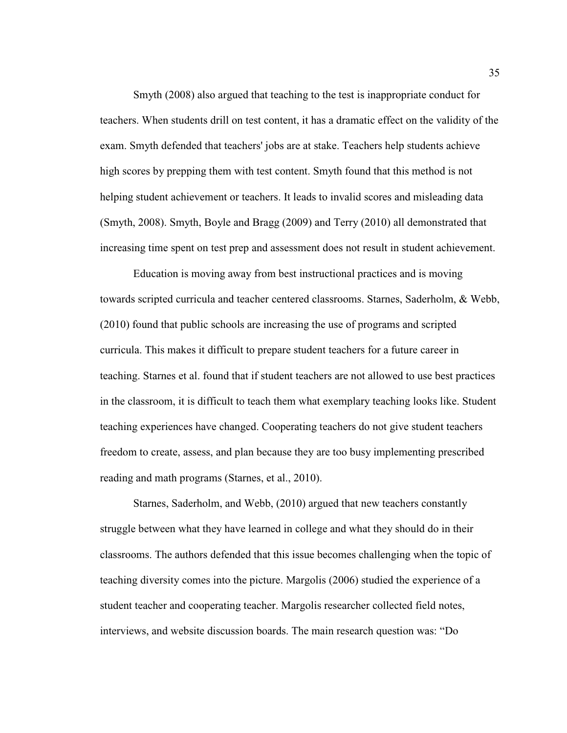Smyth (2008) also argued that teaching to the test is inappropriate conduct for teachers. When students drill on test content, it has a dramatic effect on the validity of the exam. Smyth defended that teachers' jobs are at stake. Teachers help students achieve high scores by prepping them with test content. Smyth found that this method is not helping student achievement or teachers. It leads to invalid scores and misleading data (Smyth, 2008). Smyth, Boyle and Bragg (2009) and Terry (2010) all demonstrated that increasing time spent on test prep and assessment does not result in student achievement.

 Education is moving away from best instructional practices and is moving towards scripted curricula and teacher centered classrooms. Starnes, Saderholm, & Webb, (2010) found that public schools are increasing the use of programs and scripted curricula. This makes it difficult to prepare student teachers for a future career in teaching. Starnes et al. found that if student teachers are not allowed to use best practices in the classroom, it is difficult to teach them what exemplary teaching looks like. Student teaching experiences have changed. Cooperating teachers do not give student teachers freedom to create, assess, and plan because they are too busy implementing prescribed reading and math programs (Starnes, et al., 2010).

Starnes, Saderholm, and Webb, (2010) argued that new teachers constantly struggle between what they have learned in college and what they should do in their classrooms. The authors defended that this issue becomes challenging when the topic of teaching diversity comes into the picture. Margolis (2006) studied the experience of a student teacher and cooperating teacher. Margolis researcher collected field notes, interviews, and website discussion boards. The main research question was: "Do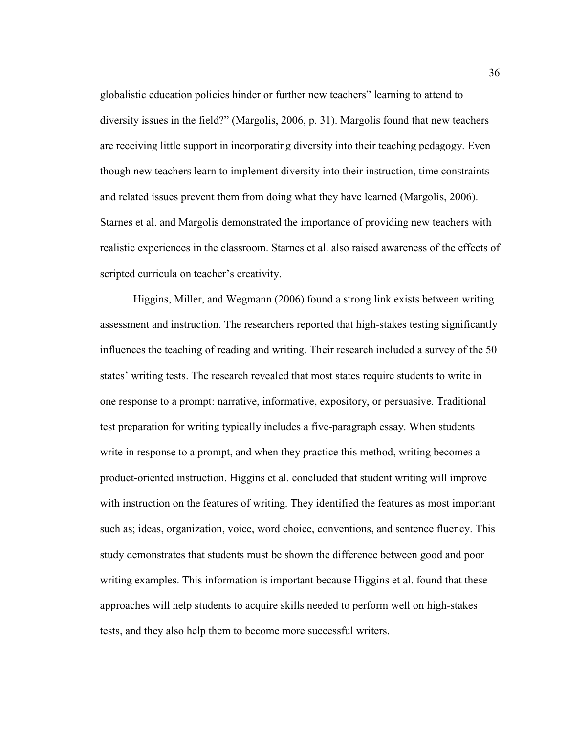globalistic education policies hinder or further new teachers" learning to attend to diversity issues in the field?" (Margolis, 2006, p. 31). Margolis found that new teachers are receiving little support in incorporating diversity into their teaching pedagogy. Even though new teachers learn to implement diversity into their instruction, time constraints and related issues prevent them from doing what they have learned (Margolis, 2006). Starnes et al. and Margolis demonstrated the importance of providing new teachers with realistic experiences in the classroom. Starnes et al. also raised awareness of the effects of scripted curricula on teacher's creativity.

Higgins, Miller, and Wegmann (2006) found a strong link exists between writing assessment and instruction. The researchers reported that high-stakes testing significantly influences the teaching of reading and writing. Their research included a survey of the 50 states' writing tests. The research revealed that most states require students to write in one response to a prompt: narrative, informative, expository, or persuasive. Traditional test preparation for writing typically includes a five-paragraph essay. When students write in response to a prompt, and when they practice this method, writing becomes a product-oriented instruction. Higgins et al. concluded that student writing will improve with instruction on the features of writing. They identified the features as most important such as; ideas, organization, voice, word choice, conventions, and sentence fluency. This study demonstrates that students must be shown the difference between good and poor writing examples. This information is important because Higgins et al. found that these approaches will help students to acquire skills needed to perform well on high-stakes tests, and they also help them to become more successful writers.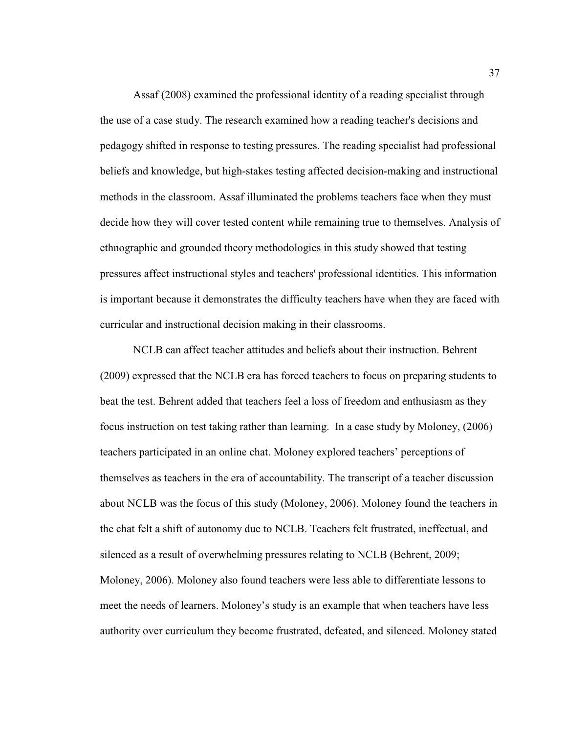Assaf (2008) examined the professional identity of a reading specialist through the use of a case study. The research examined how a reading teacher's decisions and pedagogy shifted in response to testing pressures. The reading specialist had professional beliefs and knowledge, but high-stakes testing affected decision-making and instructional methods in the classroom. Assaf illuminated the problems teachers face when they must decide how they will cover tested content while remaining true to themselves. Analysis of ethnographic and grounded theory methodologies in this study showed that testing pressures affect instructional styles and teachers' professional identities. This information is important because it demonstrates the difficulty teachers have when they are faced with curricular and instructional decision making in their classrooms.

 NCLB can affect teacher attitudes and beliefs about their instruction. Behrent (2009) expressed that the NCLB era has forced teachers to focus on preparing students to beat the test. Behrent added that teachers feel a loss of freedom and enthusiasm as they focus instruction on test taking rather than learning. In a case study by Moloney, (2006) teachers participated in an online chat. Moloney explored teachers' perceptions of themselves as teachers in the era of accountability. The transcript of a teacher discussion about NCLB was the focus of this study (Moloney, 2006). Moloney found the teachers in the chat felt a shift of autonomy due to NCLB. Teachers felt frustrated, ineffectual, and silenced as a result of overwhelming pressures relating to NCLB (Behrent, 2009; Moloney, 2006). Moloney also found teachers were less able to differentiate lessons to meet the needs of learners. Moloney's study is an example that when teachers have less authority over curriculum they become frustrated, defeated, and silenced. Moloney stated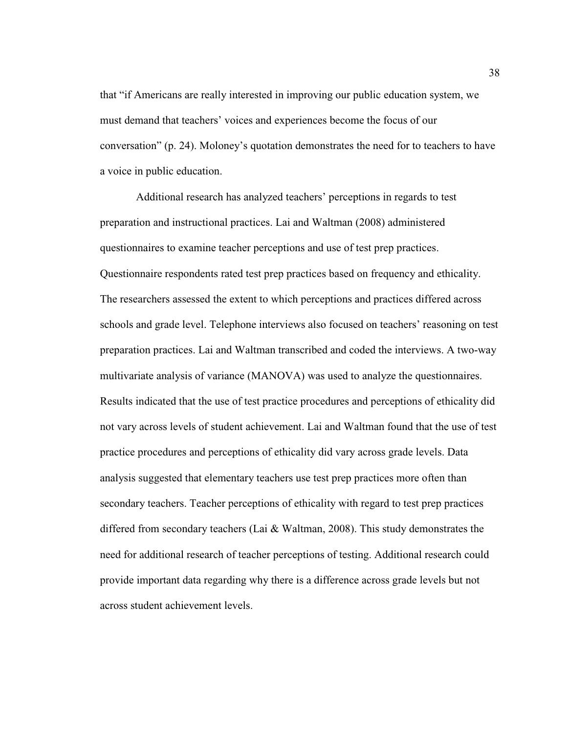that "if Americans are really interested in improving our public education system, we must demand that teachers' voices and experiences become the focus of our conversation" (p. 24). Moloney's quotation demonstrates the need for to teachers to have a voice in public education.

 Additional research has analyzed teachers' perceptions in regards to test preparation and instructional practices. Lai and Waltman (2008) administered questionnaires to examine teacher perceptions and use of test prep practices. Questionnaire respondents rated test prep practices based on frequency and ethicality. The researchers assessed the extent to which perceptions and practices differed across schools and grade level. Telephone interviews also focused on teachers' reasoning on test preparation practices. Lai and Waltman transcribed and coded the interviews. A two-way multivariate analysis of variance (MANOVA) was used to analyze the questionnaires. Results indicated that the use of test practice procedures and perceptions of ethicality did not vary across levels of student achievement. Lai and Waltman found that the use of test practice procedures and perceptions of ethicality did vary across grade levels. Data analysis suggested that elementary teachers use test prep practices more often than secondary teachers. Teacher perceptions of ethicality with regard to test prep practices differed from secondary teachers (Lai & Waltman, 2008). This study demonstrates the need for additional research of teacher perceptions of testing. Additional research could provide important data regarding why there is a difference across grade levels but not across student achievement levels.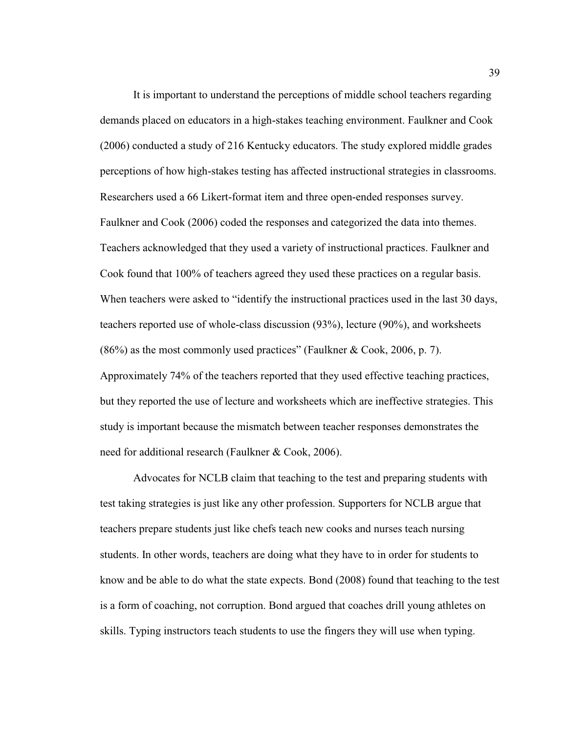It is important to understand the perceptions of middle school teachers regarding demands placed on educators in a high-stakes teaching environment. Faulkner and Cook (2006) conducted a study of 216 Kentucky educators. The study explored middle grades perceptions of how high-stakes testing has affected instructional strategies in classrooms. Researchers used a 66 Likert-format item and three open-ended responses survey. Faulkner and Cook (2006) coded the responses and categorized the data into themes. Teachers acknowledged that they used a variety of instructional practices. Faulkner and Cook found that 100% of teachers agreed they used these practices on a regular basis. When teachers were asked to "identify the instructional practices used in the last 30 days, teachers reported use of whole-class discussion (93%), lecture (90%), and worksheets (86%) as the most commonly used practices" (Faulkner & Cook, 2006, p. 7). Approximately 74% of the teachers reported that they used effective teaching practices, but they reported the use of lecture and worksheets which are ineffective strategies. This study is important because the mismatch between teacher responses demonstrates the need for additional research (Faulkner & Cook, 2006).

Advocates for NCLB claim that teaching to the test and preparing students with test taking strategies is just like any other profession. Supporters for NCLB argue that teachers prepare students just like chefs teach new cooks and nurses teach nursing students. In other words, teachers are doing what they have to in order for students to know and be able to do what the state expects. Bond (2008) found that teaching to the test is a form of coaching, not corruption. Bond argued that coaches drill young athletes on skills. Typing instructors teach students to use the fingers they will use when typing.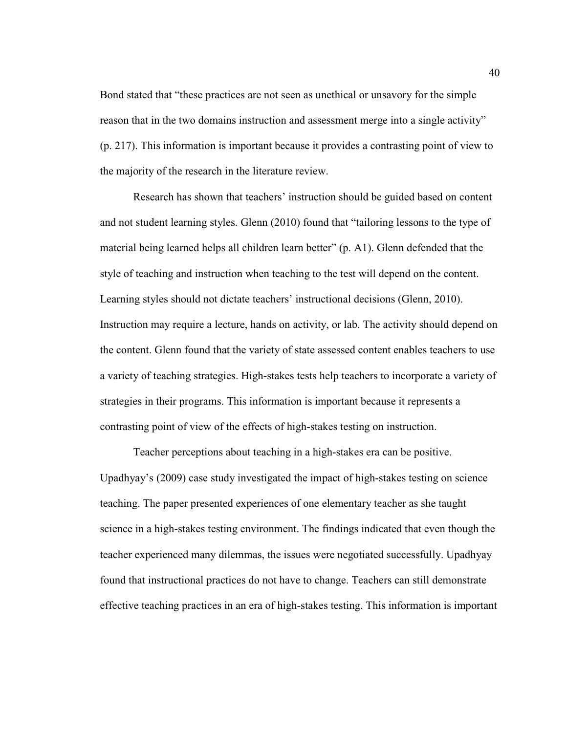Bond stated that "these practices are not seen as unethical or unsavory for the simple reason that in the two domains instruction and assessment merge into a single activity" (p. 217). This information is important because it provides a contrasting point of view to the majority of the research in the literature review.

Research has shown that teachers' instruction should be guided based on content and not student learning styles. Glenn (2010) found that "tailoring lessons to the type of material being learned helps all children learn better" (p. A1). Glenn defended that the style of teaching and instruction when teaching to the test will depend on the content. Learning styles should not dictate teachers' instructional decisions (Glenn, 2010). Instruction may require a lecture, hands on activity, or lab. The activity should depend on the content. Glenn found that the variety of state assessed content enables teachers to use a variety of teaching strategies. High-stakes tests help teachers to incorporate a variety of strategies in their programs. This information is important because it represents a contrasting point of view of the effects of high-stakes testing on instruction.

Teacher perceptions about teaching in a high-stakes era can be positive. Upadhyay's (2009) case study investigated the impact of high-stakes testing on science teaching. The paper presented experiences of one elementary teacher as she taught science in a high-stakes testing environment. The findings indicated that even though the teacher experienced many dilemmas, the issues were negotiated successfully. Upadhyay found that instructional practices do not have to change. Teachers can still demonstrate effective teaching practices in an era of high-stakes testing. This information is important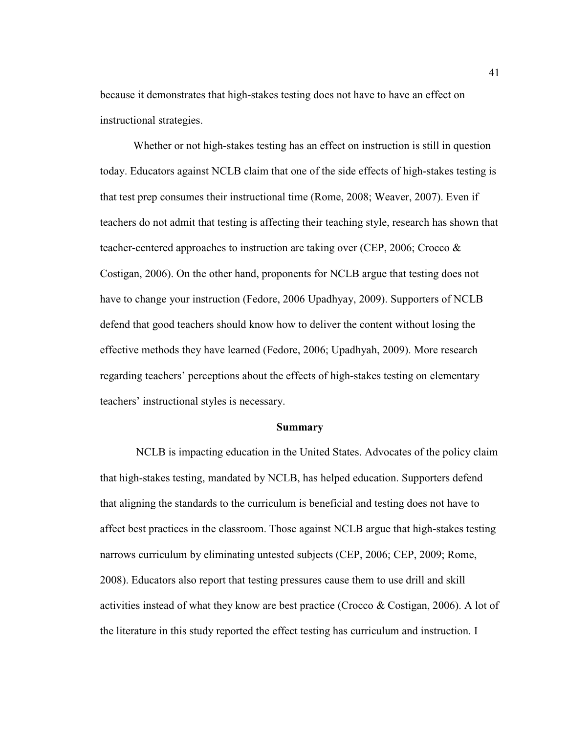because it demonstrates that high-stakes testing does not have to have an effect on instructional strategies.

Whether or not high-stakes testing has an effect on instruction is still in question today. Educators against NCLB claim that one of the side effects of high-stakes testing is that test prep consumes their instructional time (Rome, 2008; Weaver, 2007). Even if teachers do not admit that testing is affecting their teaching style, research has shown that teacher-centered approaches to instruction are taking over (CEP, 2006; Crocco & Costigan, 2006). On the other hand, proponents for NCLB argue that testing does not have to change your instruction (Fedore, 2006 Upadhyay, 2009). Supporters of NCLB defend that good teachers should know how to deliver the content without losing the effective methods they have learned (Fedore, 2006; Upadhyah, 2009). More research regarding teachers' perceptions about the effects of high-stakes testing on elementary teachers' instructional styles is necessary.

# **Summary**

 NCLB is impacting education in the United States. Advocates of the policy claim that high-stakes testing, mandated by NCLB, has helped education. Supporters defend that aligning the standards to the curriculum is beneficial and testing does not have to affect best practices in the classroom. Those against NCLB argue that high-stakes testing narrows curriculum by eliminating untested subjects (CEP, 2006; CEP, 2009; Rome, 2008). Educators also report that testing pressures cause them to use drill and skill activities instead of what they know are best practice (Crocco & Costigan, 2006). A lot of the literature in this study reported the effect testing has curriculum and instruction. I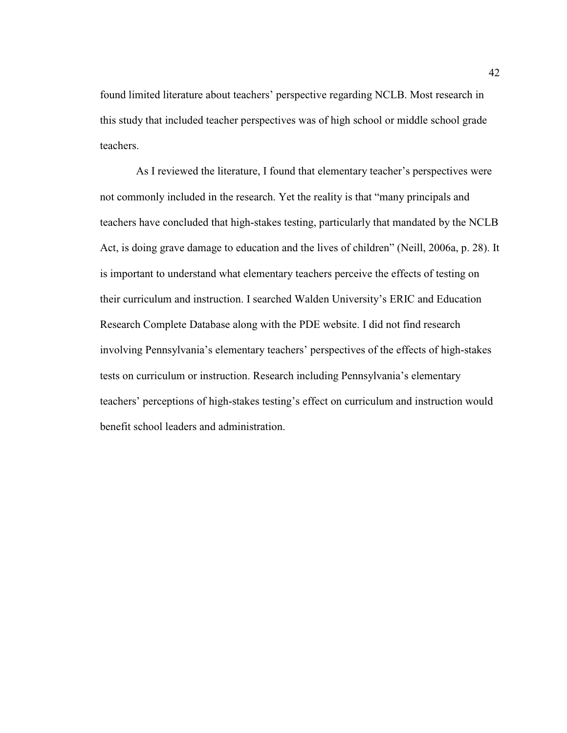found limited literature about teachers' perspective regarding NCLB. Most research in this study that included teacher perspectives was of high school or middle school grade teachers.

 As I reviewed the literature, I found that elementary teacher's perspectives were not commonly included in the research. Yet the reality is that "many principals and teachers have concluded that high-stakes testing, particularly that mandated by the NCLB Act, is doing grave damage to education and the lives of children" (Neill, 2006a, p. 28). It is important to understand what elementary teachers perceive the effects of testing on their curriculum and instruction. I searched Walden University's ERIC and Education Research Complete Database along with the PDE website. I did not find research involving Pennsylvania's elementary teachers' perspectives of the effects of high-stakes tests on curriculum or instruction. Research including Pennsylvania's elementary teachers' perceptions of high-stakes testing's effect on curriculum and instruction would benefit school leaders and administration.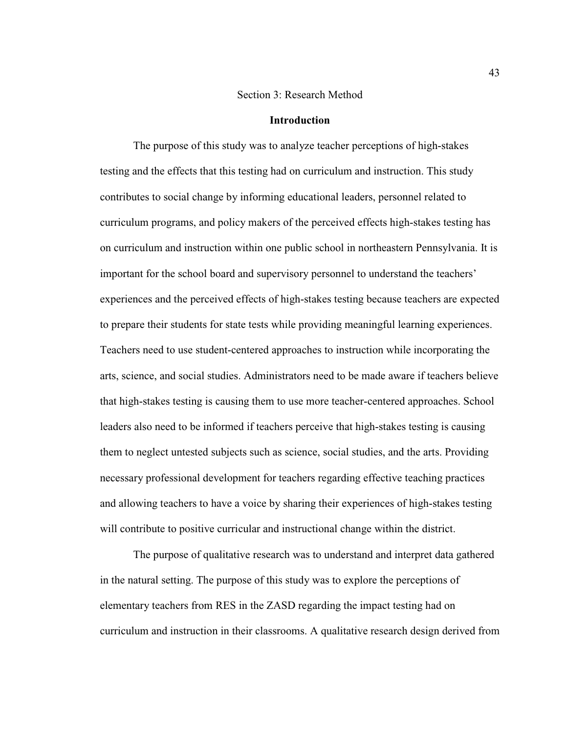### Section 3: Research Method

# **Introduction**

The purpose of this study was to analyze teacher perceptions of high-stakes testing and the effects that this testing had on curriculum and instruction. This study contributes to social change by informing educational leaders, personnel related to curriculum programs, and policy makers of the perceived effects high-stakes testing has on curriculum and instruction within one public school in northeastern Pennsylvania. It is important for the school board and supervisory personnel to understand the teachers' experiences and the perceived effects of high-stakes testing because teachers are expected to prepare their students for state tests while providing meaningful learning experiences. Teachers need to use student-centered approaches to instruction while incorporating the arts, science, and social studies. Administrators need to be made aware if teachers believe that high-stakes testing is causing them to use more teacher-centered approaches. School leaders also need to be informed if teachers perceive that high-stakes testing is causing them to neglect untested subjects such as science, social studies, and the arts. Providing necessary professional development for teachers regarding effective teaching practices and allowing teachers to have a voice by sharing their experiences of high-stakes testing will contribute to positive curricular and instructional change within the district.

The purpose of qualitative research was to understand and interpret data gathered in the natural setting. The purpose of this study was to explore the perceptions of elementary teachers from RES in the ZASD regarding the impact testing had on curriculum and instruction in their classrooms. A qualitative research design derived from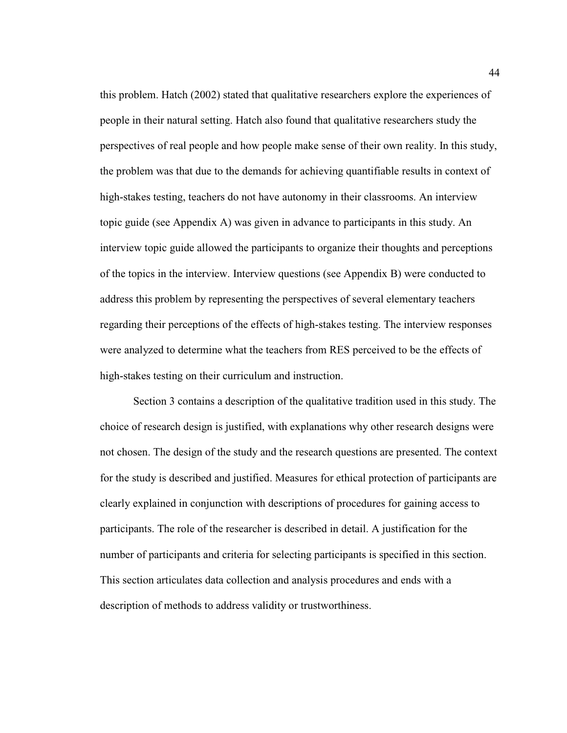this problem. Hatch (2002) stated that qualitative researchers explore the experiences of people in their natural setting. Hatch also found that qualitative researchers study the perspectives of real people and how people make sense of their own reality. In this study, the problem was that due to the demands for achieving quantifiable results in context of high-stakes testing, teachers do not have autonomy in their classrooms. An interview topic guide (see Appendix A) was given in advance to participants in this study. An interview topic guide allowed the participants to organize their thoughts and perceptions of the topics in the interview. Interview questions (see Appendix B) were conducted to address this problem by representing the perspectives of several elementary teachers regarding their perceptions of the effects of high-stakes testing. The interview responses were analyzed to determine what the teachers from RES perceived to be the effects of high-stakes testing on their curriculum and instruction.

Section 3 contains a description of the qualitative tradition used in this study. The choice of research design is justified, with explanations why other research designs were not chosen. The design of the study and the research questions are presented. The context for the study is described and justified. Measures for ethical protection of participants are clearly explained in conjunction with descriptions of procedures for gaining access to participants. The role of the researcher is described in detail. A justification for the number of participants and criteria for selecting participants is specified in this section. This section articulates data collection and analysis procedures and ends with a description of methods to address validity or trustworthiness.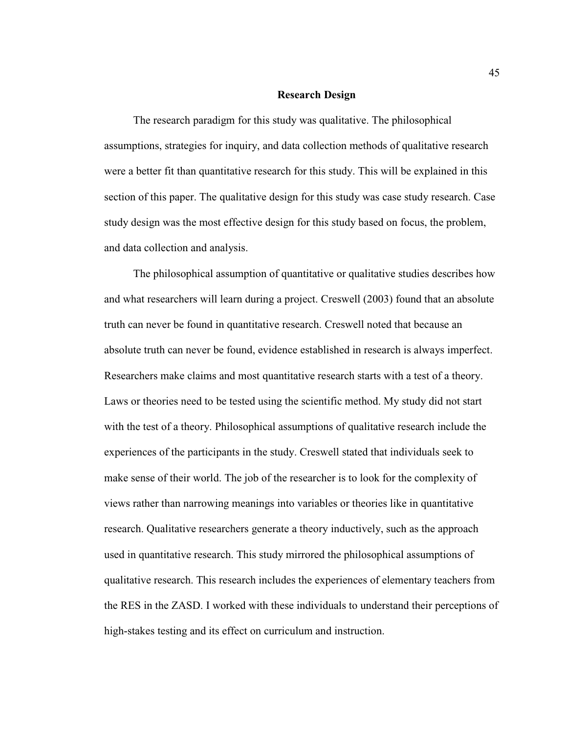### **Research Design**

The research paradigm for this study was qualitative. The philosophical assumptions, strategies for inquiry, and data collection methods of qualitative research were a better fit than quantitative research for this study. This will be explained in this section of this paper. The qualitative design for this study was case study research. Case study design was the most effective design for this study based on focus, the problem, and data collection and analysis.

The philosophical assumption of quantitative or qualitative studies describes how and what researchers will learn during a project. Creswell (2003) found that an absolute truth can never be found in quantitative research. Creswell noted that because an absolute truth can never be found, evidence established in research is always imperfect. Researchers make claims and most quantitative research starts with a test of a theory. Laws or theories need to be tested using the scientific method. My study did not start with the test of a theory. Philosophical assumptions of qualitative research include the experiences of the participants in the study. Creswell stated that individuals seek to make sense of their world. The job of the researcher is to look for the complexity of views rather than narrowing meanings into variables or theories like in quantitative research. Qualitative researchers generate a theory inductively, such as the approach used in quantitative research. This study mirrored the philosophical assumptions of qualitative research. This research includes the experiences of elementary teachers from the RES in the ZASD. I worked with these individuals to understand their perceptions of high-stakes testing and its effect on curriculum and instruction.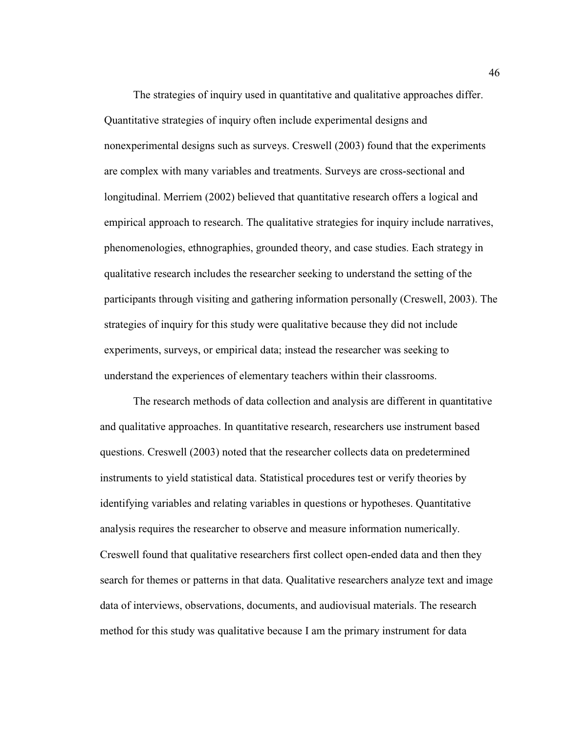The strategies of inquiry used in quantitative and qualitative approaches differ. Quantitative strategies of inquiry often include experimental designs and nonexperimental designs such as surveys. Creswell (2003) found that the experiments are complex with many variables and treatments. Surveys are cross-sectional and longitudinal. Merriem (2002) believed that quantitative research offers a logical and empirical approach to research. The qualitative strategies for inquiry include narratives, phenomenologies, ethnographies, grounded theory, and case studies. Each strategy in qualitative research includes the researcher seeking to understand the setting of the participants through visiting and gathering information personally (Creswell, 2003). The strategies of inquiry for this study were qualitative because they did not include experiments, surveys, or empirical data; instead the researcher was seeking to understand the experiences of elementary teachers within their classrooms.

The research methods of data collection and analysis are different in quantitative and qualitative approaches. In quantitative research, researchers use instrument based questions. Creswell (2003) noted that the researcher collects data on predetermined instruments to yield statistical data. Statistical procedures test or verify theories by identifying variables and relating variables in questions or hypotheses. Quantitative analysis requires the researcher to observe and measure information numerically. Creswell found that qualitative researchers first collect open-ended data and then they search for themes or patterns in that data. Qualitative researchers analyze text and image data of interviews, observations, documents, and audiovisual materials. The research method for this study was qualitative because I am the primary instrument for data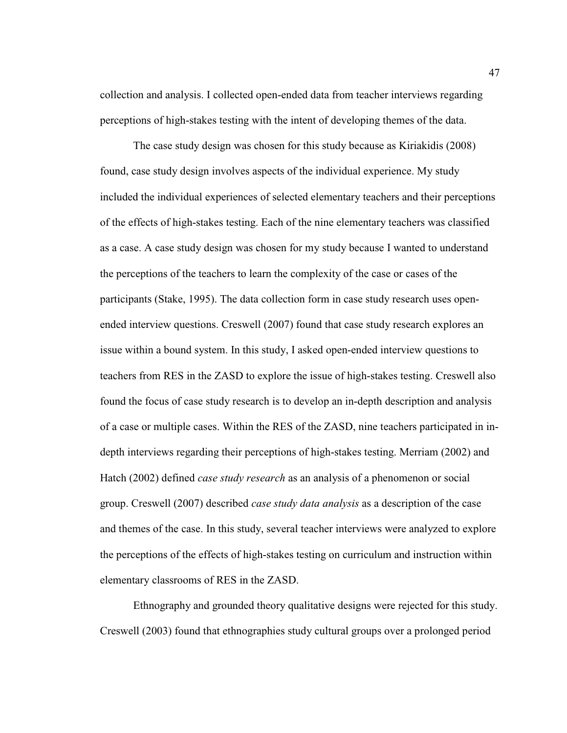collection and analysis. I collected open-ended data from teacher interviews regarding perceptions of high-stakes testing with the intent of developing themes of the data.

The case study design was chosen for this study because as Kiriakidis (2008) found, case study design involves aspects of the individual experience. My study included the individual experiences of selected elementary teachers and their perceptions of the effects of high-stakes testing. Each of the nine elementary teachers was classified as a case. A case study design was chosen for my study because I wanted to understand the perceptions of the teachers to learn the complexity of the case or cases of the participants (Stake, 1995). The data collection form in case study research uses openended interview questions. Creswell (2007) found that case study research explores an issue within a bound system. In this study, I asked open-ended interview questions to teachers from RES in the ZASD to explore the issue of high-stakes testing. Creswell also found the focus of case study research is to develop an in-depth description and analysis of a case or multiple cases. Within the RES of the ZASD, nine teachers participated in indepth interviews regarding their perceptions of high-stakes testing. Merriam (2002) and Hatch (2002) defined *case study research* as an analysis of a phenomenon or social group. Creswell (2007) described *case study data analysis* as a description of the case and themes of the case. In this study, several teacher interviews were analyzed to explore the perceptions of the effects of high-stakes testing on curriculum and instruction within elementary classrooms of RES in the ZASD.

Ethnography and grounded theory qualitative designs were rejected for this study. Creswell (2003) found that ethnographies study cultural groups over a prolonged period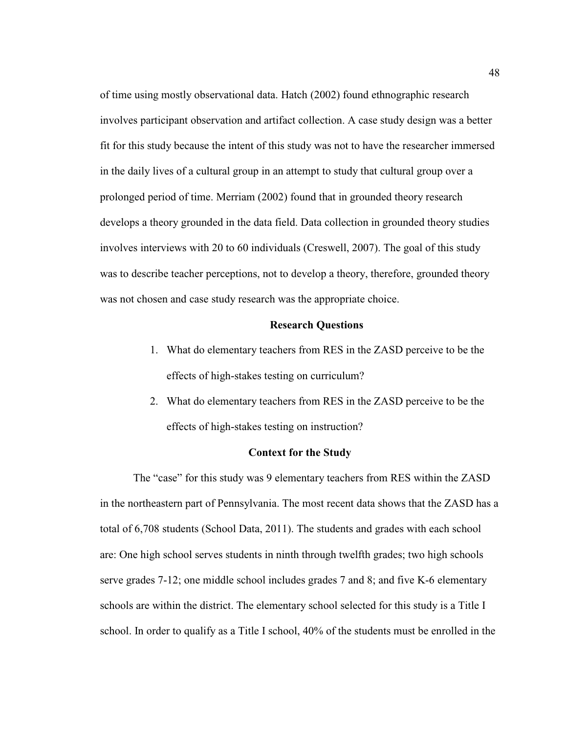of time using mostly observational data. Hatch (2002) found ethnographic research involves participant observation and artifact collection. A case study design was a better fit for this study because the intent of this study was not to have the researcher immersed in the daily lives of a cultural group in an attempt to study that cultural group over a prolonged period of time. Merriam (2002) found that in grounded theory research develops a theory grounded in the data field. Data collection in grounded theory studies involves interviews with 20 to 60 individuals (Creswell, 2007). The goal of this study was to describe teacher perceptions, not to develop a theory, therefore, grounded theory was not chosen and case study research was the appropriate choice.

### **Research Questions**

- 1. What do elementary teachers from RES in the ZASD perceive to be the effects of high-stakes testing on curriculum?
- 2. What do elementary teachers from RES in the ZASD perceive to be the effects of high-stakes testing on instruction?

## **Context for the Study**

The "case" for this study was 9 elementary teachers from RES within the ZASD in the northeastern part of Pennsylvania. The most recent data shows that the ZASD has a total of 6,708 students (School Data, 2011). The students and grades with each school are: One high school serves students in ninth through twelfth grades; two high schools serve grades 7-12; one middle school includes grades 7 and 8; and five K-6 elementary schools are within the district. The elementary school selected for this study is a Title I school. In order to qualify as a Title I school, 40% of the students must be enrolled in the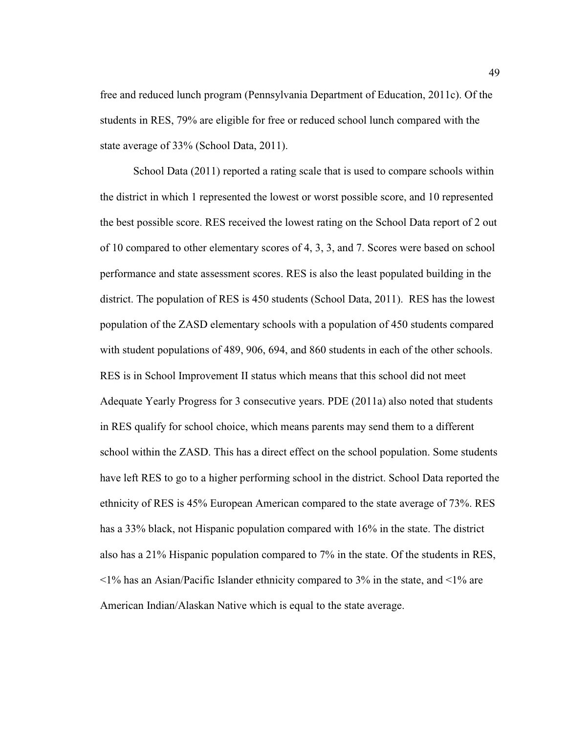free and reduced lunch program (Pennsylvania Department of Education, 2011c). Of the students in RES, 79% are eligible for free or reduced school lunch compared with the state average of 33% (School Data, 2011).

School Data (2011) reported a rating scale that is used to compare schools within the district in which 1 represented the lowest or worst possible score, and 10 represented the best possible score. RES received the lowest rating on the School Data report of 2 out of 10 compared to other elementary scores of 4, 3, 3, and 7. Scores were based on school performance and state assessment scores. RES is also the least populated building in the district. The population of RES is 450 students (School Data, 2011). RES has the lowest population of the ZASD elementary schools with a population of 450 students compared with student populations of 489, 906, 694, and 860 students in each of the other schools. RES is in School Improvement II status which means that this school did not meet Adequate Yearly Progress for 3 consecutive years. PDE (2011a) also noted that students in RES qualify for school choice, which means parents may send them to a different school within the ZASD. This has a direct effect on the school population. Some students have left RES to go to a higher performing school in the district. School Data reported the ethnicity of RES is 45% European American compared to the state average of 73%. RES has a 33% black, not Hispanic population compared with 16% in the state. The district also has a 21% Hispanic population compared to 7% in the state. Of the students in RES,  $\leq$ 1% has an Asian/Pacific Islander ethnicity compared to 3% in the state, and  $\leq$ 1% are American Indian/Alaskan Native which is equal to the state average.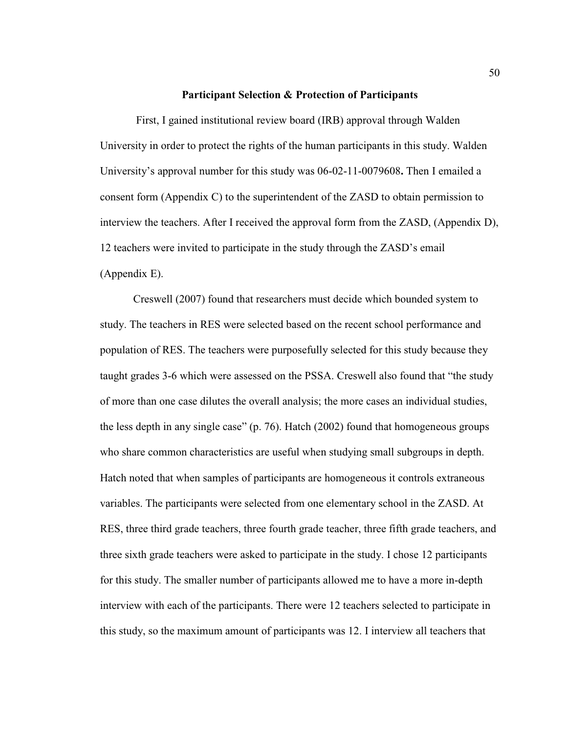### **Participant Selection & Protection of Participants**

 First, I gained institutional review board (IRB) approval through Walden University in order to protect the rights of the human participants in this study. Walden University's approval number for this study was 06-02-11-0079608**.** Then I emailed a consent form (Appendix C) to the superintendent of the ZASD to obtain permission to interview the teachers. After I received the approval form from the ZASD, (Appendix D), 12 teachers were invited to participate in the study through the ZASD's email (Appendix E).

 Creswell (2007) found that researchers must decide which bounded system to study. The teachers in RES were selected based on the recent school performance and population of RES. The teachers were purposefully selected for this study because they taught grades 3-6 which were assessed on the PSSA. Creswell also found that "the study of more than one case dilutes the overall analysis; the more cases an individual studies, the less depth in any single case" (p. 76). Hatch (2002) found that homogeneous groups who share common characteristics are useful when studying small subgroups in depth. Hatch noted that when samples of participants are homogeneous it controls extraneous variables. The participants were selected from one elementary school in the ZASD. At RES, three third grade teachers, three fourth grade teacher, three fifth grade teachers, and three sixth grade teachers were asked to participate in the study. I chose 12 participants for this study. The smaller number of participants allowed me to have a more in-depth interview with each of the participants. There were 12 teachers selected to participate in this study, so the maximum amount of participants was 12. I interview all teachers that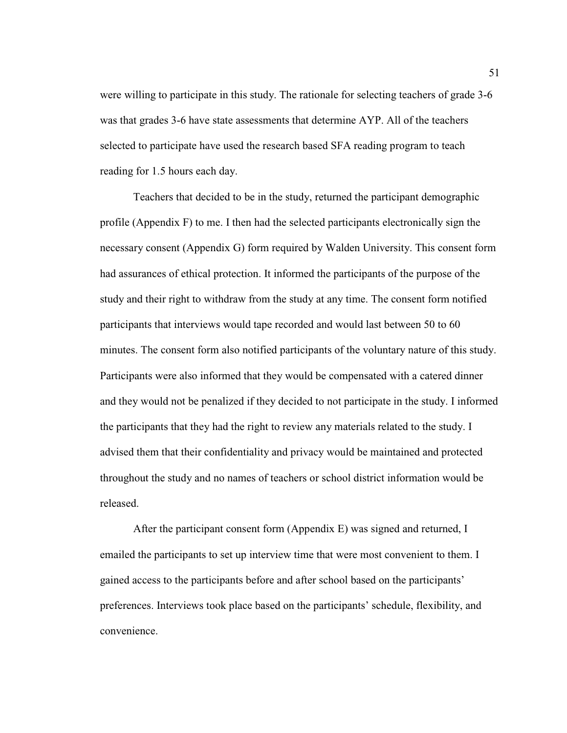were willing to participate in this study. The rationale for selecting teachers of grade 3-6 was that grades 3-6 have state assessments that determine AYP. All of the teachers selected to participate have used the research based SFA reading program to teach reading for 1.5 hours each day.

 Teachers that decided to be in the study, returned the participant demographic profile (Appendix F) to me. I then had the selected participants electronically sign the necessary consent (Appendix G) form required by Walden University. This consent form had assurances of ethical protection. It informed the participants of the purpose of the study and their right to withdraw from the study at any time. The consent form notified participants that interviews would tape recorded and would last between 50 to 60 minutes. The consent form also notified participants of the voluntary nature of this study. Participants were also informed that they would be compensated with a catered dinner and they would not be penalized if they decided to not participate in the study. I informed the participants that they had the right to review any materials related to the study. I advised them that their confidentiality and privacy would be maintained and protected throughout the study and no names of teachers or school district information would be released.

 After the participant consent form (Appendix E) was signed and returned, I emailed the participants to set up interview time that were most convenient to them. I gained access to the participants before and after school based on the participants' preferences. Interviews took place based on the participants' schedule, flexibility, and convenience.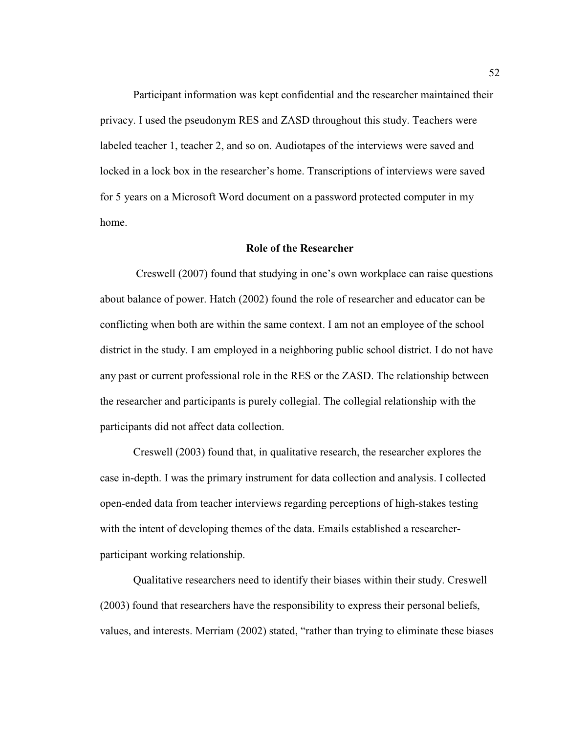Participant information was kept confidential and the researcher maintained their privacy. I used the pseudonym RES and ZASD throughout this study. Teachers were labeled teacher 1, teacher 2, and so on. Audiotapes of the interviews were saved and locked in a lock box in the researcher's home. Transcriptions of interviews were saved for 5 years on a Microsoft Word document on a password protected computer in my home.

# **Role of the Researcher**

 Creswell (2007) found that studying in one's own workplace can raise questions about balance of power. Hatch (2002) found the role of researcher and educator can be conflicting when both are within the same context. I am not an employee of the school district in the study. I am employed in a neighboring public school district. I do not have any past or current professional role in the RES or the ZASD. The relationship between the researcher and participants is purely collegial. The collegial relationship with the participants did not affect data collection.

 Creswell (2003) found that, in qualitative research, the researcher explores the case in-depth. I was the primary instrument for data collection and analysis. I collected open-ended data from teacher interviews regarding perceptions of high-stakes testing with the intent of developing themes of the data. Emails established a researcherparticipant working relationship.

 Qualitative researchers need to identify their biases within their study. Creswell (2003) found that researchers have the responsibility to express their personal beliefs, values, and interests. Merriam (2002) stated, "rather than trying to eliminate these biases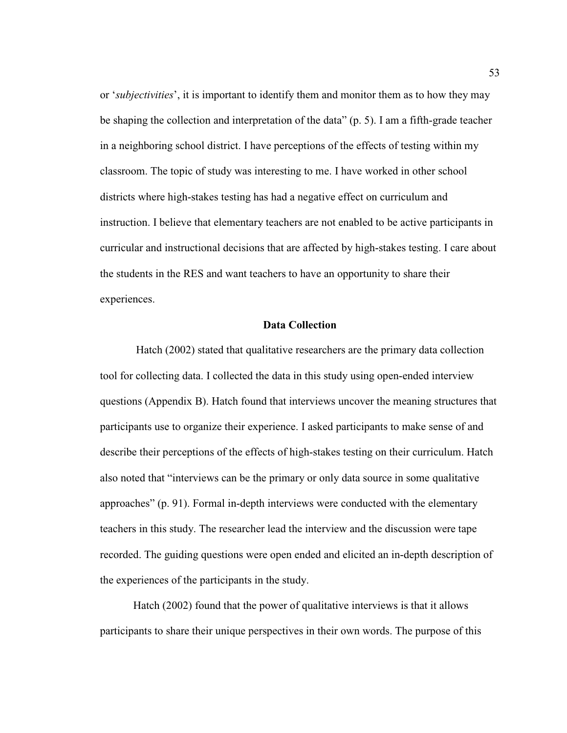or '*subjectivities*', it is important to identify them and monitor them as to how they may be shaping the collection and interpretation of the data" (p. 5). I am a fifth-grade teacher in a neighboring school district. I have perceptions of the effects of testing within my classroom. The topic of study was interesting to me. I have worked in other school districts where high-stakes testing has had a negative effect on curriculum and instruction. I believe that elementary teachers are not enabled to be active participants in curricular and instructional decisions that are affected by high-stakes testing. I care about the students in the RES and want teachers to have an opportunity to share their experiences.

# **Data Collection**

 Hatch (2002) stated that qualitative researchers are the primary data collection tool for collecting data. I collected the data in this study using open-ended interview questions (Appendix B). Hatch found that interviews uncover the meaning structures that participants use to organize their experience. I asked participants to make sense of and describe their perceptions of the effects of high-stakes testing on their curriculum. Hatch also noted that "interviews can be the primary or only data source in some qualitative approaches" (p. 91). Formal in-depth interviews were conducted with the elementary teachers in this study. The researcher lead the interview and the discussion were tape recorded. The guiding questions were open ended and elicited an in-depth description of the experiences of the participants in the study.

Hatch (2002) found that the power of qualitative interviews is that it allows participants to share their unique perspectives in their own words. The purpose of this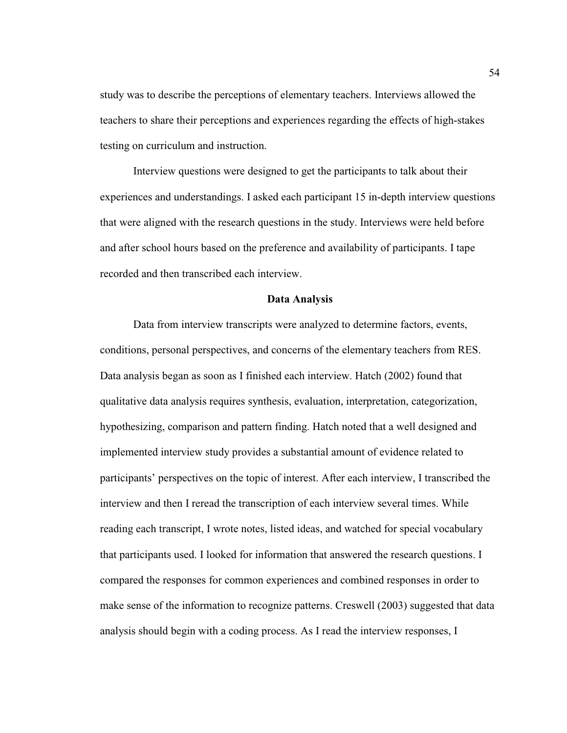study was to describe the perceptions of elementary teachers. Interviews allowed the teachers to share their perceptions and experiences regarding the effects of high-stakes testing on curriculum and instruction.

 Interview questions were designed to get the participants to talk about their experiences and understandings. I asked each participant 15 in-depth interview questions that were aligned with the research questions in the study. Interviews were held before and after school hours based on the preference and availability of participants. I tape recorded and then transcribed each interview.

### **Data Analysis**

 Data from interview transcripts were analyzed to determine factors, events, conditions, personal perspectives, and concerns of the elementary teachers from RES. Data analysis began as soon as I finished each interview. Hatch (2002) found that qualitative data analysis requires synthesis, evaluation, interpretation, categorization, hypothesizing, comparison and pattern finding. Hatch noted that a well designed and implemented interview study provides a substantial amount of evidence related to participants' perspectives on the topic of interest. After each interview, I transcribed the interview and then I reread the transcription of each interview several times. While reading each transcript, I wrote notes, listed ideas, and watched for special vocabulary that participants used. I looked for information that answered the research questions. I compared the responses for common experiences and combined responses in order to make sense of the information to recognize patterns. Creswell (2003) suggested that data analysis should begin with a coding process. As I read the interview responses, I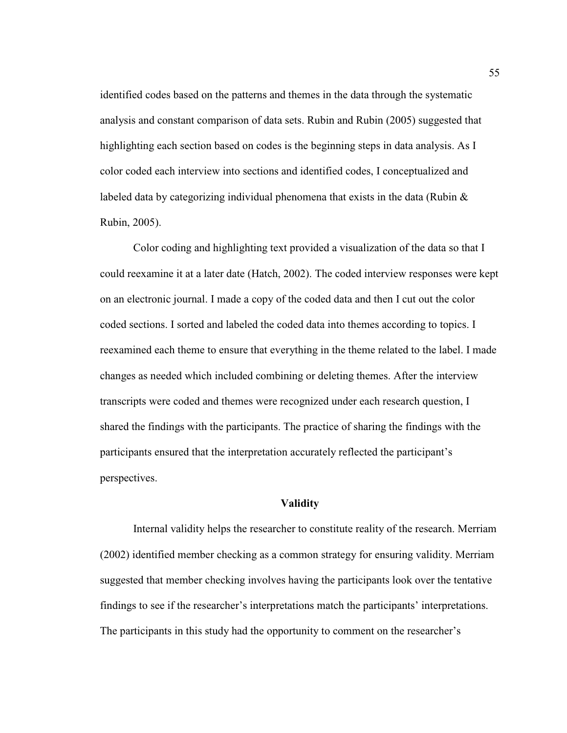identified codes based on the patterns and themes in the data through the systematic analysis and constant comparison of data sets. Rubin and Rubin (2005) suggested that highlighting each section based on codes is the beginning steps in data analysis. As I color coded each interview into sections and identified codes, I conceptualized and labeled data by categorizing individual phenomena that exists in the data (Rubin  $\&$ Rubin, 2005).

 Color coding and highlighting text provided a visualization of the data so that I could reexamine it at a later date (Hatch, 2002). The coded interview responses were kept on an electronic journal. I made a copy of the coded data and then I cut out the color coded sections. I sorted and labeled the coded data into themes according to topics. I reexamined each theme to ensure that everything in the theme related to the label. I made changes as needed which included combining or deleting themes. After the interview transcripts were coded and themes were recognized under each research question, I shared the findings with the participants. The practice of sharing the findings with the participants ensured that the interpretation accurately reflected the participant's perspectives.

# **Validity**

 Internal validity helps the researcher to constitute reality of the research. Merriam (2002) identified member checking as a common strategy for ensuring validity. Merriam suggested that member checking involves having the participants look over the tentative findings to see if the researcher's interpretations match the participants' interpretations. The participants in this study had the opportunity to comment on the researcher's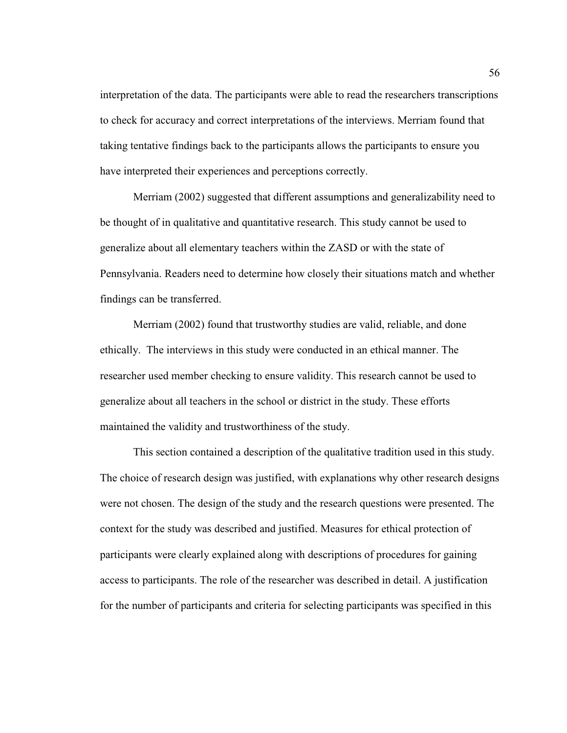interpretation of the data. The participants were able to read the researchers transcriptions to check for accuracy and correct interpretations of the interviews. Merriam found that taking tentative findings back to the participants allows the participants to ensure you have interpreted their experiences and perceptions correctly.

 Merriam (2002) suggested that different assumptions and generalizability need to be thought of in qualitative and quantitative research. This study cannot be used to generalize about all elementary teachers within the ZASD or with the state of Pennsylvania. Readers need to determine how closely their situations match and whether findings can be transferred.

 Merriam (2002) found that trustworthy studies are valid, reliable, and done ethically. The interviews in this study were conducted in an ethical manner. The researcher used member checking to ensure validity. This research cannot be used to generalize about all teachers in the school or district in the study. These efforts maintained the validity and trustworthiness of the study.

This section contained a description of the qualitative tradition used in this study. The choice of research design was justified, with explanations why other research designs were not chosen. The design of the study and the research questions were presented. The context for the study was described and justified. Measures for ethical protection of participants were clearly explained along with descriptions of procedures for gaining access to participants. The role of the researcher was described in detail. A justification for the number of participants and criteria for selecting participants was specified in this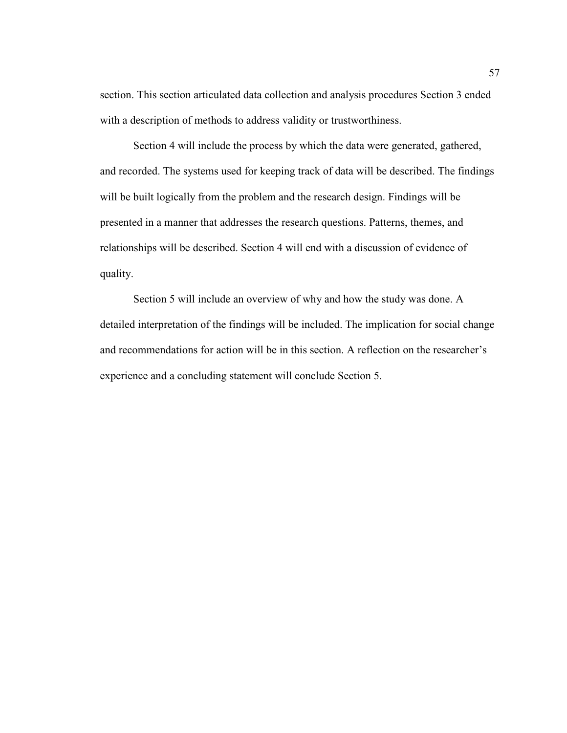section. This section articulated data collection and analysis procedures Section 3 ended with a description of methods to address validity or trustworthiness.

Section 4 will include the process by which the data were generated, gathered, and recorded. The systems used for keeping track of data will be described. The findings will be built logically from the problem and the research design. Findings will be presented in a manner that addresses the research questions. Patterns, themes, and relationships will be described. Section 4 will end with a discussion of evidence of quality.

Section 5 will include an overview of why and how the study was done. A detailed interpretation of the findings will be included. The implication for social change and recommendations for action will be in this section. A reflection on the researcher's experience and a concluding statement will conclude Section 5.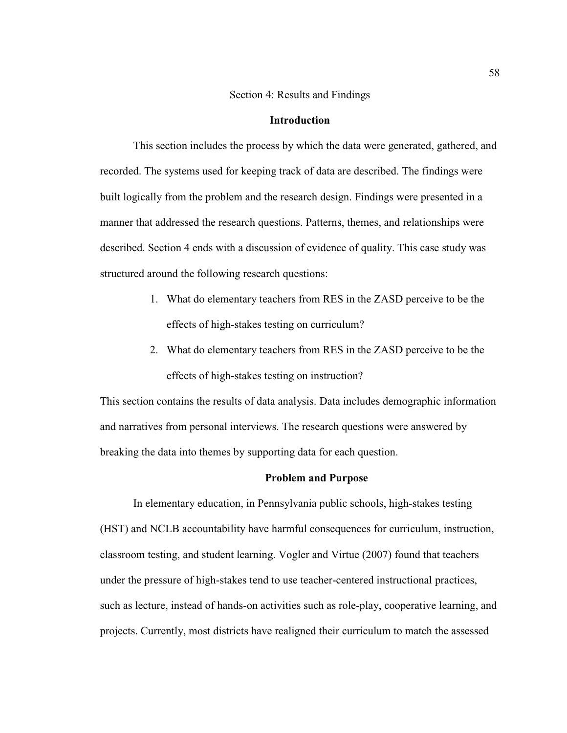#### Section 4: Results and Findings

# **Introduction**

This section includes the process by which the data were generated, gathered, and recorded. The systems used for keeping track of data are described. The findings were built logically from the problem and the research design. Findings were presented in a manner that addressed the research questions. Patterns, themes, and relationships were described. Section 4 ends with a discussion of evidence of quality. This case study was structured around the following research questions:

- 1. What do elementary teachers from RES in the ZASD perceive to be the effects of high-stakes testing on curriculum?
- 2. What do elementary teachers from RES in the ZASD perceive to be the effects of high-stakes testing on instruction?

This section contains the results of data analysis. Data includes demographic information and narratives from personal interviews. The research questions were answered by breaking the data into themes by supporting data for each question.

# **Problem and Purpose**

In elementary education, in Pennsylvania public schools, high-stakes testing (HST) and NCLB accountability have harmful consequences for curriculum, instruction, classroom testing, and student learning. Vogler and Virtue (2007) found that teachers under the pressure of high-stakes tend to use teacher-centered instructional practices, such as lecture, instead of hands-on activities such as role-play, cooperative learning, and projects. Currently, most districts have realigned their curriculum to match the assessed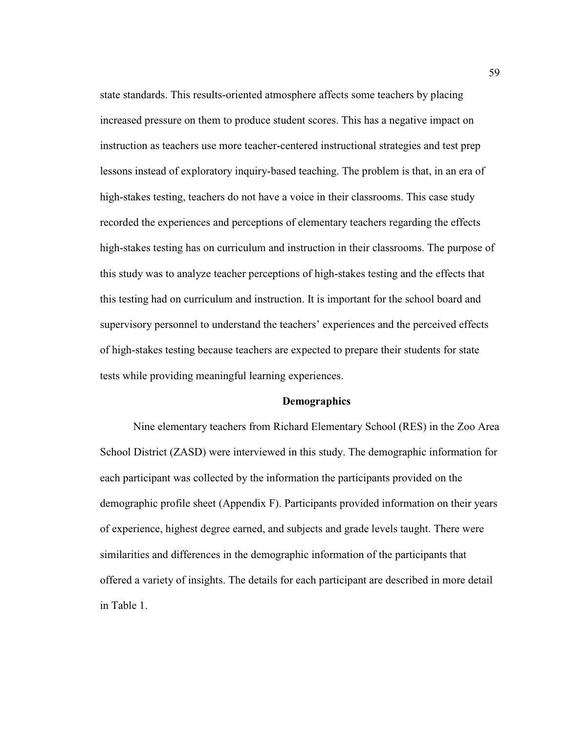state standards. This results-oriented atmosphere affects some teachers by placing increased pressure on them to produce student scores. This has a negative impact on instruction as teachers use more teacher-centered instructional strategies and test prep lessons instead of exploratory inquiry-based teaching. The problem is that, in an era of high-stakes testing, teachers do not have a voice in their classrooms. This case study recorded the experiences and perceptions of elementary teachers regarding the effects high-stakes testing has on curriculum and instruction in their classrooms. The purpose of this study was to analyze teacher perceptions of high-stakes testing and the effects that this testing had on curriculum and instruction. It is important for the school board and supervisory personnel to understand the teachers' experiences and the perceived effects of high-stakes testing because teachers are expected to prepare their students for state tests while providing meaningful learning experiences.

# **Demographics**

Nine elementary teachers from Richard Elementary School (RES) in the Zoo Area School District (ZASD) were interviewed in this study. The demographic information for each participant was collected by the information the participants provided on the demographic profile sheet (Appendix F). Participants provided information on their years of experience, highest degree earned, and subjects and grade levels taught. There were similarities and differences in the demographic information of the participants that offered a variety of insights. The details for each participant are described in more detail in Table 1.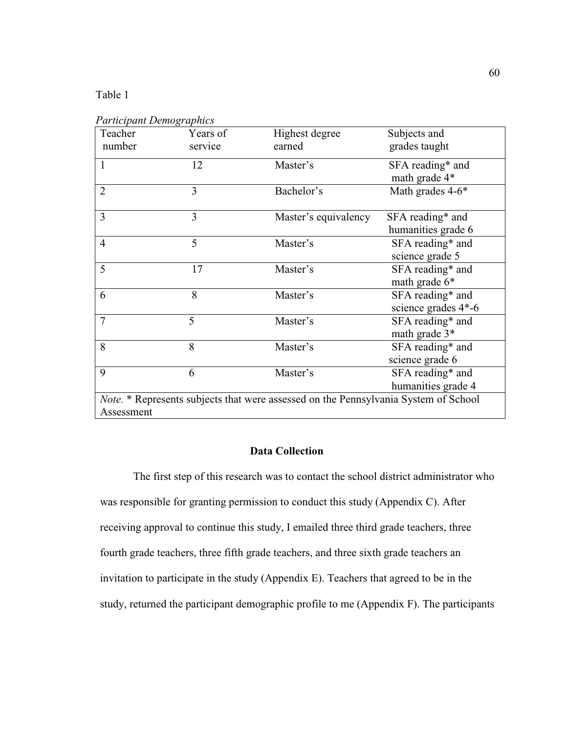# Table 1

| <i>i</i> urucipani Demographics<br>Teacher<br>number                                                     | Years of<br>service | Highest degree<br>earned | Subjects and<br>grades taught           |
|----------------------------------------------------------------------------------------------------------|---------------------|--------------------------|-----------------------------------------|
| 1                                                                                                        | 12                  | Master's                 | SFA reading* and<br>math grade 4*       |
| $\overline{2}$                                                                                           | 3                   | Bachelor's               | Math grades 4-6*                        |
| 3                                                                                                        | 3                   | Master's equivalency     | SFA reading* and<br>humanities grade 6  |
| $\overline{4}$                                                                                           | 5                   | Master's                 | SFA reading* and<br>science grade 5     |
| 5                                                                                                        | 17                  | Master's                 | SFA reading* and<br>math grade 6*       |
| 6                                                                                                        | 8                   | Master's                 | SFA reading* and<br>science grades 4*-6 |
| $\overline{7}$                                                                                           | 5                   | Master's                 | SFA reading* and<br>math grade $3*$     |
| 8                                                                                                        | 8                   | Master's                 | SFA reading* and<br>science grade 6     |
| 9                                                                                                        | 6                   | Master's                 | SFA reading* and<br>humanities grade 4  |
| <i>Note.</i> * Represents subjects that were assessed on the Pennsylvania System of School<br>Assessment |                     |                          |                                         |

*Participant Demographics* 

## **Data Collection**

 The first step of this research was to contact the school district administrator who was responsible for granting permission to conduct this study (Appendix C). After receiving approval to continue this study, I emailed three third grade teachers, three fourth grade teachers, three fifth grade teachers, and three sixth grade teachers an invitation to participate in the study (Appendix E). Teachers that agreed to be in the study, returned the participant demographic profile to me (Appendix F). The participants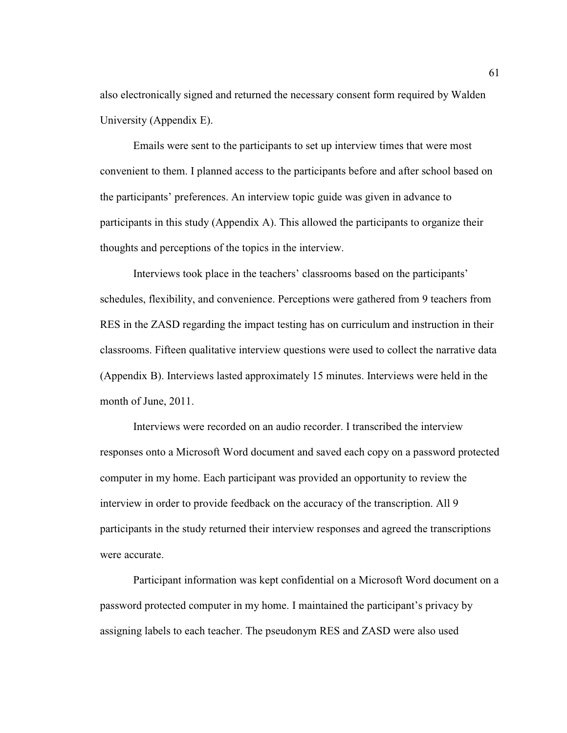also electronically signed and returned the necessary consent form required by Walden University (Appendix E).

Emails were sent to the participants to set up interview times that were most convenient to them. I planned access to the participants before and after school based on the participants' preferences. An interview topic guide was given in advance to participants in this study (Appendix A). This allowed the participants to organize their thoughts and perceptions of the topics in the interview.

Interviews took place in the teachers' classrooms based on the participants' schedules, flexibility, and convenience. Perceptions were gathered from 9 teachers from RES in the ZASD regarding the impact testing has on curriculum and instruction in their classrooms. Fifteen qualitative interview questions were used to collect the narrative data (Appendix B). Interviews lasted approximately 15 minutes. Interviews were held in the month of June, 2011.

Interviews were recorded on an audio recorder. I transcribed the interview responses onto a Microsoft Word document and saved each copy on a password protected computer in my home. Each participant was provided an opportunity to review the interview in order to provide feedback on the accuracy of the transcription. All 9 participants in the study returned their interview responses and agreed the transcriptions were accurate.

Participant information was kept confidential on a Microsoft Word document on a password protected computer in my home. I maintained the participant's privacy by assigning labels to each teacher. The pseudonym RES and ZASD were also used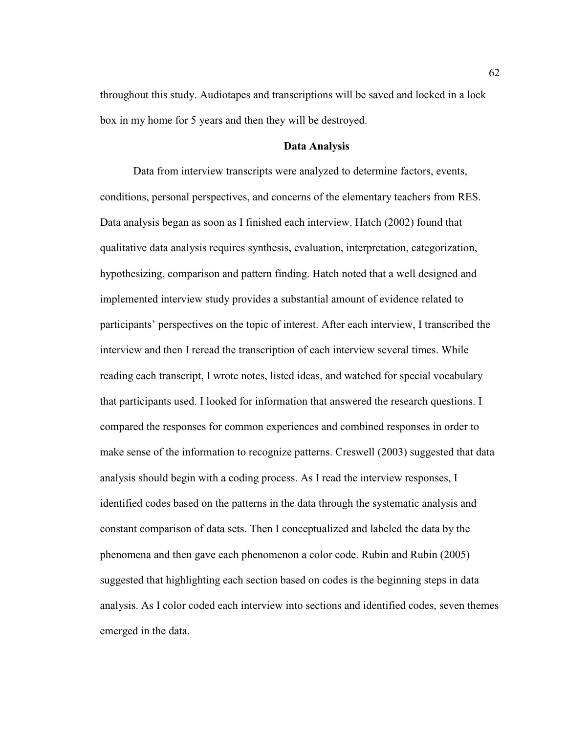throughout this study. Audiotapes and transcriptions will be saved and locked in a lock box in my home for 5 years and then they will be destroyed.

#### **Data Analysis**

 Data from interview transcripts were analyzed to determine factors, events, conditions, personal perspectives, and concerns of the elementary teachers from RES. Data analysis began as soon as I finished each interview. Hatch (2002) found that qualitative data analysis requires synthesis, evaluation, interpretation, categorization, hypothesizing, comparison and pattern finding. Hatch noted that a well designed and implemented interview study provides a substantial amount of evidence related to participants' perspectives on the topic of interest. After each interview, I transcribed the interview and then I reread the transcription of each interview several times. While reading each transcript, I wrote notes, listed ideas, and watched for special vocabulary that participants used. I looked for information that answered the research questions. I compared the responses for common experiences and combined responses in order to make sense of the information to recognize patterns. Creswell (2003) suggested that data analysis should begin with a coding process. As I read the interview responses, I identified codes based on the patterns in the data through the systematic analysis and constant comparison of data sets. Then I conceptualized and labeled the data by the phenomena and then gave each phenomenon a color code. Rubin and Rubin (2005) suggested that highlighting each section based on codes is the beginning steps in data analysis. As I color coded each interview into sections and identified codes, seven themes emerged in the data.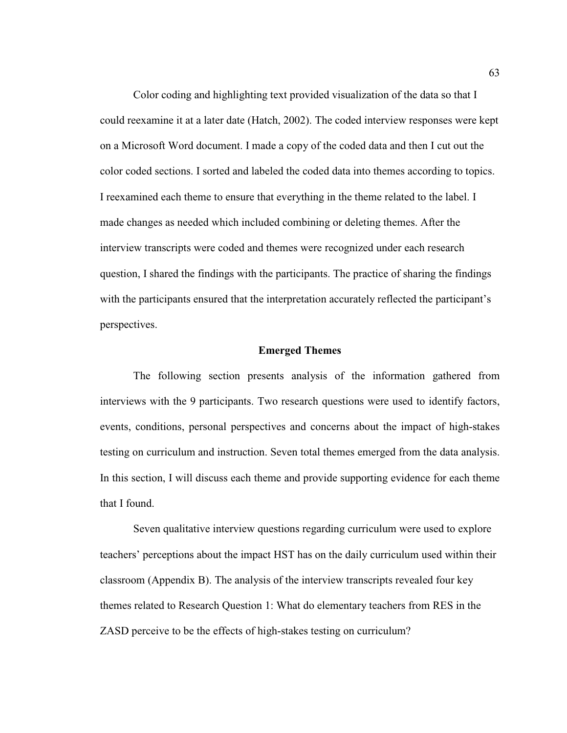Color coding and highlighting text provided visualization of the data so that I could reexamine it at a later date (Hatch, 2002). The coded interview responses were kept on a Microsoft Word document. I made a copy of the coded data and then I cut out the color coded sections. I sorted and labeled the coded data into themes according to topics. I reexamined each theme to ensure that everything in the theme related to the label. I made changes as needed which included combining or deleting themes. After the interview transcripts were coded and themes were recognized under each research question, I shared the findings with the participants. The practice of sharing the findings with the participants ensured that the interpretation accurately reflected the participant's perspectives.

## **Emerged Themes**

The following section presents analysis of the information gathered from interviews with the 9 participants. Two research questions were used to identify factors, events, conditions, personal perspectives and concerns about the impact of high-stakes testing on curriculum and instruction. Seven total themes emerged from the data analysis. In this section, I will discuss each theme and provide supporting evidence for each theme that I found.

Seven qualitative interview questions regarding curriculum were used to explore teachers' perceptions about the impact HST has on the daily curriculum used within their classroom (Appendix B). The analysis of the interview transcripts revealed four key themes related to Research Question 1: What do elementary teachers from RES in the ZASD perceive to be the effects of high-stakes testing on curriculum?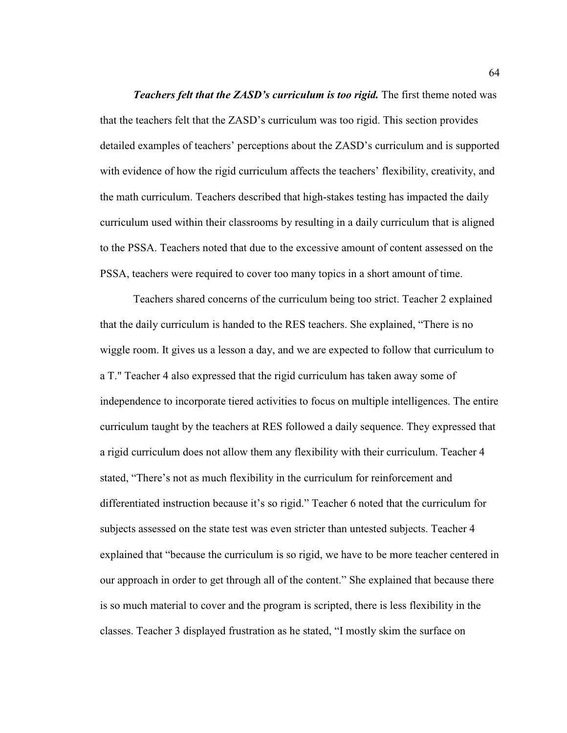*Teachers felt that the ZASD's curriculum is too rigid.* The first theme noted was that the teachers felt that the ZASD's curriculum was too rigid. This section provides detailed examples of teachers' perceptions about the ZASD's curriculum and is supported with evidence of how the rigid curriculum affects the teachers' flexibility, creativity, and the math curriculum. Teachers described that high-stakes testing has impacted the daily curriculum used within their classrooms by resulting in a daily curriculum that is aligned to the PSSA. Teachers noted that due to the excessive amount of content assessed on the PSSA, teachers were required to cover too many topics in a short amount of time.

Teachers shared concerns of the curriculum being too strict. Teacher 2 explained that the daily curriculum is handed to the RES teachers. She explained, "There is no wiggle room. It gives us a lesson a day, and we are expected to follow that curriculum to a T." Teacher 4 also expressed that the rigid curriculum has taken away some of independence to incorporate tiered activities to focus on multiple intelligences. The entire curriculum taught by the teachers at RES followed a daily sequence. They expressed that a rigid curriculum does not allow them any flexibility with their curriculum. Teacher 4 stated, "There's not as much flexibility in the curriculum for reinforcement and differentiated instruction because it's so rigid." Teacher 6 noted that the curriculum for subjects assessed on the state test was even stricter than untested subjects. Teacher 4 explained that "because the curriculum is so rigid, we have to be more teacher centered in our approach in order to get through all of the content." She explained that because there is so much material to cover and the program is scripted, there is less flexibility in the classes. Teacher 3 displayed frustration as he stated, "I mostly skim the surface on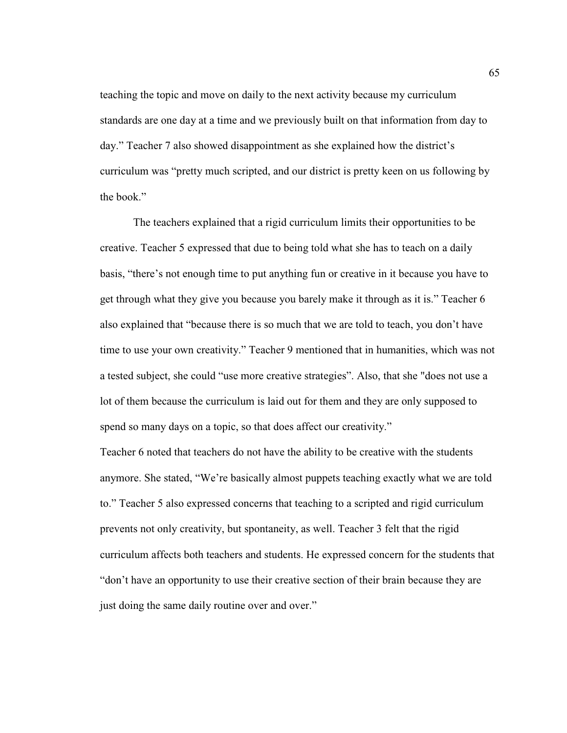teaching the topic and move on daily to the next activity because my curriculum standards are one day at a time and we previously built on that information from day to day." Teacher 7 also showed disappointment as she explained how the district's curriculum was "pretty much scripted, and our district is pretty keen on us following by the book."

The teachers explained that a rigid curriculum limits their opportunities to be creative. Teacher 5 expressed that due to being told what she has to teach on a daily basis, "there's not enough time to put anything fun or creative in it because you have to get through what they give you because you barely make it through as it is." Teacher 6 also explained that "because there is so much that we are told to teach, you don't have time to use your own creativity." Teacher 9 mentioned that in humanities, which was not a tested subject, she could "use more creative strategies". Also, that she "does not use a lot of them because the curriculum is laid out for them and they are only supposed to spend so many days on a topic, so that does affect our creativity."

Teacher 6 noted that teachers do not have the ability to be creative with the students anymore. She stated, "We're basically almost puppets teaching exactly what we are told to." Teacher 5 also expressed concerns that teaching to a scripted and rigid curriculum prevents not only creativity, but spontaneity, as well. Teacher 3 felt that the rigid curriculum affects both teachers and students. He expressed concern for the students that "don't have an opportunity to use their creative section of their brain because they are just doing the same daily routine over and over."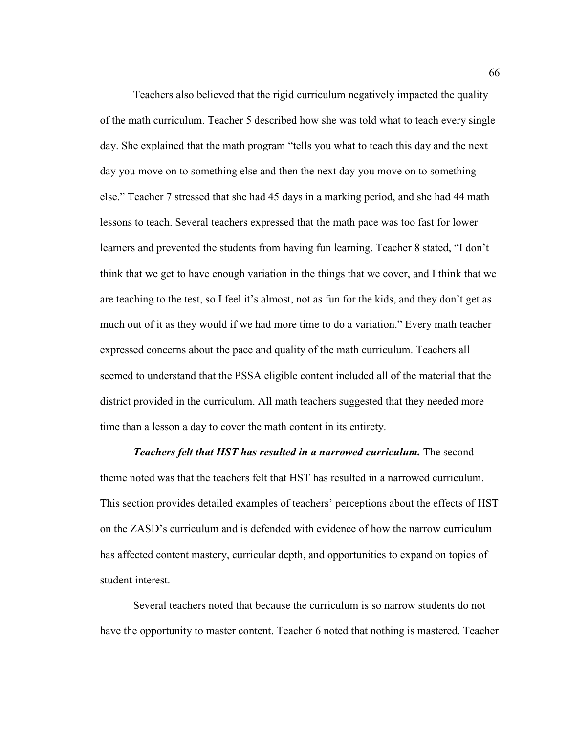Teachers also believed that the rigid curriculum negatively impacted the quality of the math curriculum. Teacher 5 described how she was told what to teach every single day. She explained that the math program "tells you what to teach this day and the next day you move on to something else and then the next day you move on to something else." Teacher 7 stressed that she had 45 days in a marking period, and she had 44 math lessons to teach. Several teachers expressed that the math pace was too fast for lower learners and prevented the students from having fun learning. Teacher 8 stated, "I don't think that we get to have enough variation in the things that we cover, and I think that we are teaching to the test, so I feel it's almost, not as fun for the kids, and they don't get as much out of it as they would if we had more time to do a variation." Every math teacher expressed concerns about the pace and quality of the math curriculum. Teachers all seemed to understand that the PSSA eligible content included all of the material that the district provided in the curriculum. All math teachers suggested that they needed more time than a lesson a day to cover the math content in its entirety.

*Teachers felt that HST has resulted in a narrowed curriculum.* The second theme noted was that the teachers felt that HST has resulted in a narrowed curriculum. This section provides detailed examples of teachers' perceptions about the effects of HST on the ZASD's curriculum and is defended with evidence of how the narrow curriculum has affected content mastery, curricular depth, and opportunities to expand on topics of student interest.

Several teachers noted that because the curriculum is so narrow students do not have the opportunity to master content. Teacher 6 noted that nothing is mastered. Teacher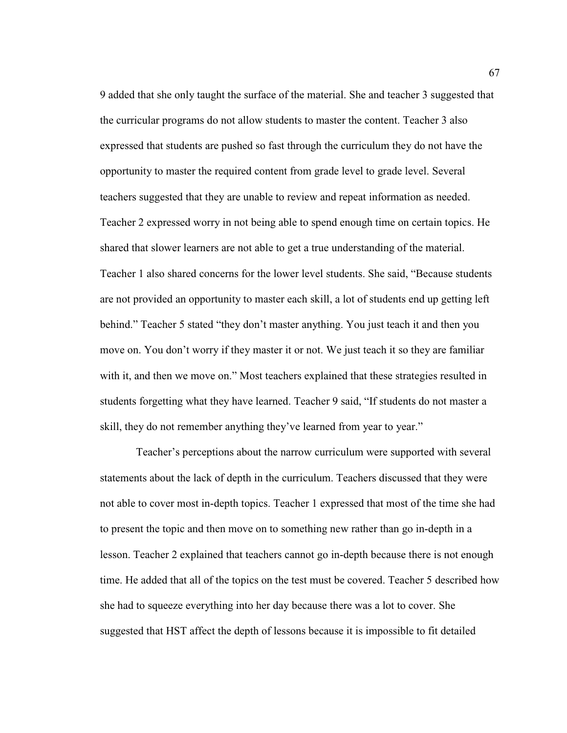9 added that she only taught the surface of the material. She and teacher 3 suggested that the curricular programs do not allow students to master the content. Teacher 3 also expressed that students are pushed so fast through the curriculum they do not have the opportunity to master the required content from grade level to grade level. Several teachers suggested that they are unable to review and repeat information as needed. Teacher 2 expressed worry in not being able to spend enough time on certain topics. He shared that slower learners are not able to get a true understanding of the material. Teacher 1 also shared concerns for the lower level students. She said, "Because students are not provided an opportunity to master each skill, a lot of students end up getting left behind." Teacher 5 stated "they don't master anything. You just teach it and then you move on. You don't worry if they master it or not. We just teach it so they are familiar with it, and then we move on." Most teachers explained that these strategies resulted in students forgetting what they have learned. Teacher 9 said, "If students do not master a skill, they do not remember anything they've learned from year to year."

 Teacher's perceptions about the narrow curriculum were supported with several statements about the lack of depth in the curriculum. Teachers discussed that they were not able to cover most in-depth topics. Teacher 1 expressed that most of the time she had to present the topic and then move on to something new rather than go in-depth in a lesson. Teacher 2 explained that teachers cannot go in-depth because there is not enough time. He added that all of the topics on the test must be covered. Teacher 5 described how she had to squeeze everything into her day because there was a lot to cover. She suggested that HST affect the depth of lessons because it is impossible to fit detailed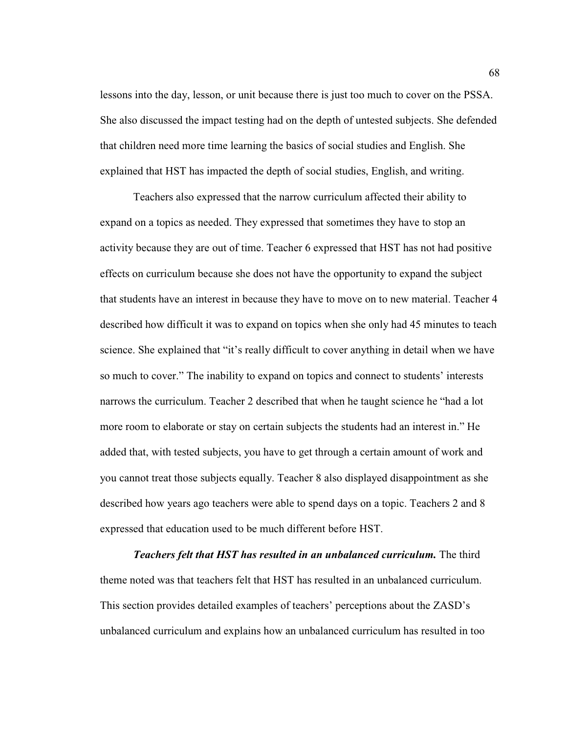lessons into the day, lesson, or unit because there is just too much to cover on the PSSA. She also discussed the impact testing had on the depth of untested subjects. She defended that children need more time learning the basics of social studies and English. She explained that HST has impacted the depth of social studies, English, and writing.

Teachers also expressed that the narrow curriculum affected their ability to expand on a topics as needed. They expressed that sometimes they have to stop an activity because they are out of time. Teacher 6 expressed that HST has not had positive effects on curriculum because she does not have the opportunity to expand the subject that students have an interest in because they have to move on to new material. Teacher 4 described how difficult it was to expand on topics when she only had 45 minutes to teach science. She explained that "it's really difficult to cover anything in detail when we have so much to cover." The inability to expand on topics and connect to students' interests narrows the curriculum. Teacher 2 described that when he taught science he "had a lot more room to elaborate or stay on certain subjects the students had an interest in." He added that, with tested subjects, you have to get through a certain amount of work and you cannot treat those subjects equally. Teacher 8 also displayed disappointment as she described how years ago teachers were able to spend days on a topic. Teachers 2 and 8 expressed that education used to be much different before HST.

*Teachers felt that HST has resulted in an unbalanced curriculum.* The third theme noted was that teachers felt that HST has resulted in an unbalanced curriculum. This section provides detailed examples of teachers' perceptions about the ZASD's unbalanced curriculum and explains how an unbalanced curriculum has resulted in too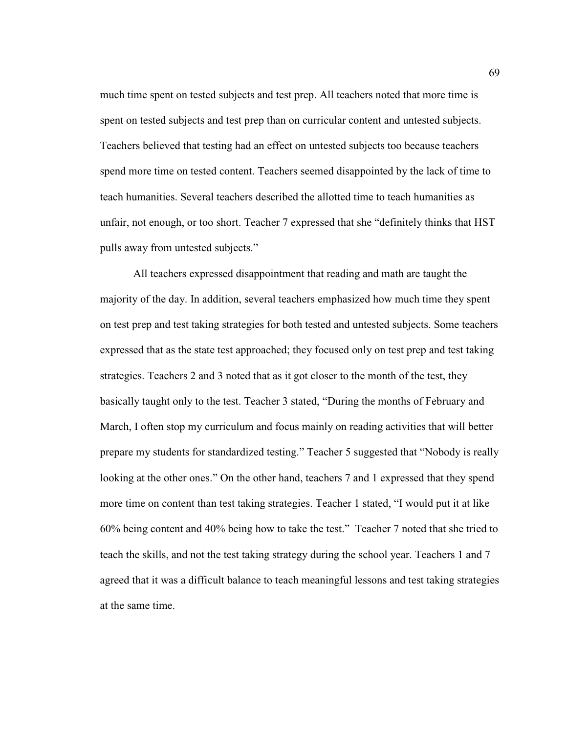much time spent on tested subjects and test prep. All teachers noted that more time is spent on tested subjects and test prep than on curricular content and untested subjects. Teachers believed that testing had an effect on untested subjects too because teachers spend more time on tested content. Teachers seemed disappointed by the lack of time to teach humanities. Several teachers described the allotted time to teach humanities as unfair, not enough, or too short. Teacher 7 expressed that she "definitely thinks that HST pulls away from untested subjects."

All teachers expressed disappointment that reading and math are taught the majority of the day. In addition, several teachers emphasized how much time they spent on test prep and test taking strategies for both tested and untested subjects. Some teachers expressed that as the state test approached; they focused only on test prep and test taking strategies. Teachers 2 and 3 noted that as it got closer to the month of the test, they basically taught only to the test. Teacher 3 stated, "During the months of February and March, I often stop my curriculum and focus mainly on reading activities that will better prepare my students for standardized testing." Teacher 5 suggested that "Nobody is really looking at the other ones." On the other hand, teachers 7 and 1 expressed that they spend more time on content than test taking strategies. Teacher 1 stated, "I would put it at like 60% being content and 40% being how to take the test." Teacher 7 noted that she tried to teach the skills, and not the test taking strategy during the school year. Teachers 1 and 7 agreed that it was a difficult balance to teach meaningful lessons and test taking strategies at the same time.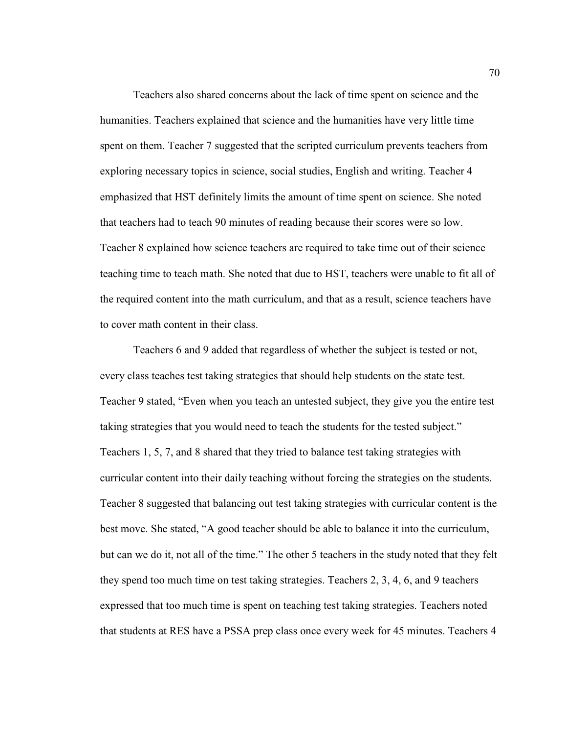Teachers also shared concerns about the lack of time spent on science and the humanities. Teachers explained that science and the humanities have very little time spent on them. Teacher 7 suggested that the scripted curriculum prevents teachers from exploring necessary topics in science, social studies, English and writing. Teacher 4 emphasized that HST definitely limits the amount of time spent on science. She noted that teachers had to teach 90 minutes of reading because their scores were so low. Teacher 8 explained how science teachers are required to take time out of their science teaching time to teach math. She noted that due to HST, teachers were unable to fit all of the required content into the math curriculum, and that as a result, science teachers have to cover math content in their class.

Teachers 6 and 9 added that regardless of whether the subject is tested or not, every class teaches test taking strategies that should help students on the state test. Teacher 9 stated, "Even when you teach an untested subject, they give you the entire test taking strategies that you would need to teach the students for the tested subject." Teachers 1, 5, 7, and 8 shared that they tried to balance test taking strategies with curricular content into their daily teaching without forcing the strategies on the students. Teacher 8 suggested that balancing out test taking strategies with curricular content is the best move. She stated, "A good teacher should be able to balance it into the curriculum, but can we do it, not all of the time." The other 5 teachers in the study noted that they felt they spend too much time on test taking strategies. Teachers 2, 3, 4, 6, and 9 teachers expressed that too much time is spent on teaching test taking strategies. Teachers noted that students at RES have a PSSA prep class once every week for 45 minutes. Teachers 4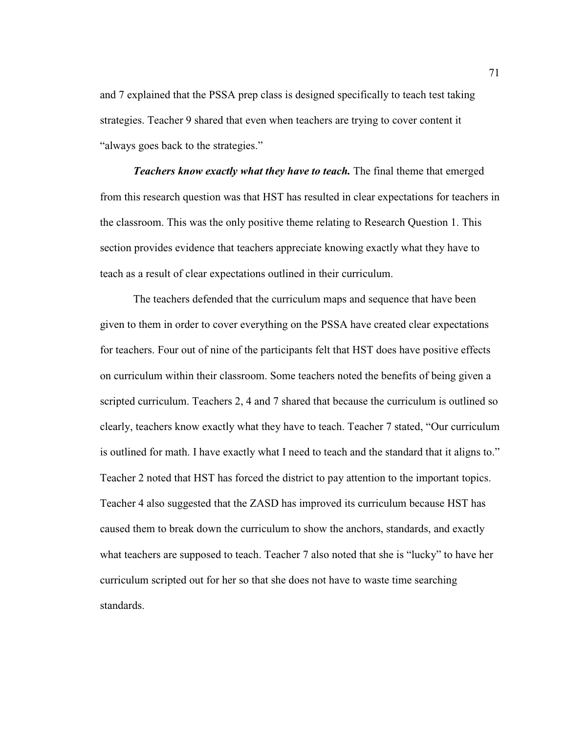and 7 explained that the PSSA prep class is designed specifically to teach test taking strategies. Teacher 9 shared that even when teachers are trying to cover content it "always goes back to the strategies."

*Teachers know exactly what they have to teach.* The final theme that emerged from this research question was that HST has resulted in clear expectations for teachers in the classroom. This was the only positive theme relating to Research Question 1. This section provides evidence that teachers appreciate knowing exactly what they have to teach as a result of clear expectations outlined in their curriculum.

The teachers defended that the curriculum maps and sequence that have been given to them in order to cover everything on the PSSA have created clear expectations for teachers. Four out of nine of the participants felt that HST does have positive effects on curriculum within their classroom. Some teachers noted the benefits of being given a scripted curriculum. Teachers 2, 4 and 7 shared that because the curriculum is outlined so clearly, teachers know exactly what they have to teach. Teacher 7 stated, "Our curriculum is outlined for math. I have exactly what I need to teach and the standard that it aligns to." Teacher 2 noted that HST has forced the district to pay attention to the important topics. Teacher 4 also suggested that the ZASD has improved its curriculum because HST has caused them to break down the curriculum to show the anchors, standards, and exactly what teachers are supposed to teach. Teacher 7 also noted that she is "lucky" to have her curriculum scripted out for her so that she does not have to waste time searching standards.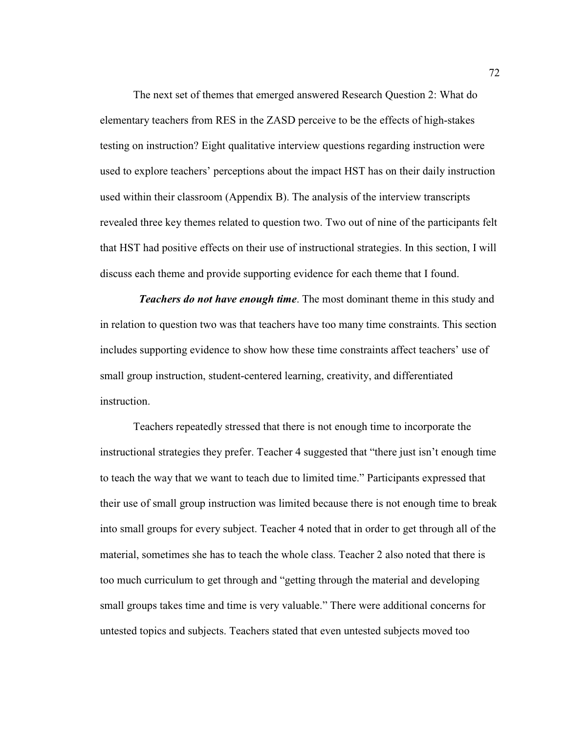The next set of themes that emerged answered Research Question 2: What do elementary teachers from RES in the ZASD perceive to be the effects of high-stakes testing on instruction? Eight qualitative interview questions regarding instruction were used to explore teachers' perceptions about the impact HST has on their daily instruction used within their classroom (Appendix B). The analysis of the interview transcripts revealed three key themes related to question two. Two out of nine of the participants felt that HST had positive effects on their use of instructional strategies. In this section, I will discuss each theme and provide supporting evidence for each theme that I found.

 *Teachers do not have enough time*. The most dominant theme in this study and in relation to question two was that teachers have too many time constraints. This section includes supporting evidence to show how these time constraints affect teachers' use of small group instruction, student-centered learning, creativity, and differentiated instruction.

Teachers repeatedly stressed that there is not enough time to incorporate the instructional strategies they prefer. Teacher 4 suggested that "there just isn't enough time to teach the way that we want to teach due to limited time." Participants expressed that their use of small group instruction was limited because there is not enough time to break into small groups for every subject. Teacher 4 noted that in order to get through all of the material, sometimes she has to teach the whole class. Teacher 2 also noted that there is too much curriculum to get through and "getting through the material and developing small groups takes time and time is very valuable." There were additional concerns for untested topics and subjects. Teachers stated that even untested subjects moved too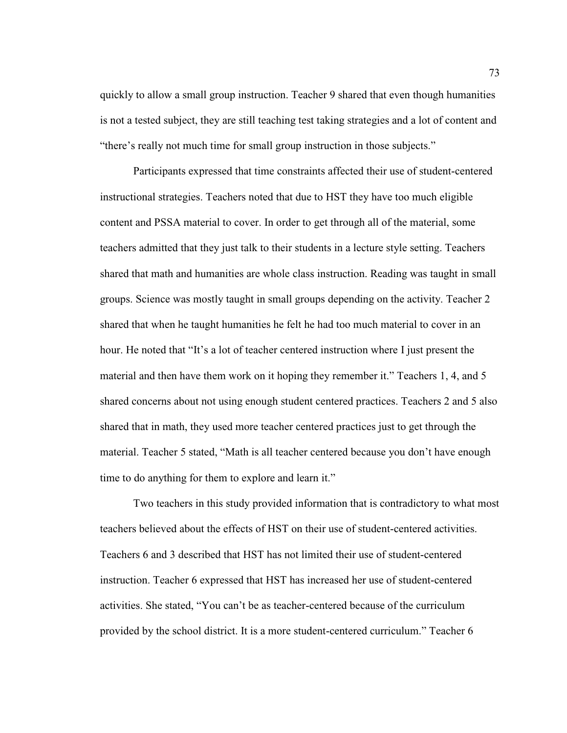quickly to allow a small group instruction. Teacher 9 shared that even though humanities is not a tested subject, they are still teaching test taking strategies and a lot of content and "there's really not much time for small group instruction in those subjects."

Participants expressed that time constraints affected their use of student-centered instructional strategies. Teachers noted that due to HST they have too much eligible content and PSSA material to cover. In order to get through all of the material, some teachers admitted that they just talk to their students in a lecture style setting. Teachers shared that math and humanities are whole class instruction. Reading was taught in small groups. Science was mostly taught in small groups depending on the activity. Teacher 2 shared that when he taught humanities he felt he had too much material to cover in an hour. He noted that "It's a lot of teacher centered instruction where I just present the material and then have them work on it hoping they remember it." Teachers 1, 4, and 5 shared concerns about not using enough student centered practices. Teachers 2 and 5 also shared that in math, they used more teacher centered practices just to get through the material. Teacher 5 stated, "Math is all teacher centered because you don't have enough time to do anything for them to explore and learn it."

Two teachers in this study provided information that is contradictory to what most teachers believed about the effects of HST on their use of student-centered activities. Teachers 6 and 3 described that HST has not limited their use of student-centered instruction. Teacher 6 expressed that HST has increased her use of student-centered activities. She stated, "You can't be as teacher-centered because of the curriculum provided by the school district. It is a more student-centered curriculum." Teacher 6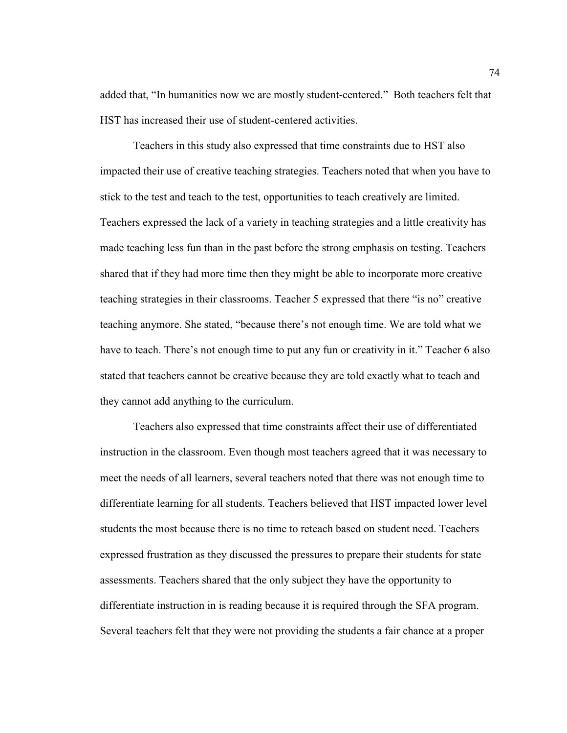added that, "In humanities now we are mostly student-centered." Both teachers felt that HST has increased their use of student-centered activities.

Teachers in this study also expressed that time constraints due to HST also impacted their use of creative teaching strategies. Teachers noted that when you have to stick to the test and teach to the test, opportunities to teach creatively are limited. Teachers expressed the lack of a variety in teaching strategies and a little creativity has made teaching less fun than in the past before the strong emphasis on testing. Teachers shared that if they had more time then they might be able to incorporate more creative teaching strategies in their classrooms. Teacher 5 expressed that there "is no" creative teaching anymore. She stated, "because there's not enough time. We are told what we have to teach. There's not enough time to put any fun or creativity in it." Teacher 6 also stated that teachers cannot be creative because they are told exactly what to teach and they cannot add anything to the curriculum.

Teachers also expressed that time constraints affect their use of differentiated instruction in the classroom. Even though most teachers agreed that it was necessary to meet the needs of all learners, several teachers noted that there was not enough time to differentiate learning for all students. Teachers believed that HST impacted lower level students the most because there is no time to reteach based on student need. Teachers expressed frustration as they discussed the pressures to prepare their students for state assessments. Teachers shared that the only subject they have the opportunity to differentiate instruction in is reading because it is required through the SFA program. Several teachers felt that they were not providing the students a fair chance at a proper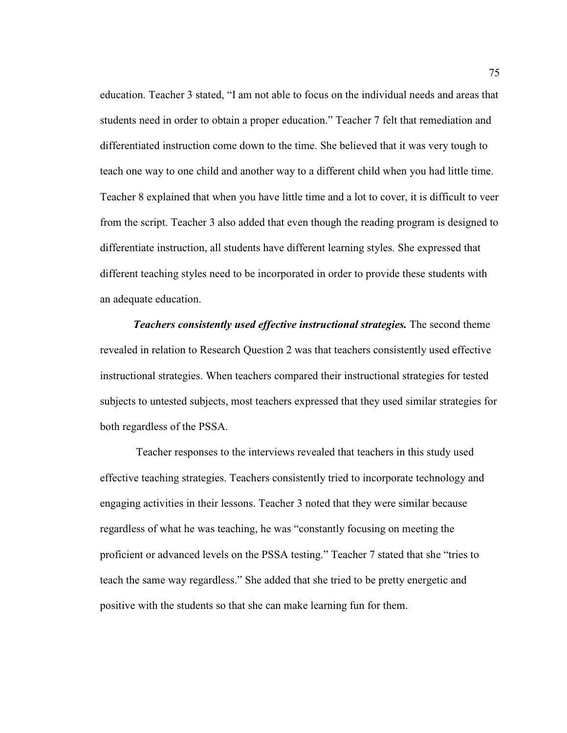education. Teacher 3 stated, "I am not able to focus on the individual needs and areas that students need in order to obtain a proper education." Teacher 7 felt that remediation and differentiated instruction come down to the time. She believed that it was very tough to teach one way to one child and another way to a different child when you had little time. Teacher 8 explained that when you have little time and a lot to cover, it is difficult to veer from the script. Teacher 3 also added that even though the reading program is designed to differentiate instruction, all students have different learning styles. She expressed that different teaching styles need to be incorporated in order to provide these students with an adequate education.

*Teachers consistently used effective instructional strategies.* The second theme revealed in relation to Research Question 2 was that teachers consistently used effective instructional strategies. When teachers compared their instructional strategies for tested subjects to untested subjects, most teachers expressed that they used similar strategies for both regardless of the PSSA.

 Teacher responses to the interviews revealed that teachers in this study used effective teaching strategies. Teachers consistently tried to incorporate technology and engaging activities in their lessons. Teacher 3 noted that they were similar because regardless of what he was teaching, he was "constantly focusing on meeting the proficient or advanced levels on the PSSA testing." Teacher 7 stated that she "tries to teach the same way regardless." She added that she tried to be pretty energetic and positive with the students so that she can make learning fun for them.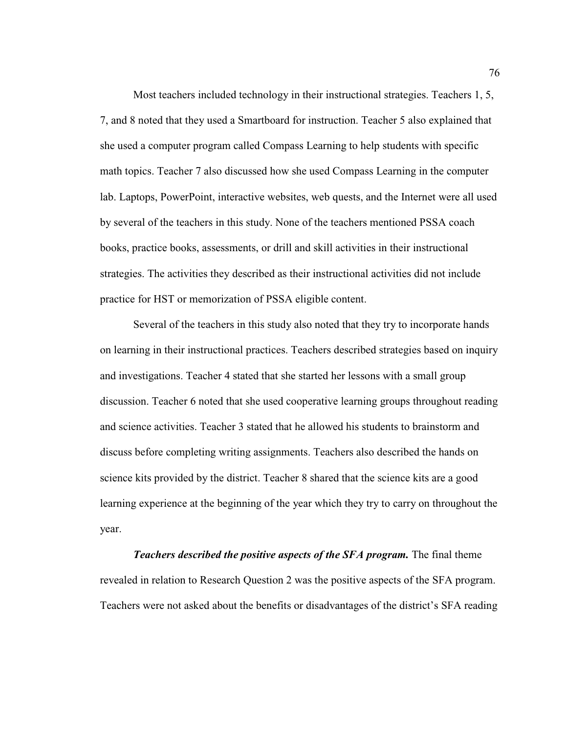Most teachers included technology in their instructional strategies. Teachers 1, 5, 7, and 8 noted that they used a Smartboard for instruction. Teacher 5 also explained that she used a computer program called Compass Learning to help students with specific math topics. Teacher 7 also discussed how she used Compass Learning in the computer lab. Laptops, PowerPoint, interactive websites, web quests, and the Internet were all used by several of the teachers in this study. None of the teachers mentioned PSSA coach books, practice books, assessments, or drill and skill activities in their instructional strategies. The activities they described as their instructional activities did not include practice for HST or memorization of PSSA eligible content.

Several of the teachers in this study also noted that they try to incorporate hands on learning in their instructional practices. Teachers described strategies based on inquiry and investigations. Teacher 4 stated that she started her lessons with a small group discussion. Teacher 6 noted that she used cooperative learning groups throughout reading and science activities. Teacher 3 stated that he allowed his students to brainstorm and discuss before completing writing assignments. Teachers also described the hands on science kits provided by the district. Teacher 8 shared that the science kits are a good learning experience at the beginning of the year which they try to carry on throughout the year.

*Teachers described the positive aspects of the SFA program.* The final theme revealed in relation to Research Question 2 was the positive aspects of the SFA program. Teachers were not asked about the benefits or disadvantages of the district's SFA reading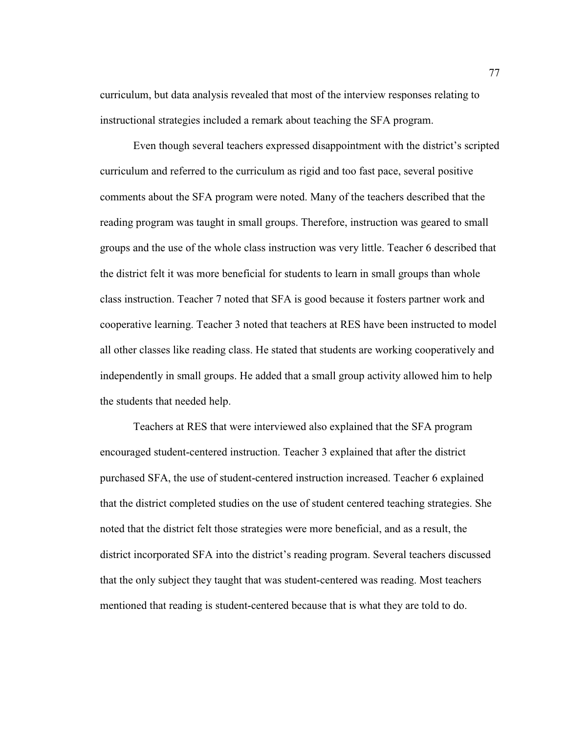curriculum, but data analysis revealed that most of the interview responses relating to instructional strategies included a remark about teaching the SFA program.

Even though several teachers expressed disappointment with the district's scripted curriculum and referred to the curriculum as rigid and too fast pace, several positive comments about the SFA program were noted. Many of the teachers described that the reading program was taught in small groups. Therefore, instruction was geared to small groups and the use of the whole class instruction was very little. Teacher 6 described that the district felt it was more beneficial for students to learn in small groups than whole class instruction. Teacher 7 noted that SFA is good because it fosters partner work and cooperative learning. Teacher 3 noted that teachers at RES have been instructed to model all other classes like reading class. He stated that students are working cooperatively and independently in small groups. He added that a small group activity allowed him to help the students that needed help.

Teachers at RES that were interviewed also explained that the SFA program encouraged student-centered instruction. Teacher 3 explained that after the district purchased SFA, the use of student-centered instruction increased. Teacher 6 explained that the district completed studies on the use of student centered teaching strategies. She noted that the district felt those strategies were more beneficial, and as a result, the district incorporated SFA into the district's reading program. Several teachers discussed that the only subject they taught that was student-centered was reading. Most teachers mentioned that reading is student-centered because that is what they are told to do.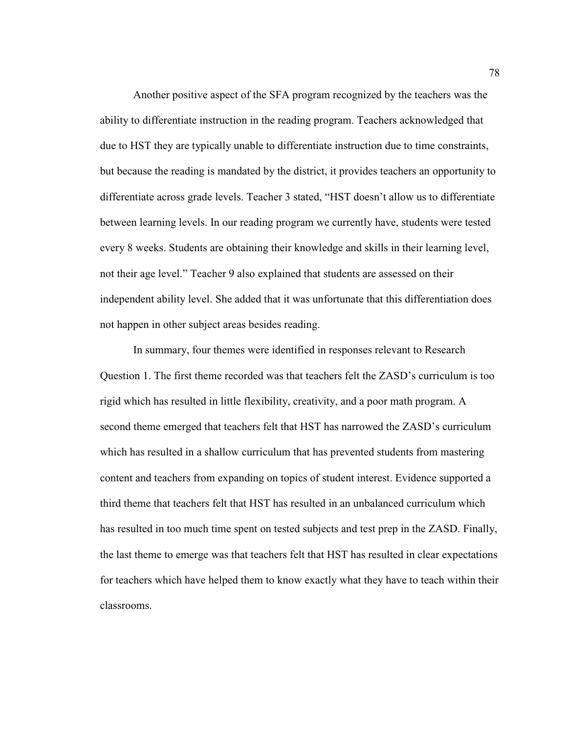Another positive aspect of the SFA program recognized by the teachers was the ability to differentiate instruction in the reading program. Teachers acknowledged that due to HST they are typically unable to differentiate instruction due to time constraints, but because the reading is mandated by the district, it provides teachers an opportunity to differentiate across grade levels. Teacher 3 stated, "HST doesn't allow us to differentiate between learning levels. In our reading program we currently have, students were tested every 8 weeks. Students are obtaining their knowledge and skills in their learning level, not their age level." Teacher 9 also explained that students are assessed on their independent ability level. She added that it was unfortunate that this differentiation does not happen in other subject areas besides reading.

In summary, four themes were identified in responses relevant to Research Question 1. The first theme recorded was that teachers felt the ZASD's curriculum is too rigid which has resulted in little flexibility, creativity, and a poor math program. A second theme emerged that teachers felt that HST has narrowed the ZASD's curriculum which has resulted in a shallow curriculum that has prevented students from mastering content and teachers from expanding on topics of student interest. Evidence supported a third theme that teachers felt that HST has resulted in an unbalanced curriculum which has resulted in too much time spent on tested subjects and test prep in the ZASD. Finally, the last theme to emerge was that teachers felt that HST has resulted in clear expectations for teachers which have helped them to know exactly what they have to teach within their classrooms.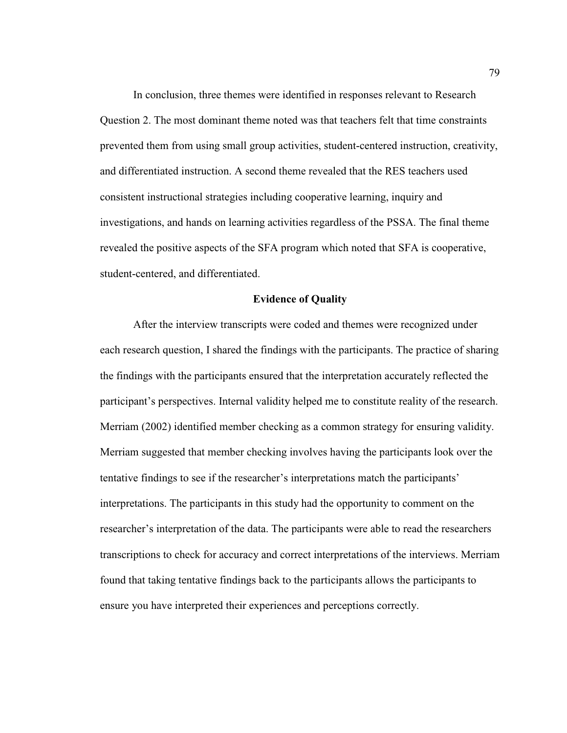In conclusion, three themes were identified in responses relevant to Research Question 2. The most dominant theme noted was that teachers felt that time constraints prevented them from using small group activities, student-centered instruction, creativity, and differentiated instruction. A second theme revealed that the RES teachers used consistent instructional strategies including cooperative learning, inquiry and investigations, and hands on learning activities regardless of the PSSA. The final theme revealed the positive aspects of the SFA program which noted that SFA is cooperative, student-centered, and differentiated.

### **Evidence of Quality**

After the interview transcripts were coded and themes were recognized under each research question, I shared the findings with the participants. The practice of sharing the findings with the participants ensured that the interpretation accurately reflected the participant's perspectives. Internal validity helped me to constitute reality of the research. Merriam (2002) identified member checking as a common strategy for ensuring validity. Merriam suggested that member checking involves having the participants look over the tentative findings to see if the researcher's interpretations match the participants' interpretations. The participants in this study had the opportunity to comment on the researcher's interpretation of the data. The participants were able to read the researchers transcriptions to check for accuracy and correct interpretations of the interviews. Merriam found that taking tentative findings back to the participants allows the participants to ensure you have interpreted their experiences and perceptions correctly.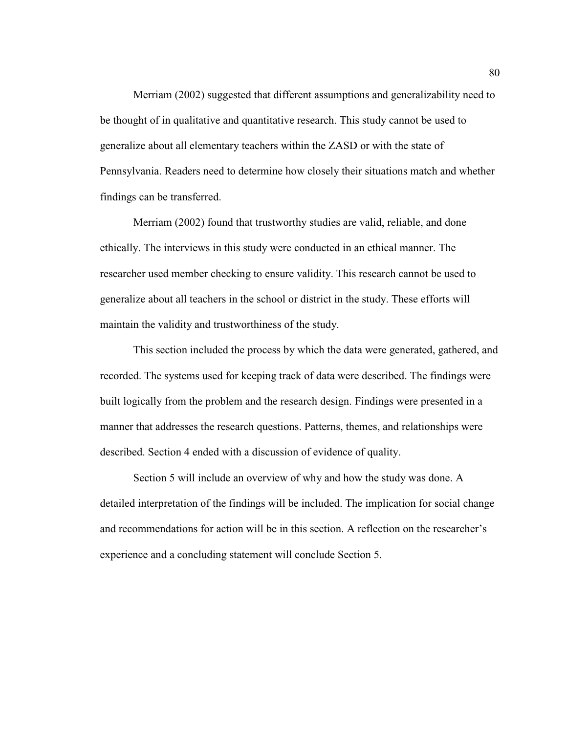Merriam (2002) suggested that different assumptions and generalizability need to be thought of in qualitative and quantitative research. This study cannot be used to generalize about all elementary teachers within the ZASD or with the state of Pennsylvania. Readers need to determine how closely their situations match and whether findings can be transferred.

Merriam (2002) found that trustworthy studies are valid, reliable, and done ethically. The interviews in this study were conducted in an ethical manner. The researcher used member checking to ensure validity. This research cannot be used to generalize about all teachers in the school or district in the study. These efforts will maintain the validity and trustworthiness of the study.

This section included the process by which the data were generated, gathered, and recorded. The systems used for keeping track of data were described. The findings were built logically from the problem and the research design. Findings were presented in a manner that addresses the research questions. Patterns, themes, and relationships were described. Section 4 ended with a discussion of evidence of quality.

Section 5 will include an overview of why and how the study was done. A detailed interpretation of the findings will be included. The implication for social change and recommendations for action will be in this section. A reflection on the researcher's experience and a concluding statement will conclude Section 5.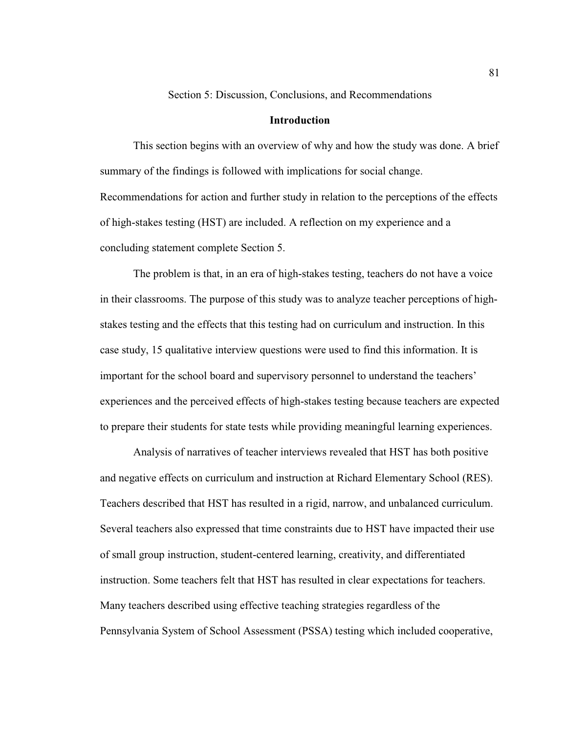Section 5: Discussion, Conclusions, and Recommendations

## **Introduction**

This section begins with an overview of why and how the study was done. A brief summary of the findings is followed with implications for social change. Recommendations for action and further study in relation to the perceptions of the effects of high-stakes testing (HST) are included. A reflection on my experience and a concluding statement complete Section 5.

The problem is that, in an era of high-stakes testing, teachers do not have a voice in their classrooms. The purpose of this study was to analyze teacher perceptions of highstakes testing and the effects that this testing had on curriculum and instruction. In this case study, 15 qualitative interview questions were used to find this information. It is important for the school board and supervisory personnel to understand the teachers' experiences and the perceived effects of high-stakes testing because teachers are expected to prepare their students for state tests while providing meaningful learning experiences.

Analysis of narratives of teacher interviews revealed that HST has both positive and negative effects on curriculum and instruction at Richard Elementary School (RES). Teachers described that HST has resulted in a rigid, narrow, and unbalanced curriculum. Several teachers also expressed that time constraints due to HST have impacted their use of small group instruction, student-centered learning, creativity, and differentiated instruction. Some teachers felt that HST has resulted in clear expectations for teachers. Many teachers described using effective teaching strategies regardless of the Pennsylvania System of School Assessment (PSSA) testing which included cooperative,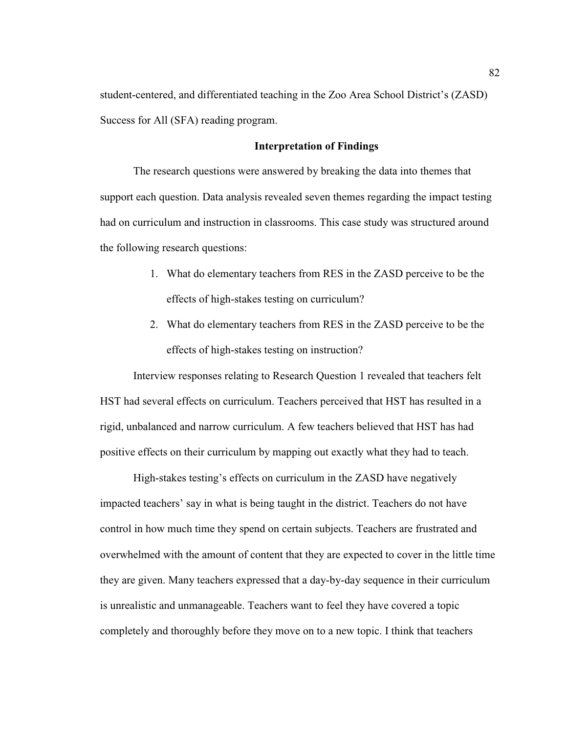student-centered, and differentiated teaching in the Zoo Area School District's (ZASD) Success for All (SFA) reading program.

#### **Interpretation of Findings**

The research questions were answered by breaking the data into themes that support each question. Data analysis revealed seven themes regarding the impact testing had on curriculum and instruction in classrooms. This case study was structured around the following research questions:

- 1. What do elementary teachers from RES in the ZASD perceive to be the effects of high-stakes testing on curriculum?
- 2. What do elementary teachers from RES in the ZASD perceive to be the effects of high-stakes testing on instruction?

Interview responses relating to Research Question 1 revealed that teachers felt HST had several effects on curriculum. Teachers perceived that HST has resulted in a rigid, unbalanced and narrow curriculum. A few teachers believed that HST has had positive effects on their curriculum by mapping out exactly what they had to teach.

High-stakes testing's effects on curriculum in the ZASD have negatively impacted teachers' say in what is being taught in the district. Teachers do not have control in how much time they spend on certain subjects. Teachers are frustrated and overwhelmed with the amount of content that they are expected to cover in the little time they are given. Many teachers expressed that a day-by-day sequence in their curriculum is unrealistic and unmanageable. Teachers want to feel they have covered a topic completely and thoroughly before they move on to a new topic. I think that teachers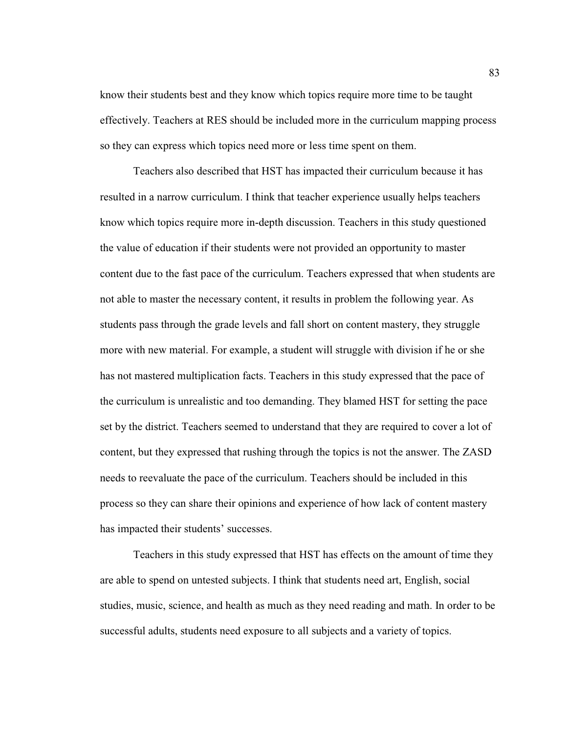know their students best and they know which topics require more time to be taught effectively. Teachers at RES should be included more in the curriculum mapping process so they can express which topics need more or less time spent on them.

Teachers also described that HST has impacted their curriculum because it has resulted in a narrow curriculum. I think that teacher experience usually helps teachers know which topics require more in-depth discussion. Teachers in this study questioned the value of education if their students were not provided an opportunity to master content due to the fast pace of the curriculum. Teachers expressed that when students are not able to master the necessary content, it results in problem the following year. As students pass through the grade levels and fall short on content mastery, they struggle more with new material. For example, a student will struggle with division if he or she has not mastered multiplication facts. Teachers in this study expressed that the pace of the curriculum is unrealistic and too demanding. They blamed HST for setting the pace set by the district. Teachers seemed to understand that they are required to cover a lot of content, but they expressed that rushing through the topics is not the answer. The ZASD needs to reevaluate the pace of the curriculum. Teachers should be included in this process so they can share their opinions and experience of how lack of content mastery has impacted their students' successes.

Teachers in this study expressed that HST has effects on the amount of time they are able to spend on untested subjects. I think that students need art, English, social studies, music, science, and health as much as they need reading and math. In order to be successful adults, students need exposure to all subjects and a variety of topics.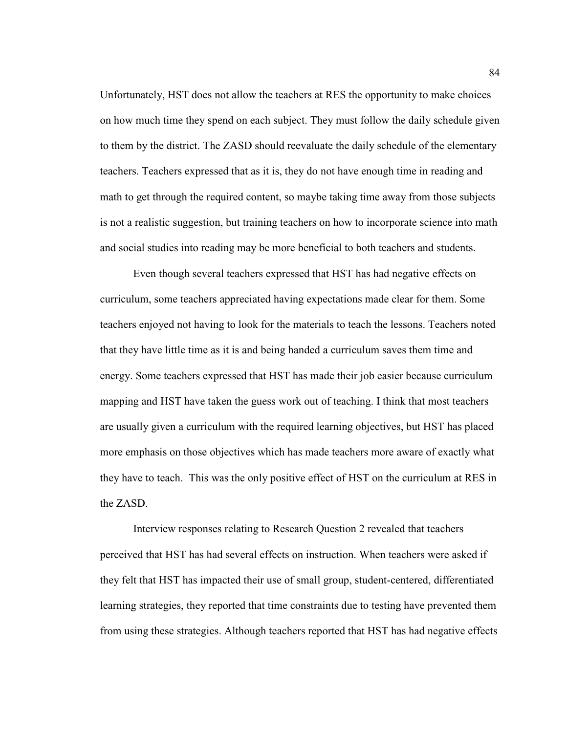Unfortunately, HST does not allow the teachers at RES the opportunity to make choices on how much time they spend on each subject. They must follow the daily schedule given to them by the district. The ZASD should reevaluate the daily schedule of the elementary teachers. Teachers expressed that as it is, they do not have enough time in reading and math to get through the required content, so maybe taking time away from those subjects is not a realistic suggestion, but training teachers on how to incorporate science into math and social studies into reading may be more beneficial to both teachers and students.

Even though several teachers expressed that HST has had negative effects on curriculum, some teachers appreciated having expectations made clear for them. Some teachers enjoyed not having to look for the materials to teach the lessons. Teachers noted that they have little time as it is and being handed a curriculum saves them time and energy. Some teachers expressed that HST has made their job easier because curriculum mapping and HST have taken the guess work out of teaching. I think that most teachers are usually given a curriculum with the required learning objectives, but HST has placed more emphasis on those objectives which has made teachers more aware of exactly what they have to teach. This was the only positive effect of HST on the curriculum at RES in the ZASD.

 Interview responses relating to Research Question 2 revealed that teachers perceived that HST has had several effects on instruction. When teachers were asked if they felt that HST has impacted their use of small group, student-centered, differentiated learning strategies, they reported that time constraints due to testing have prevented them from using these strategies. Although teachers reported that HST has had negative effects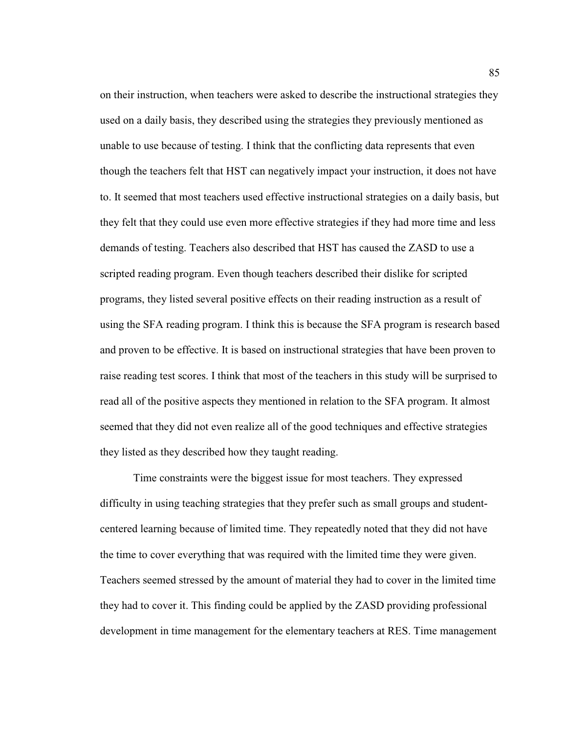on their instruction, when teachers were asked to describe the instructional strategies they used on a daily basis, they described using the strategies they previously mentioned as unable to use because of testing. I think that the conflicting data represents that even though the teachers felt that HST can negatively impact your instruction, it does not have to. It seemed that most teachers used effective instructional strategies on a daily basis, but they felt that they could use even more effective strategies if they had more time and less demands of testing. Teachers also described that HST has caused the ZASD to use a scripted reading program. Even though teachers described their dislike for scripted programs, they listed several positive effects on their reading instruction as a result of using the SFA reading program. I think this is because the SFA program is research based and proven to be effective. It is based on instructional strategies that have been proven to raise reading test scores. I think that most of the teachers in this study will be surprised to read all of the positive aspects they mentioned in relation to the SFA program. It almost seemed that they did not even realize all of the good techniques and effective strategies they listed as they described how they taught reading.

 Time constraints were the biggest issue for most teachers. They expressed difficulty in using teaching strategies that they prefer such as small groups and studentcentered learning because of limited time. They repeatedly noted that they did not have the time to cover everything that was required with the limited time they were given. Teachers seemed stressed by the amount of material they had to cover in the limited time they had to cover it. This finding could be applied by the ZASD providing professional development in time management for the elementary teachers at RES. Time management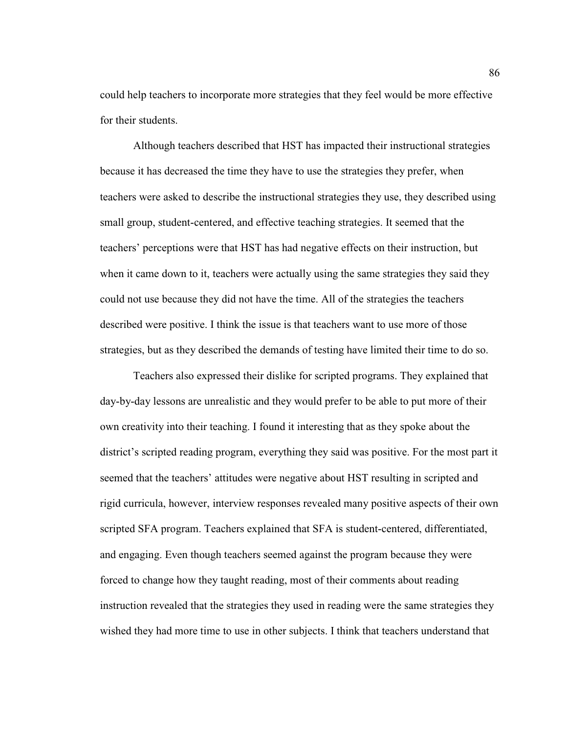could help teachers to incorporate more strategies that they feel would be more effective for their students.

 Although teachers described that HST has impacted their instructional strategies because it has decreased the time they have to use the strategies they prefer, when teachers were asked to describe the instructional strategies they use, they described using small group, student-centered, and effective teaching strategies. It seemed that the teachers' perceptions were that HST has had negative effects on their instruction, but when it came down to it, teachers were actually using the same strategies they said they could not use because they did not have the time. All of the strategies the teachers described were positive. I think the issue is that teachers want to use more of those strategies, but as they described the demands of testing have limited their time to do so.

 Teachers also expressed their dislike for scripted programs. They explained that day-by-day lessons are unrealistic and they would prefer to be able to put more of their own creativity into their teaching. I found it interesting that as they spoke about the district's scripted reading program, everything they said was positive. For the most part it seemed that the teachers' attitudes were negative about HST resulting in scripted and rigid curricula, however, interview responses revealed many positive aspects of their own scripted SFA program. Teachers explained that SFA is student-centered, differentiated, and engaging. Even though teachers seemed against the program because they were forced to change how they taught reading, most of their comments about reading instruction revealed that the strategies they used in reading were the same strategies they wished they had more time to use in other subjects. I think that teachers understand that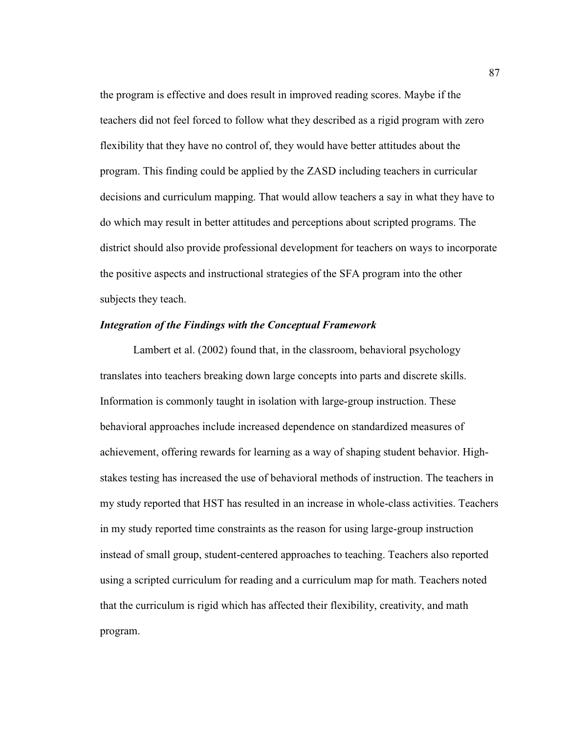the program is effective and does result in improved reading scores. Maybe if the teachers did not feel forced to follow what they described as a rigid program with zero flexibility that they have no control of, they would have better attitudes about the program. This finding could be applied by the ZASD including teachers in curricular decisions and curriculum mapping. That would allow teachers a say in what they have to do which may result in better attitudes and perceptions about scripted programs. The district should also provide professional development for teachers on ways to incorporate the positive aspects and instructional strategies of the SFA program into the other subjects they teach.

## *Integration of the Findings with the Conceptual Framework*

Lambert et al. (2002) found that, in the classroom, behavioral psychology translates into teachers breaking down large concepts into parts and discrete skills. Information is commonly taught in isolation with large-group instruction. These behavioral approaches include increased dependence on standardized measures of achievement, offering rewards for learning as a way of shaping student behavior. Highstakes testing has increased the use of behavioral methods of instruction. The teachers in my study reported that HST has resulted in an increase in whole-class activities. Teachers in my study reported time constraints as the reason for using large-group instruction instead of small group, student-centered approaches to teaching. Teachers also reported using a scripted curriculum for reading and a curriculum map for math. Teachers noted that the curriculum is rigid which has affected their flexibility, creativity, and math program.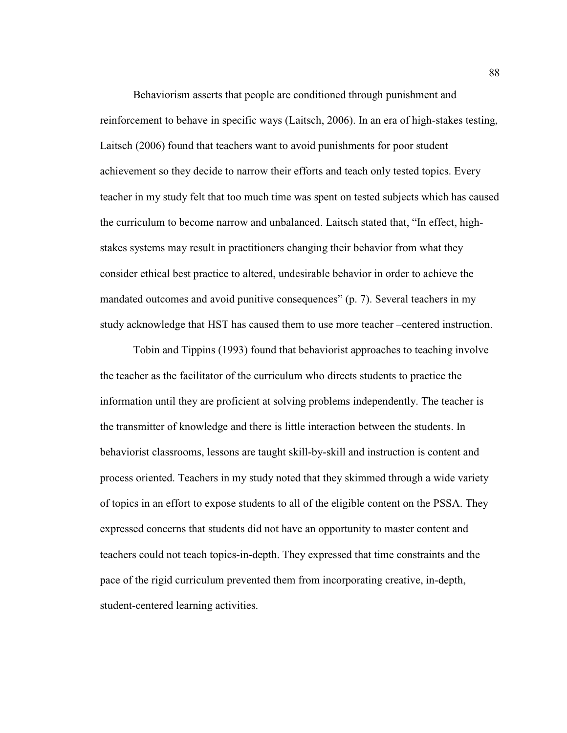Behaviorism asserts that people are conditioned through punishment and reinforcement to behave in specific ways (Laitsch, 2006). In an era of high-stakes testing, Laitsch (2006) found that teachers want to avoid punishments for poor student achievement so they decide to narrow their efforts and teach only tested topics. Every teacher in my study felt that too much time was spent on tested subjects which has caused the curriculum to become narrow and unbalanced. Laitsch stated that, "In effect, highstakes systems may result in practitioners changing their behavior from what they consider ethical best practice to altered, undesirable behavior in order to achieve the mandated outcomes and avoid punitive consequences" (p. 7). Several teachers in my study acknowledge that HST has caused them to use more teacher –centered instruction.

 Tobin and Tippins (1993) found that behaviorist approaches to teaching involve the teacher as the facilitator of the curriculum who directs students to practice the information until they are proficient at solving problems independently. The teacher is the transmitter of knowledge and there is little interaction between the students. In behaviorist classrooms, lessons are taught skill-by-skill and instruction is content and process oriented. Teachers in my study noted that they skimmed through a wide variety of topics in an effort to expose students to all of the eligible content on the PSSA. They expressed concerns that students did not have an opportunity to master content and teachers could not teach topics-in-depth. They expressed that time constraints and the pace of the rigid curriculum prevented them from incorporating creative, in-depth, student-centered learning activities.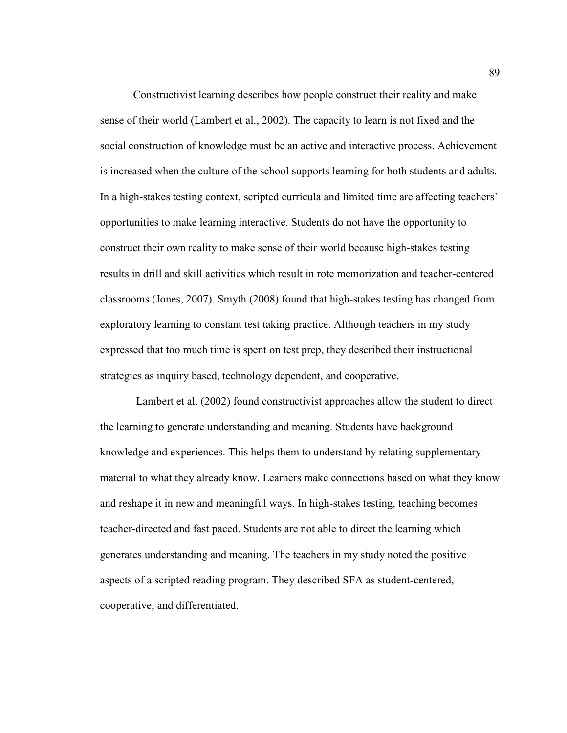Constructivist learning describes how people construct their reality and make sense of their world (Lambert et al., 2002). The capacity to learn is not fixed and the social construction of knowledge must be an active and interactive process. Achievement is increased when the culture of the school supports learning for both students and adults. In a high-stakes testing context, scripted curricula and limited time are affecting teachers' opportunities to make learning interactive. Students do not have the opportunity to construct their own reality to make sense of their world because high-stakes testing results in drill and skill activities which result in rote memorization and teacher-centered classrooms (Jones, 2007). Smyth (2008) found that high-stakes testing has changed from exploratory learning to constant test taking practice. Although teachers in my study expressed that too much time is spent on test prep, they described their instructional strategies as inquiry based, technology dependent, and cooperative.

 Lambert et al. (2002) found constructivist approaches allow the student to direct the learning to generate understanding and meaning. Students have background knowledge and experiences. This helps them to understand by relating supplementary material to what they already know. Learners make connections based on what they know and reshape it in new and meaningful ways. In high-stakes testing, teaching becomes teacher-directed and fast paced. Students are not able to direct the learning which generates understanding and meaning. The teachers in my study noted the positive aspects of a scripted reading program. They described SFA as student-centered, cooperative, and differentiated.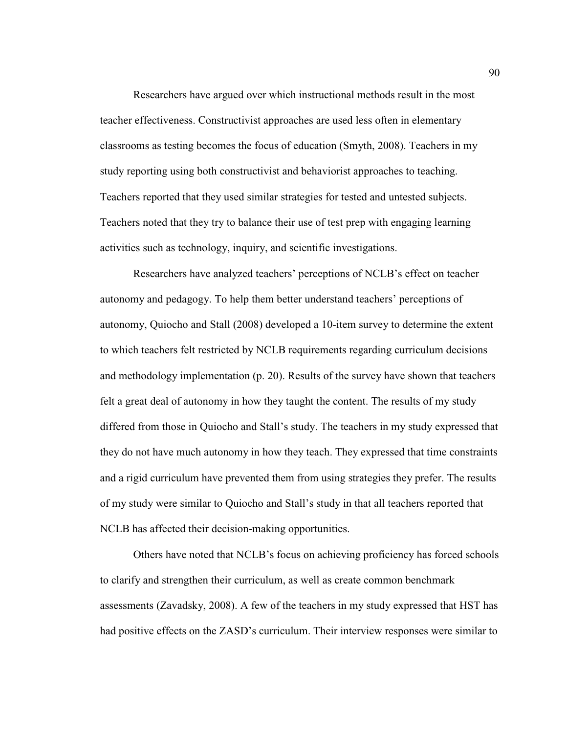Researchers have argued over which instructional methods result in the most teacher effectiveness. Constructivist approaches are used less often in elementary classrooms as testing becomes the focus of education (Smyth, 2008). Teachers in my study reporting using both constructivist and behaviorist approaches to teaching. Teachers reported that they used similar strategies for tested and untested subjects. Teachers noted that they try to balance their use of test prep with engaging learning activities such as technology, inquiry, and scientific investigations.

 Researchers have analyzed teachers' perceptions of NCLB's effect on teacher autonomy and pedagogy. To help them better understand teachers' perceptions of autonomy, Quiocho and Stall (2008) developed a 10-item survey to determine the extent to which teachers felt restricted by NCLB requirements regarding curriculum decisions and methodology implementation (p. 20). Results of the survey have shown that teachers felt a great deal of autonomy in how they taught the content. The results of my study differed from those in Quiocho and Stall's study. The teachers in my study expressed that they do not have much autonomy in how they teach. They expressed that time constraints and a rigid curriculum have prevented them from using strategies they prefer. The results of my study were similar to Quiocho and Stall's study in that all teachers reported that NCLB has affected their decision-making opportunities.

 Others have noted that NCLB's focus on achieving proficiency has forced schools to clarify and strengthen their curriculum, as well as create common benchmark assessments (Zavadsky, 2008). A few of the teachers in my study expressed that HST has had positive effects on the ZASD's curriculum. Their interview responses were similar to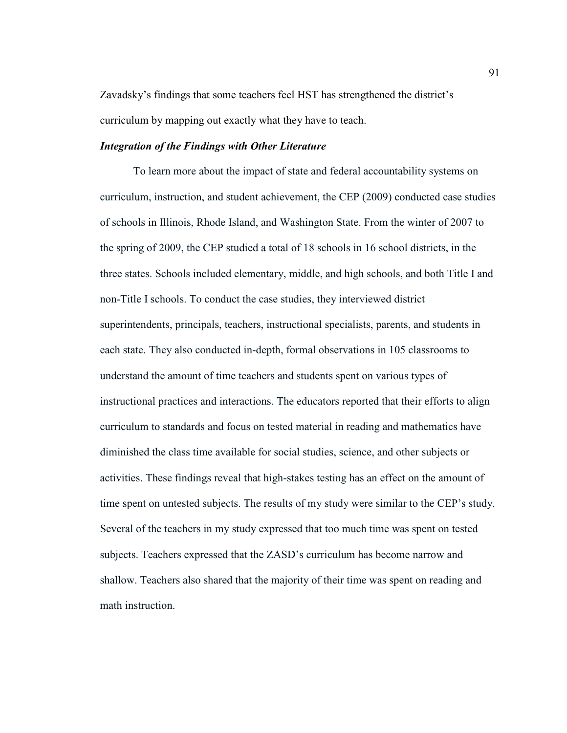Zavadsky's findings that some teachers feel HST has strengthened the district's curriculum by mapping out exactly what they have to teach.

## *Integration of the Findings with Other Literature*

To learn more about the impact of state and federal accountability systems on curriculum, instruction, and student achievement, the CEP (2009) conducted case studies of schools in Illinois, Rhode Island, and Washington State. From the winter of 2007 to the spring of 2009, the CEP studied a total of 18 schools in 16 school districts, in the three states. Schools included elementary, middle, and high schools, and both Title I and non-Title I schools. To conduct the case studies, they interviewed district superintendents, principals, teachers, instructional specialists, parents, and students in each state. They also conducted in-depth, formal observations in 105 classrooms to understand the amount of time teachers and students spent on various types of instructional practices and interactions. The educators reported that their efforts to align curriculum to standards and focus on tested material in reading and mathematics have diminished the class time available for social studies, science, and other subjects or activities. These findings reveal that high-stakes testing has an effect on the amount of time spent on untested subjects. The results of my study were similar to the CEP's study. Several of the teachers in my study expressed that too much time was spent on tested subjects. Teachers expressed that the ZASD's curriculum has become narrow and shallow. Teachers also shared that the majority of their time was spent on reading and math instruction.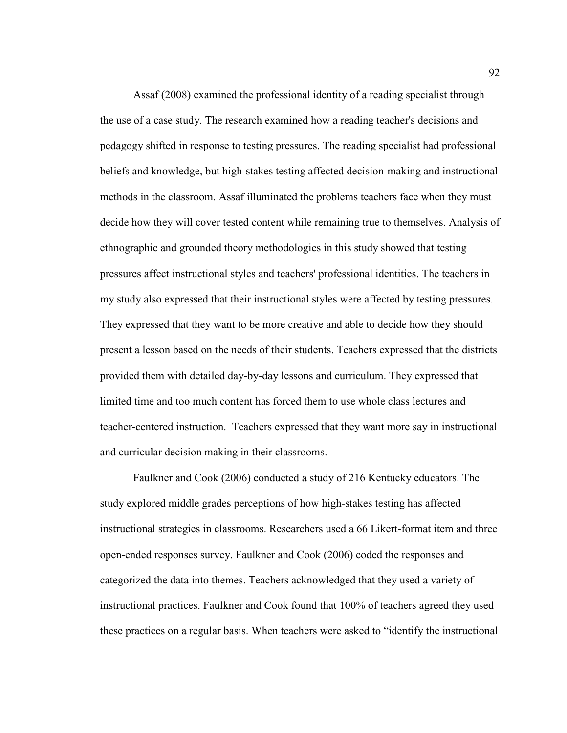Assaf (2008) examined the professional identity of a reading specialist through the use of a case study. The research examined how a reading teacher's decisions and pedagogy shifted in response to testing pressures. The reading specialist had professional beliefs and knowledge, but high-stakes testing affected decision-making and instructional methods in the classroom. Assaf illuminated the problems teachers face when they must decide how they will cover tested content while remaining true to themselves. Analysis of ethnographic and grounded theory methodologies in this study showed that testing pressures affect instructional styles and teachers' professional identities. The teachers in my study also expressed that their instructional styles were affected by testing pressures. They expressed that they want to be more creative and able to decide how they should present a lesson based on the needs of their students. Teachers expressed that the districts provided them with detailed day-by-day lessons and curriculum. They expressed that limited time and too much content has forced them to use whole class lectures and teacher-centered instruction. Teachers expressed that they want more say in instructional and curricular decision making in their classrooms.

Faulkner and Cook (2006) conducted a study of 216 Kentucky educators. The study explored middle grades perceptions of how high-stakes testing has affected instructional strategies in classrooms. Researchers used a 66 Likert-format item and three open-ended responses survey. Faulkner and Cook (2006) coded the responses and categorized the data into themes. Teachers acknowledged that they used a variety of instructional practices. Faulkner and Cook found that 100% of teachers agreed they used these practices on a regular basis. When teachers were asked to "identify the instructional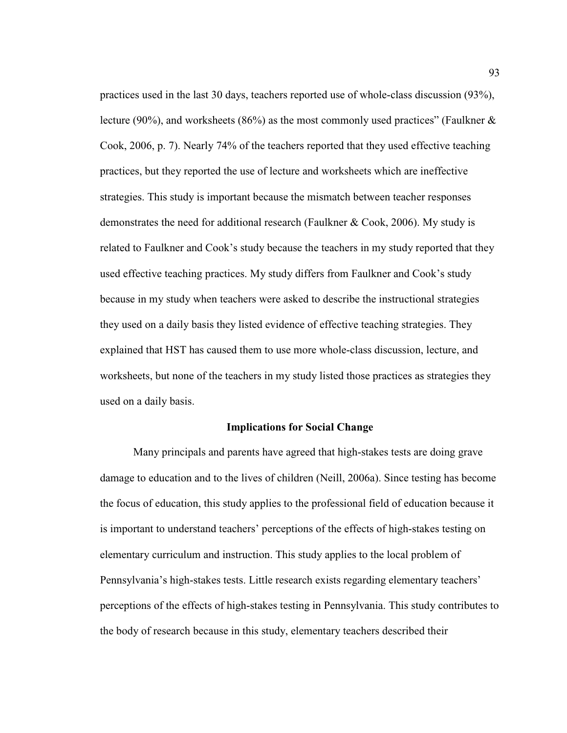practices used in the last 30 days, teachers reported use of whole-class discussion (93%), lecture (90%), and worksheets (86%) as the most commonly used practices" (Faulkner  $\&$ Cook, 2006, p. 7). Nearly 74% of the teachers reported that they used effective teaching practices, but they reported the use of lecture and worksheets which are ineffective strategies. This study is important because the mismatch between teacher responses demonstrates the need for additional research (Faulkner & Cook, 2006). My study is related to Faulkner and Cook's study because the teachers in my study reported that they used effective teaching practices. My study differs from Faulkner and Cook's study because in my study when teachers were asked to describe the instructional strategies they used on a daily basis they listed evidence of effective teaching strategies. They explained that HST has caused them to use more whole-class discussion, lecture, and worksheets, but none of the teachers in my study listed those practices as strategies they used on a daily basis.

## **Implications for Social Change**

Many principals and parents have agreed that high-stakes tests are doing grave damage to education and to the lives of children (Neill, 2006a). Since testing has become the focus of education, this study applies to the professional field of education because it is important to understand teachers' perceptions of the effects of high-stakes testing on elementary curriculum and instruction. This study applies to the local problem of Pennsylvania's high-stakes tests. Little research exists regarding elementary teachers' perceptions of the effects of high-stakes testing in Pennsylvania. This study contributes to the body of research because in this study, elementary teachers described their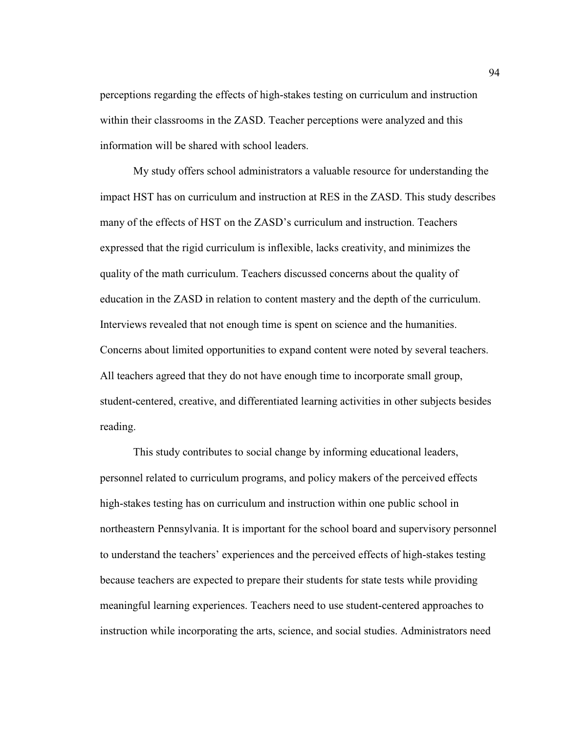perceptions regarding the effects of high-stakes testing on curriculum and instruction within their classrooms in the ZASD. Teacher perceptions were analyzed and this information will be shared with school leaders.

My study offers school administrators a valuable resource for understanding the impact HST has on curriculum and instruction at RES in the ZASD. This study describes many of the effects of HST on the ZASD's curriculum and instruction. Teachers expressed that the rigid curriculum is inflexible, lacks creativity, and minimizes the quality of the math curriculum. Teachers discussed concerns about the quality of education in the ZASD in relation to content mastery and the depth of the curriculum. Interviews revealed that not enough time is spent on science and the humanities. Concerns about limited opportunities to expand content were noted by several teachers. All teachers agreed that they do not have enough time to incorporate small group, student-centered, creative, and differentiated learning activities in other subjects besides reading.

This study contributes to social change by informing educational leaders, personnel related to curriculum programs, and policy makers of the perceived effects high-stakes testing has on curriculum and instruction within one public school in northeastern Pennsylvania. It is important for the school board and supervisory personnel to understand the teachers' experiences and the perceived effects of high-stakes testing because teachers are expected to prepare their students for state tests while providing meaningful learning experiences. Teachers need to use student-centered approaches to instruction while incorporating the arts, science, and social studies. Administrators need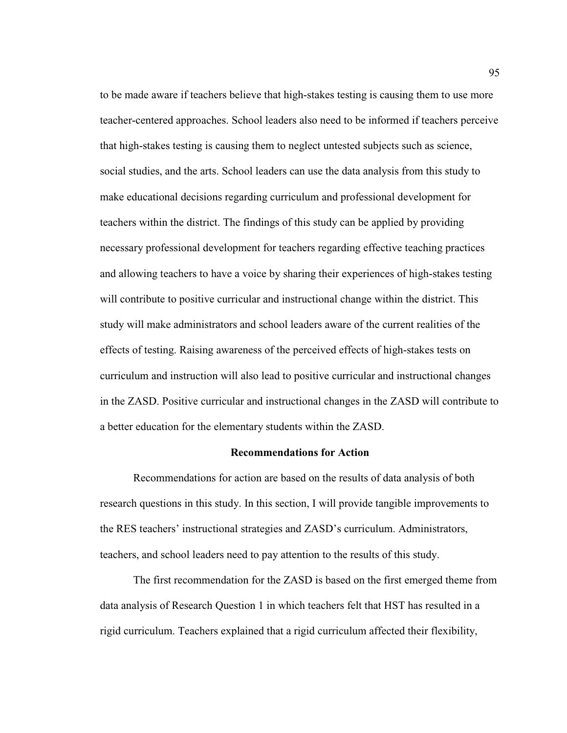to be made aware if teachers believe that high-stakes testing is causing them to use more teacher-centered approaches. School leaders also need to be informed if teachers perceive that high-stakes testing is causing them to neglect untested subjects such as science, social studies, and the arts. School leaders can use the data analysis from this study to make educational decisions regarding curriculum and professional development for teachers within the district. The findings of this study can be applied by providing necessary professional development for teachers regarding effective teaching practices and allowing teachers to have a voice by sharing their experiences of high-stakes testing will contribute to positive curricular and instructional change within the district. This study will make administrators and school leaders aware of the current realities of the effects of testing. Raising awareness of the perceived effects of high-stakes tests on curriculum and instruction will also lead to positive curricular and instructional changes in the ZASD. Positive curricular and instructional changes in the ZASD will contribute to a better education for the elementary students within the ZASD.

## **Recommendations for Action**

Recommendations for action are based on the results of data analysis of both research questions in this study. In this section, I will provide tangible improvements to the RES teachers' instructional strategies and ZASD's curriculum. Administrators, teachers, and school leaders need to pay attention to the results of this study.

 The first recommendation for the ZASD is based on the first emerged theme from data analysis of Research Question 1 in which teachers felt that HST has resulted in a rigid curriculum. Teachers explained that a rigid curriculum affected their flexibility,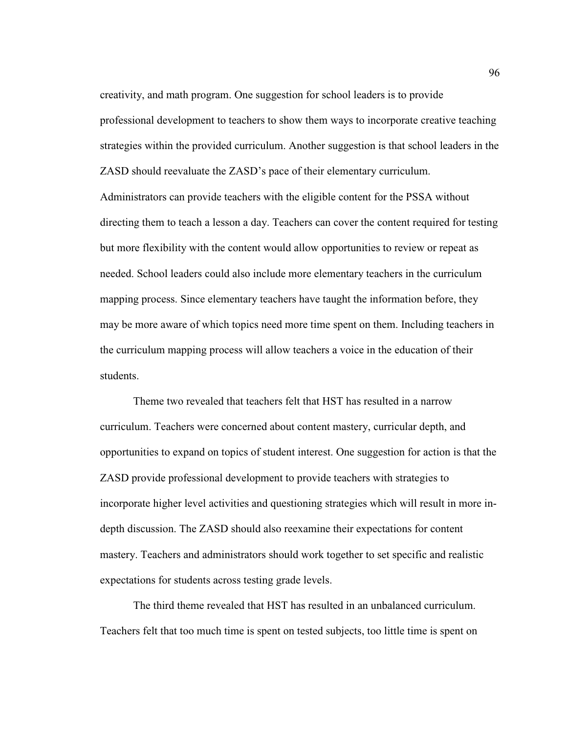creativity, and math program. One suggestion for school leaders is to provide professional development to teachers to show them ways to incorporate creative teaching strategies within the provided curriculum. Another suggestion is that school leaders in the ZASD should reevaluate the ZASD's pace of their elementary curriculum. Administrators can provide teachers with the eligible content for the PSSA without directing them to teach a lesson a day. Teachers can cover the content required for testing but more flexibility with the content would allow opportunities to review or repeat as needed. School leaders could also include more elementary teachers in the curriculum mapping process. Since elementary teachers have taught the information before, they may be more aware of which topics need more time spent on them. Including teachers in the curriculum mapping process will allow teachers a voice in the education of their students.

 Theme two revealed that teachers felt that HST has resulted in a narrow curriculum. Teachers were concerned about content mastery, curricular depth, and opportunities to expand on topics of student interest. One suggestion for action is that the ZASD provide professional development to provide teachers with strategies to incorporate higher level activities and questioning strategies which will result in more indepth discussion. The ZASD should also reexamine their expectations for content mastery. Teachers and administrators should work together to set specific and realistic expectations for students across testing grade levels.

 The third theme revealed that HST has resulted in an unbalanced curriculum. Teachers felt that too much time is spent on tested subjects, too little time is spent on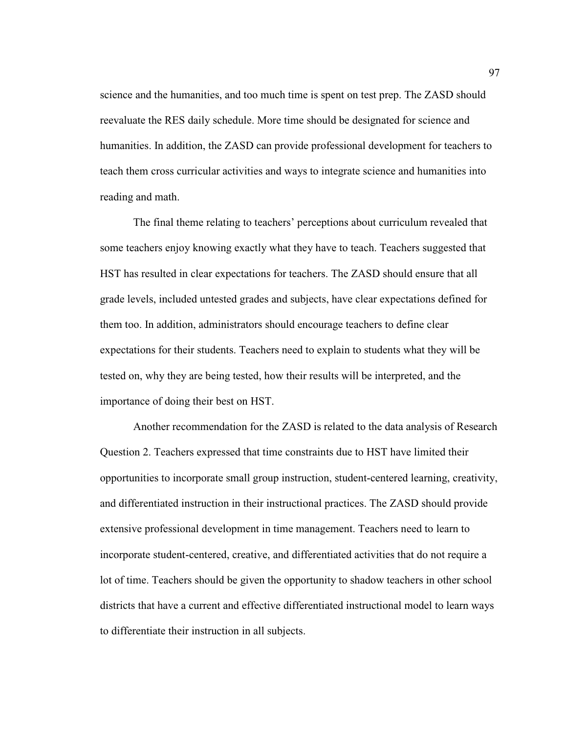science and the humanities, and too much time is spent on test prep. The ZASD should reevaluate the RES daily schedule. More time should be designated for science and humanities. In addition, the ZASD can provide professional development for teachers to teach them cross curricular activities and ways to integrate science and humanities into reading and math.

 The final theme relating to teachers' perceptions about curriculum revealed that some teachers enjoy knowing exactly what they have to teach. Teachers suggested that HST has resulted in clear expectations for teachers. The ZASD should ensure that all grade levels, included untested grades and subjects, have clear expectations defined for them too. In addition, administrators should encourage teachers to define clear expectations for their students. Teachers need to explain to students what they will be tested on, why they are being tested, how their results will be interpreted, and the importance of doing their best on HST.

 Another recommendation for the ZASD is related to the data analysis of Research Question 2. Teachers expressed that time constraints due to HST have limited their opportunities to incorporate small group instruction, student-centered learning, creativity, and differentiated instruction in their instructional practices. The ZASD should provide extensive professional development in time management. Teachers need to learn to incorporate student-centered, creative, and differentiated activities that do not require a lot of time. Teachers should be given the opportunity to shadow teachers in other school districts that have a current and effective differentiated instructional model to learn ways to differentiate their instruction in all subjects.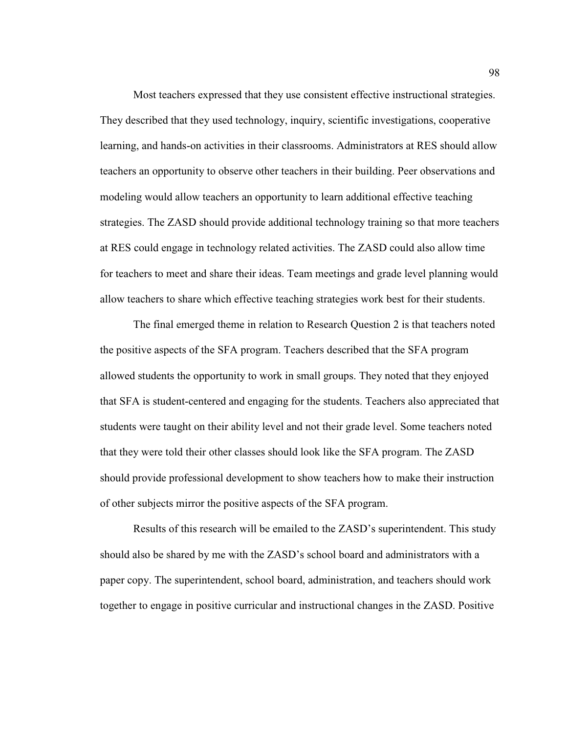Most teachers expressed that they use consistent effective instructional strategies. They described that they used technology, inquiry, scientific investigations, cooperative learning, and hands-on activities in their classrooms. Administrators at RES should allow teachers an opportunity to observe other teachers in their building. Peer observations and modeling would allow teachers an opportunity to learn additional effective teaching strategies. The ZASD should provide additional technology training so that more teachers at RES could engage in technology related activities. The ZASD could also allow time for teachers to meet and share their ideas. Team meetings and grade level planning would allow teachers to share which effective teaching strategies work best for their students.

 The final emerged theme in relation to Research Question 2 is that teachers noted the positive aspects of the SFA program. Teachers described that the SFA program allowed students the opportunity to work in small groups. They noted that they enjoyed that SFA is student-centered and engaging for the students. Teachers also appreciated that students were taught on their ability level and not their grade level. Some teachers noted that they were told their other classes should look like the SFA program. The ZASD should provide professional development to show teachers how to make their instruction of other subjects mirror the positive aspects of the SFA program.

 Results of this research will be emailed to the ZASD's superintendent. This study should also be shared by me with the ZASD's school board and administrators with a paper copy. The superintendent, school board, administration, and teachers should work together to engage in positive curricular and instructional changes in the ZASD. Positive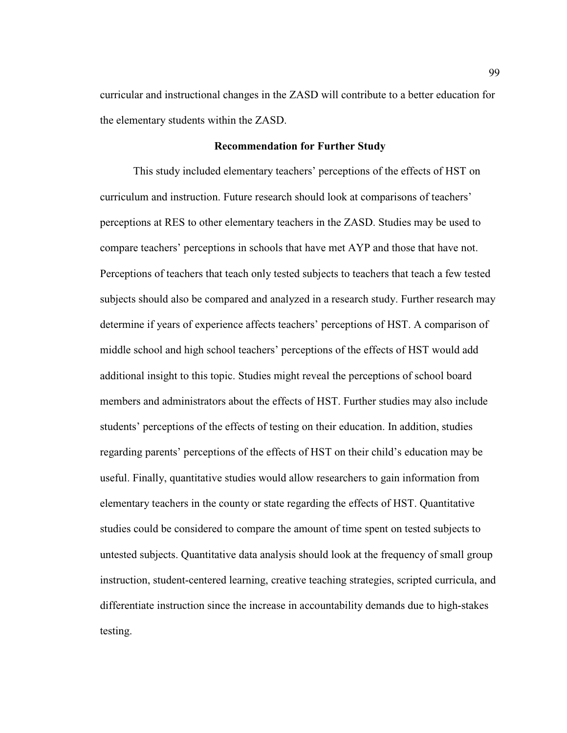curricular and instructional changes in the ZASD will contribute to a better education for the elementary students within the ZASD.

#### **Recommendation for Further Study**

 This study included elementary teachers' perceptions of the effects of HST on curriculum and instruction. Future research should look at comparisons of teachers' perceptions at RES to other elementary teachers in the ZASD. Studies may be used to compare teachers' perceptions in schools that have met AYP and those that have not. Perceptions of teachers that teach only tested subjects to teachers that teach a few tested subjects should also be compared and analyzed in a research study. Further research may determine if years of experience affects teachers' perceptions of HST. A comparison of middle school and high school teachers' perceptions of the effects of HST would add additional insight to this topic. Studies might reveal the perceptions of school board members and administrators about the effects of HST. Further studies may also include students' perceptions of the effects of testing on their education. In addition, studies regarding parents' perceptions of the effects of HST on their child's education may be useful. Finally, quantitative studies would allow researchers to gain information from elementary teachers in the county or state regarding the effects of HST. Quantitative studies could be considered to compare the amount of time spent on tested subjects to untested subjects. Quantitative data analysis should look at the frequency of small group instruction, student-centered learning, creative teaching strategies, scripted curricula, and differentiate instruction since the increase in accountability demands due to high-stakes testing.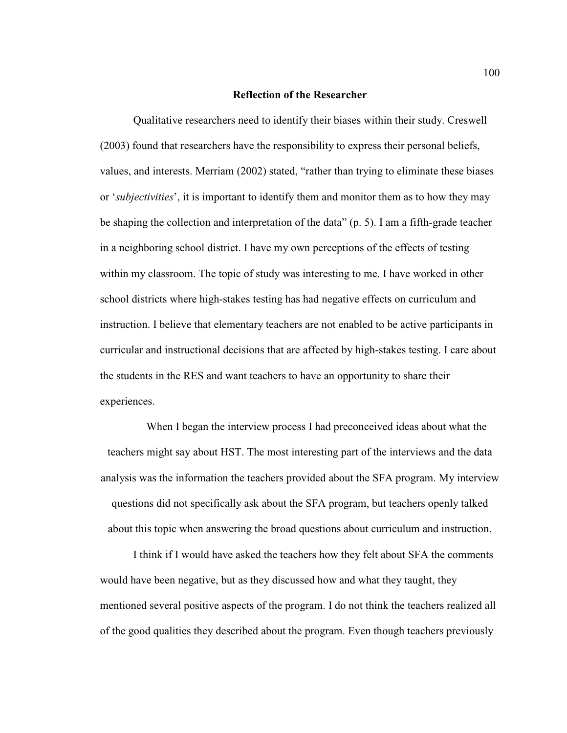### **Reflection of the Researcher**

 Qualitative researchers need to identify their biases within their study. Creswell (2003) found that researchers have the responsibility to express their personal beliefs, values, and interests. Merriam (2002) stated, "rather than trying to eliminate these biases or '*subjectivities*', it is important to identify them and monitor them as to how they may be shaping the collection and interpretation of the data" (p. 5). I am a fifth-grade teacher in a neighboring school district. I have my own perceptions of the effects of testing within my classroom. The topic of study was interesting to me. I have worked in other school districts where high-stakes testing has had negative effects on curriculum and instruction. I believe that elementary teachers are not enabled to be active participants in curricular and instructional decisions that are affected by high-stakes testing. I care about the students in the RES and want teachers to have an opportunity to share their experiences.

 When I began the interview process I had preconceived ideas about what the teachers might say about HST. The most interesting part of the interviews and the data analysis was the information the teachers provided about the SFA program. My interview questions did not specifically ask about the SFA program, but teachers openly talked about this topic when answering the broad questions about curriculum and instruction.

 I think if I would have asked the teachers how they felt about SFA the comments would have been negative, but as they discussed how and what they taught, they mentioned several positive aspects of the program. I do not think the teachers realized all of the good qualities they described about the program. Even though teachers previously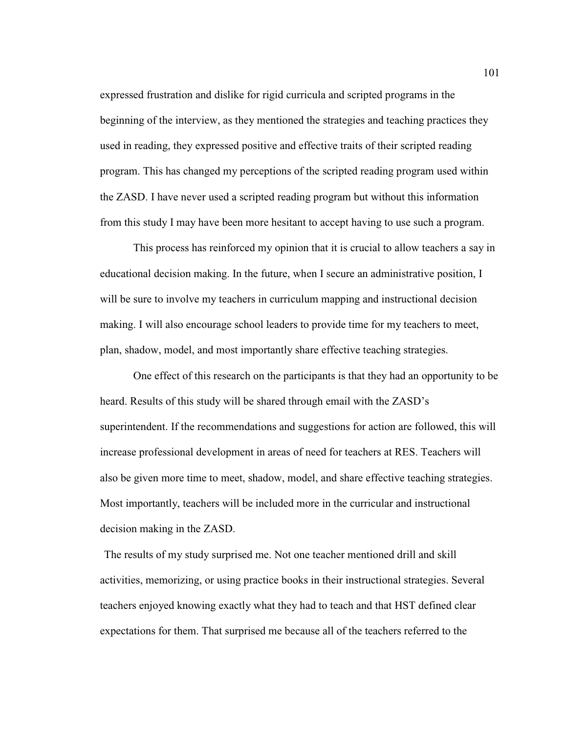expressed frustration and dislike for rigid curricula and scripted programs in the beginning of the interview, as they mentioned the strategies and teaching practices they used in reading, they expressed positive and effective traits of their scripted reading program. This has changed my perceptions of the scripted reading program used within the ZASD. I have never used a scripted reading program but without this information from this study I may have been more hesitant to accept having to use such a program.

 This process has reinforced my opinion that it is crucial to allow teachers a say in educational decision making. In the future, when I secure an administrative position, I will be sure to involve my teachers in curriculum mapping and instructional decision making. I will also encourage school leaders to provide time for my teachers to meet, plan, shadow, model, and most importantly share effective teaching strategies.

 One effect of this research on the participants is that they had an opportunity to be heard. Results of this study will be shared through email with the ZASD's superintendent. If the recommendations and suggestions for action are followed, this will increase professional development in areas of need for teachers at RES. Teachers will also be given more time to meet, shadow, model, and share effective teaching strategies. Most importantly, teachers will be included more in the curricular and instructional decision making in the ZASD.

 The results of my study surprised me. Not one teacher mentioned drill and skill activities, memorizing, or using practice books in their instructional strategies. Several teachers enjoyed knowing exactly what they had to teach and that HST defined clear expectations for them. That surprised me because all of the teachers referred to the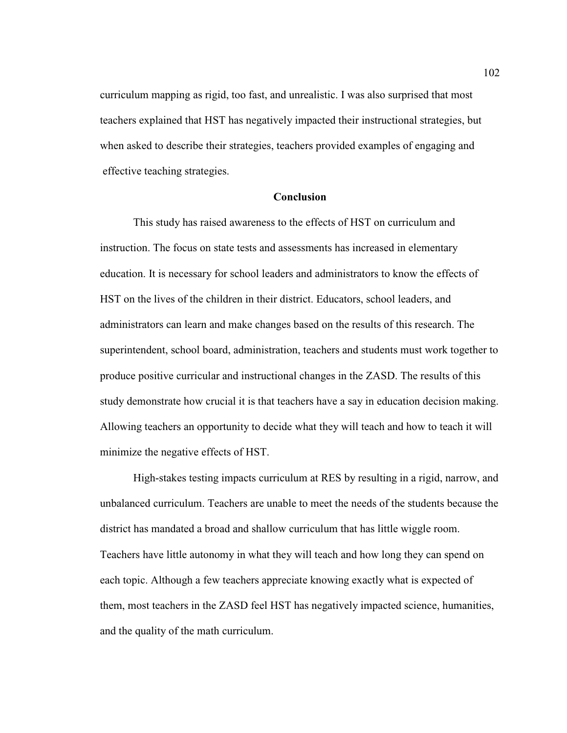curriculum mapping as rigid, too fast, and unrealistic. I was also surprised that most teachers explained that HST has negatively impacted their instructional strategies, but when asked to describe their strategies, teachers provided examples of engaging and effective teaching strategies.

### **Conclusion**

This study has raised awareness to the effects of HST on curriculum and instruction. The focus on state tests and assessments has increased in elementary education. It is necessary for school leaders and administrators to know the effects of HST on the lives of the children in their district. Educators, school leaders, and administrators can learn and make changes based on the results of this research. The superintendent, school board, administration, teachers and students must work together to produce positive curricular and instructional changes in the ZASD. The results of this study demonstrate how crucial it is that teachers have a say in education decision making. Allowing teachers an opportunity to decide what they will teach and how to teach it will minimize the negative effects of HST.

High-stakes testing impacts curriculum at RES by resulting in a rigid, narrow, and unbalanced curriculum. Teachers are unable to meet the needs of the students because the district has mandated a broad and shallow curriculum that has little wiggle room. Teachers have little autonomy in what they will teach and how long they can spend on each topic. Although a few teachers appreciate knowing exactly what is expected of them, most teachers in the ZASD feel HST has negatively impacted science, humanities, and the quality of the math curriculum.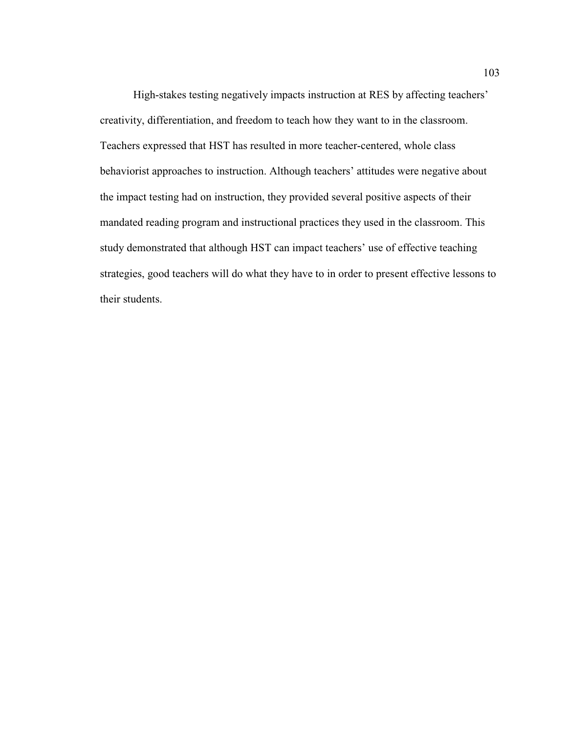High-stakes testing negatively impacts instruction at RES by affecting teachers' creativity, differentiation, and freedom to teach how they want to in the classroom. Teachers expressed that HST has resulted in more teacher-centered, whole class behaviorist approaches to instruction. Although teachers' attitudes were negative about the impact testing had on instruction, they provided several positive aspects of their mandated reading program and instructional practices they used in the classroom. This study demonstrated that although HST can impact teachers' use of effective teaching strategies, good teachers will do what they have to in order to present effective lessons to their students.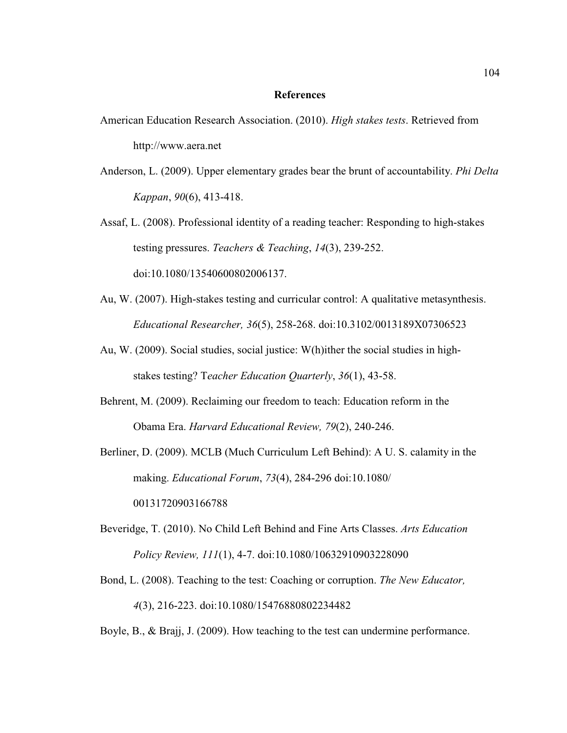### **References**

- American Education Research Association. (2010). *High stakes tests*. Retrieved from http://www.aera.net
- Anderson, L. (2009). Upper elementary grades bear the brunt of accountability. *Phi Delta Kappan*, *90*(6), 413-418.
- Assaf, L. (2008). Professional identity of a reading teacher: Responding to high-stakes testing pressures. *Teachers & Teaching*, *14*(3), 239-252. doi:10.1080/13540600802006137.
- Au, W. (2007). High-stakes testing and curricular control: A qualitative metasynthesis. *Educational Researcher, 36*(5), 258-268. doi:10.3102/0013189X07306523
- Au, W. (2009). Social studies, social justice: W(h)ither the social studies in high stakes testing? T*eacher Education Quarterly*, *36*(1), 43-58.
- Behrent, M. (2009). Reclaiming our freedom to teach: Education reform in the Obama Era. *Harvard Educational Review, 79*(2), 240-246.
- Berliner, D. (2009). MCLB (Much Curriculum Left Behind): A U. S. calamity in the making. *Educational Forum*, *73*(4), 284-296 doi:10.1080/ 00131720903166788
- Beveridge, T. (2010). No Child Left Behind and Fine Arts Classes. *Arts Education Policy Review, 111*(1), 4-7. doi:10.1080/10632910903228090
- Bond, L. (2008). Teaching to the test: Coaching or corruption. *The New Educator, 4*(3), 216-223. doi:10.1080/15476880802234482
- Boyle, B., & Brajj, J. (2009). How teaching to the test can undermine performance.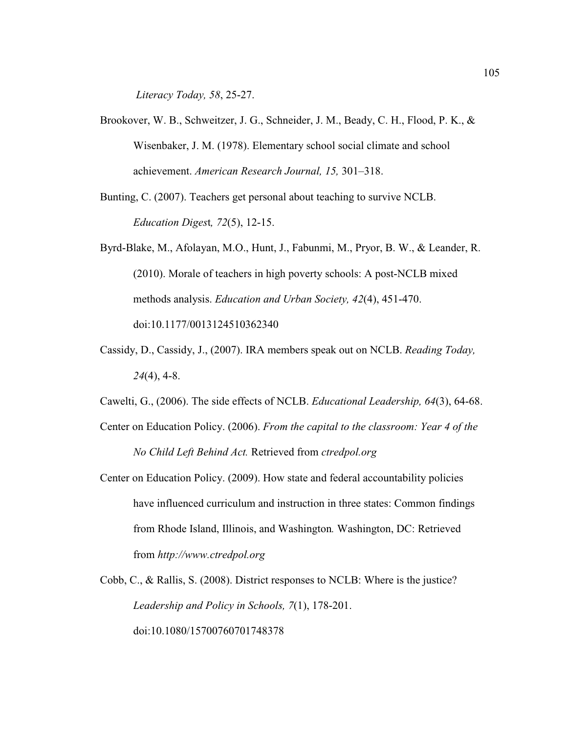*Literacy Today, 58*, 25-27.

- Brookover, W. B., Schweitzer, J. G., Schneider, J. M., Beady, C. H., Flood, P. K., & Wisenbaker, J. M. (1978). Elementary school social climate and school achievement. *American Research Journal, 15,* 301–318.
- Bunting, C. (2007). Teachers get personal about teaching to survive NCLB.  *Education Diges*t*, 72*(5), 12-15.
- Byrd-Blake, M., Afolayan, M.O., Hunt, J., Fabunmi, M., Pryor, B. W., & Leander, R. (2010). Morale of teachers in high poverty schools: A post-NCLB mixed methods analysis. *Education and Urban Society, 42*(4), 451-470. doi:10.1177/0013124510362340
- Cassidy, D., Cassidy, J., (2007). IRA members speak out on NCLB. *Reading Today, 24*(4), 4-8.
- Cawelti, G., (2006). The side effects of NCLB. *Educational Leadership, 64*(3), 64-68.
- Center on Education Policy. (2006). *From the capital to the classroom: Year 4 of the No Child Left Behind Act.* Retrieved from *ctredpol.org*
- Center on Education Policy. (2009). How state and federal accountability policies have influenced curriculum and instruction in three states: Common findings from Rhode Island, Illinois, and Washington*.* Washington, DC: Retrieved from *http://www.ctredpol.org*
- Cobb, C., & Rallis, S. (2008). District responses to NCLB: Where is the justice? *Leadership and Policy in Schools, 7*(1), 178-201. doi:10.1080/15700760701748378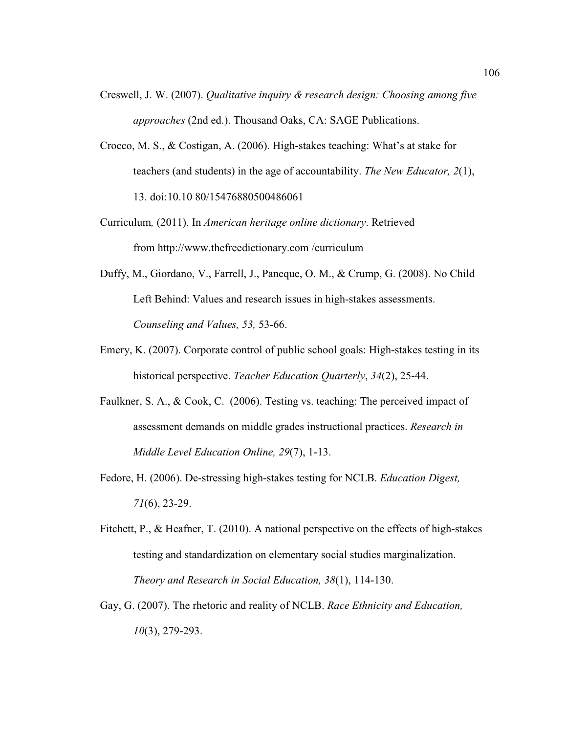- Creswell, J. W. (2007). *Qualitative inquiry & research design: Choosing among five approaches* (2nd ed.). Thousand Oaks, CA: SAGE Publications.
- Crocco, M. S., & Costigan, A. (2006). High-stakes teaching: What's at stake for teachers (and students) in the age of accountability. *The New Educator, 2*(1), 13. doi:10.10 80/15476880500486061
- Curriculum*,* (2011). In *American heritage online dictionary*. Retrieved from http://www.thefreedictionary.com /curriculum
- Duffy, M., Giordano, V., Farrell, J., Paneque, O. M., & Crump, G. (2008). No Child Left Behind: Values and research issues in high-stakes assessments. *Counseling and Values, 53,* 53-66.
- Emery, K. (2007). Corporate control of public school goals: High-stakes testing in its historical perspective. *Teacher Education Quarterly*, *34*(2), 25-44.
- Faulkner, S. A., & Cook, C. (2006). Testing vs. teaching: The perceived impact of assessment demands on middle grades instructional practices. *Research in Middle Level Education Online, 29*(7), 1-13.
- Fedore, H. (2006). De-stressing high-stakes testing for NCLB. *Education Digest, 71*(6), 23-29.
- Fitchett, P., & Heafner, T. (2010). A national perspective on the effects of high-stakes testing and standardization on elementary social studies marginalization. *Theory and Research in Social Education, 38*(1), 114-130.
- Gay, G. (2007). The rhetoric and reality of NCLB. *Race Ethnicity and Education, 10*(3), 279-293.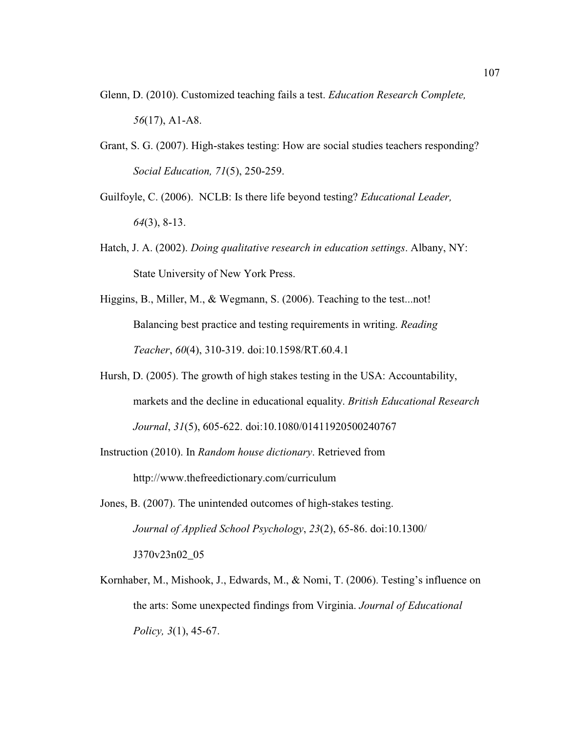- Glenn, D. (2010). Customized teaching fails a test. *Education Research Complete, 56*(17), A1-A8.
- Grant, S. G. (2007). High-stakes testing: How are social studies teachers responding? *Social Education, 71*(5), 250-259.
- Guilfoyle, C. (2006). NCLB: Is there life beyond testing? *Educational Leader, 64*(3), 8-13.
- Hatch, J. A. (2002). *Doing qualitative research in education settings*. Albany, NY: State University of New York Press.
- Higgins, B., Miller, M., & Wegmann, S. (2006). Teaching to the test...not! Balancing best practice and testing requirements in writing. *Reading Teacher*, *60*(4), 310-319. doi:10.1598/RT.60.4.1
- Hursh, D. (2005). The growth of high stakes testing in the USA: Accountability, markets and the decline in educational equality. *British Educational Research Journal*, *31*(5), 605-622. doi:10.1080/01411920500240767
- Instruction (2010). In *Random house dictionary*. Retrieved from http://www.thefreedictionary.com/curriculum
- Jones, B. (2007). The unintended outcomes of high-stakes testing. *Journal of Applied School Psychology*, *23*(2), 65-86. doi:10.1300/ J370v23n02\_05
- Kornhaber, M., Mishook, J., Edwards, M., & Nomi, T. (2006). Testing's influence on the arts: Some unexpected findings from Virginia. *Journal of Educational Policy, 3*(1), 45-67.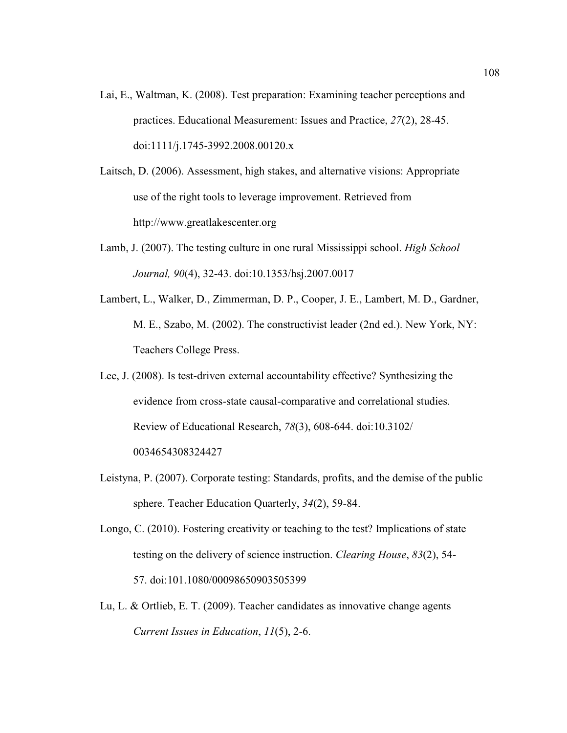- Lai, E., Waltman, K. (2008). Test preparation: Examining teacher perceptions and practices. Educational Measurement: Issues and Practice, *27*(2), 28-45. doi:1111/j.1745-3992.2008.00120.x
- Laitsch, D. (2006). Assessment, high stakes, and alternative visions: Appropriate use of the right tools to leverage improvement. Retrieved from http://www.greatlakescenter.org
- Lamb, J. (2007). The testing culture in one rural Mississippi school. *High School Journal, 90*(4), 32-43. doi:10.1353/hsj.2007.0017
- Lambert, L., Walker, D., Zimmerman, D. P., Cooper, J. E., Lambert, M. D., Gardner, M. E., Szabo, M. (2002). The constructivist leader (2nd ed.). New York, NY: Teachers College Press.
- Lee, J. (2008). Is test-driven external accountability effective? Synthesizing the evidence from cross-state causal-comparative and correlational studies. Review of Educational Research, *78*(3), 608-644. doi:10.3102/ 0034654308324427
- Leistyna, P. (2007). Corporate testing: Standards, profits, and the demise of the public sphere. Teacher Education Quarterly, *34*(2), 59-84.
- Longo, C. (2010). Fostering creativity or teaching to the test? Implications of state testing on the delivery of science instruction. *Clearing House*, *83*(2), 54- 57. doi:101.1080/00098650903505399
- Lu, L. & Ortlieb, E. T. (2009). Teacher candidates as innovative change agents *Current Issues in Education*, *11*(5), 2-6.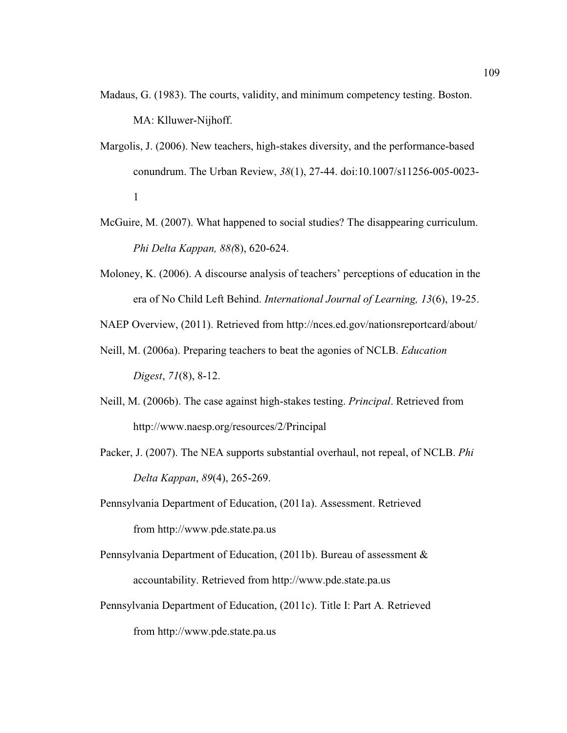- Madaus, G. (1983). The courts, validity, and minimum competency testing. Boston. MA: Klluwer-Nijhoff.
- Margolis, J. (2006). New teachers, high-stakes diversity, and the performance-based conundrum. The Urban Review, *38*(1), 27-44. doi:10.1007/s11256-005-0023- 1
- McGuire, M. (2007). What happened to social studies? The disappearing curriculum. *Phi Delta Kappan, 88(*8), 620-624.
- Moloney, K. (2006). A discourse analysis of teachers' perceptions of education in the era of No Child Left Behind. *International Journal of Learning, 13*(6), 19-25.

NAEP Overview, (2011). Retrieved from http://nces.ed.gov/nationsreportcard/about/

- Neill, M. (2006a). Preparing teachers to beat the agonies of NCLB. *Education Digest*, *71*(8), 8-12.
- Neill, M. (2006b). The case against high-stakes testing. *Principal*. Retrieved from http://www.naesp.org/resources/2/Principal
- Packer, J. (2007). The NEA supports substantial overhaul, not repeal, of NCLB. *Phi Delta Kappan*, *89*(4), 265-269.
- Pennsylvania Department of Education, (2011a). Assessment. Retrieved from http://www.pde.state.pa.us
- Pennsylvania Department of Education, (2011b). Bureau of assessment & accountability. Retrieved from http://www.pde.state.pa.us
- Pennsylvania Department of Education, (2011c). Title I: Part A*.* Retrieved from http://www.pde.state.pa.us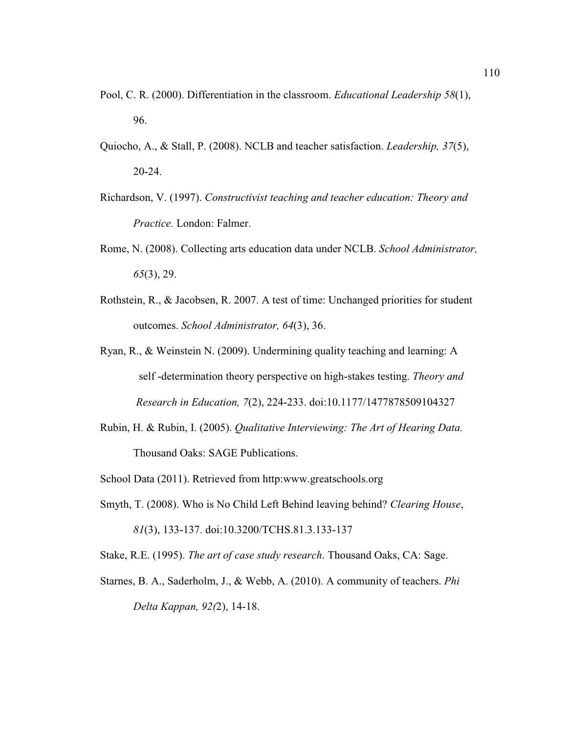- Pool, C. R. (2000). Differentiation in the classroom. *Educational Leadership 58*(1), 96.
- Quiocho, A., & Stall, P. (2008). NCLB and teacher satisfaction. *Leadership, 37*(5), 20-24.
- Richardson, V. (1997). *Constructivist teaching and teacher education: Theory and Practice.* London: Falmer.
- Rome, N. (2008). Collecting arts education data under NCLB. *School Administrator, 65*(3), 29.
- Rothstein, R., & Jacobsen, R. 2007. A test of time: Unchanged priorities for student outcomes. *School Administrator, 64*(3), 36.
- Ryan, R., & Weinstein N. (2009). Undermining quality teaching and learning: A self -determination theory perspective on high-stakes testing. *Theory and Research in Education, 7*(2), 224-233. doi:10.1177/1477878509104327
- Rubin, H. & Rubin, I. (2005). *Qualitative Interviewing: The Art of Hearing Data.*  Thousand Oaks: SAGE Publications.
- School Data (2011). Retrieved from http:www.greatschools.org
- Smyth, T. (2008). Who is No Child Left Behind leaving behind? *Clearing House*,  *81*(3), 133-137. doi:10.3200/TCHS.81.3.133-137
- Stake, R.E. (1995). *The art of case study research*. Thousand Oaks, CA: Sage.
- Starnes, B. A., Saderholm, J., & Webb, A. (2010). A community of teachers. *Phi Delta Kappan, 92(*2), 14-18.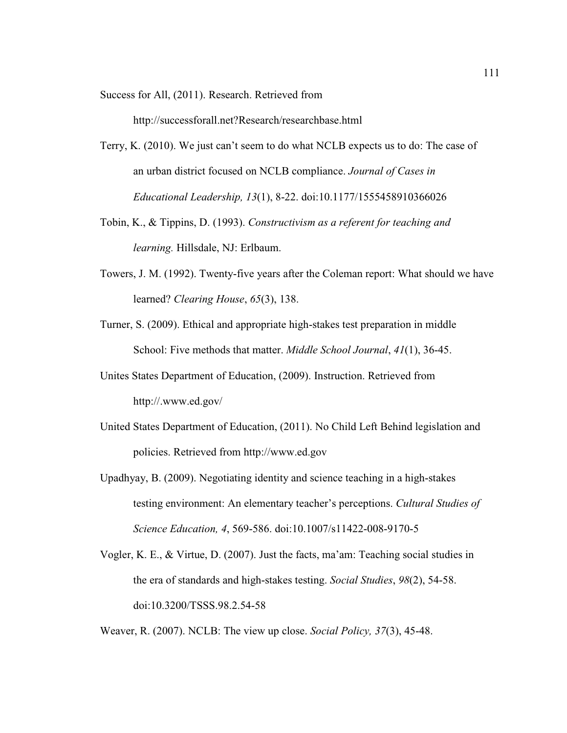Success for All, (2011). Research. Retrieved from

http://successforall.net?Research/researchbase.html

- Terry, K. (2010). We just can't seem to do what NCLB expects us to do: The case of an urban district focused on NCLB compliance. *Journal of Cases in Educational Leadership, 13*(1), 8-22. doi:10.1177/1555458910366026
- Tobin, K., & Tippins, D. (1993). *Constructivism as a referent for teaching and learning.* Hillsdale, NJ: Erlbaum.
- Towers, J. M. (1992). Twenty-five years after the Coleman report: What should we have learned? *Clearing House*, *65*(3), 138.
- Turner, S. (2009). Ethical and appropriate high-stakes test preparation in middle School: Five methods that matter. *Middle School Journal*, *41*(1), 36-45.
- Unites States Department of Education, (2009). Instruction. Retrieved from http://.www.ed.gov/
- United States Department of Education, (2011). No Child Left Behind legislation and policies. Retrieved from http://www.ed.gov
- Upadhyay, B. (2009). Negotiating identity and science teaching in a high-stakes testing environment: An elementary teacher's perceptions. *Cultural Studies of Science Education, 4*, 569-586. doi:10.1007/s11422-008-9170-5
- Vogler, K. E., & Virtue, D. (2007). Just the facts, ma'am: Teaching social studies in the era of standards and high-stakes testing. *Social Studies*, *98*(2), 54-58. doi:10.3200/TSSS.98.2.54-58

Weaver, R. (2007). NCLB: The view up close. *Social Policy, 37*(3), 45-48.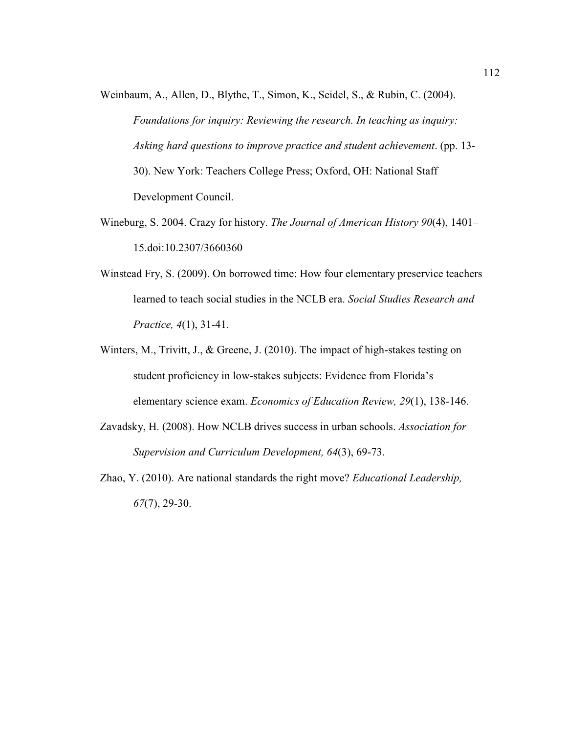- Weinbaum, A., Allen, D., Blythe, T., Simon, K., Seidel, S., & Rubin, C. (2004). *Foundations for inquiry: Reviewing the research. In teaching as inquiry: Asking hard questions to improve practice and student achievement*. (pp. 13- 30). New York: Teachers College Press; Oxford, OH: National Staff Development Council.
- Wineburg, S. 2004. Crazy for history. *The Journal of American History 90*(4), 1401– 15.doi:10.2307/3660360
- Winstead Fry, S. (2009). On borrowed time: How four elementary preservice teachers learned to teach social studies in the NCLB era. *Social Studies Research and Practice, 4*(1), 31-41.
- Winters, M., Trivitt, J., & Greene, J. (2010). The impact of high-stakes testing on student proficiency in low-stakes subjects: Evidence from Florida's elementary science exam. *Economics of Education Review, 29*(1), 138-146.
- Zavadsky, H. (2008). How NCLB drives success in urban schools. *Association for Supervision and Curriculum Development, 64*(3), 69-73.
- Zhao, Y. (2010). Are national standards the right move? *Educational Leadership, 67*(7), 29-30.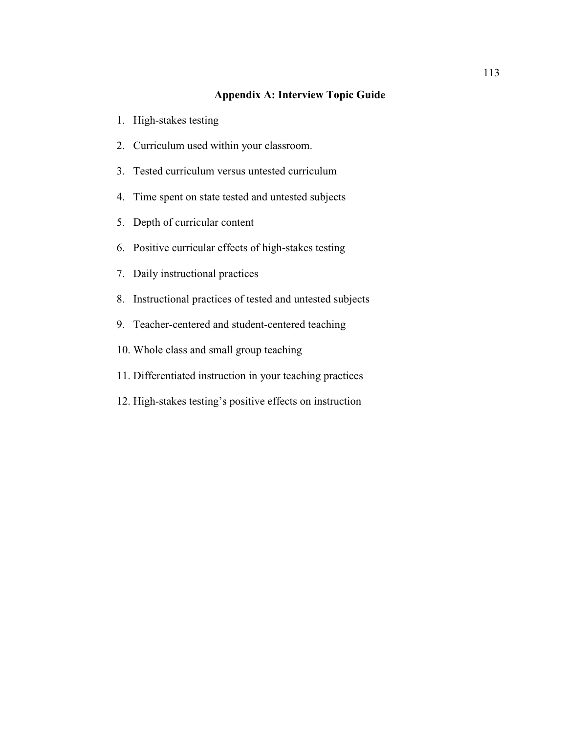# **Appendix A: Interview Topic Guide**

- 1. High-stakes testing
- 2. Curriculum used within your classroom.
- 3. Tested curriculum versus untested curriculum
- 4. Time spent on state tested and untested subjects
- 5. Depth of curricular content
- 6. Positive curricular effects of high-stakes testing
- 7. Daily instructional practices
- 8. Instructional practices of tested and untested subjects
- 9. Teacher-centered and student-centered teaching
- 10. Whole class and small group teaching
- 11. Differentiated instruction in your teaching practices
- 12. High-stakes testing's positive effects on instruction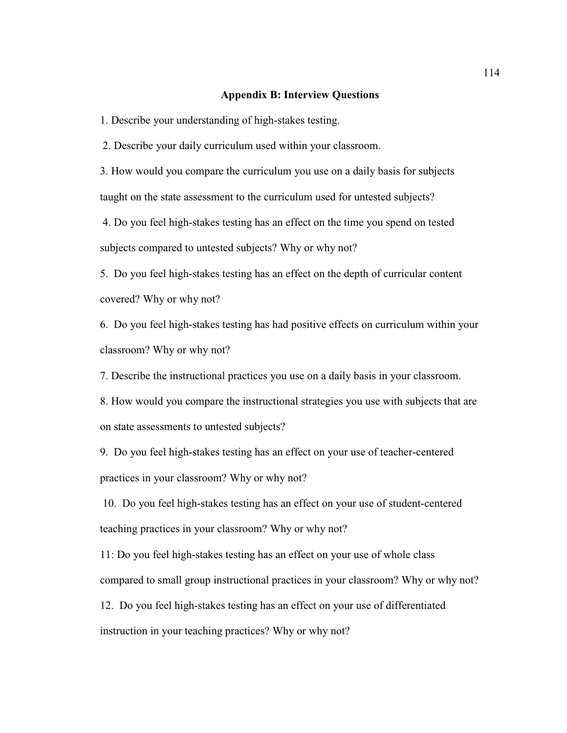#### **Appendix B: Interview Questions**

1. Describe your understanding of high-stakes testing.

2. Describe your daily curriculum used within your classroom.

3. How would you compare the curriculum you use on a daily basis for subjects taught on the state assessment to the curriculum used for untested subjects?

 4. Do you feel high-stakes testing has an effect on the time you spend on tested subjects compared to untested subjects? Why or why not?

5. Do you feel high-stakes testing has an effect on the depth of curricular content covered? Why or why not?

6. Do you feel high-stakes testing has had positive effects on curriculum within your classroom? Why or why not?

7. Describe the instructional practices you use on a daily basis in your classroom.

8. How would you compare the instructional strategies you use with subjects that are on state assessments to untested subjects?

9. Do you feel high-stakes testing has an effect on your use of teacher-centered practices in your classroom? Why or why not?

 10. Do you feel high-stakes testing has an effect on your use of student-centered teaching practices in your classroom? Why or why not?

11: Do you feel high-stakes testing has an effect on your use of whole class compared to small group instructional practices in your classroom? Why or why not?

12. Do you feel high-stakes testing has an effect on your use of differentiated instruction in your teaching practices? Why or why not?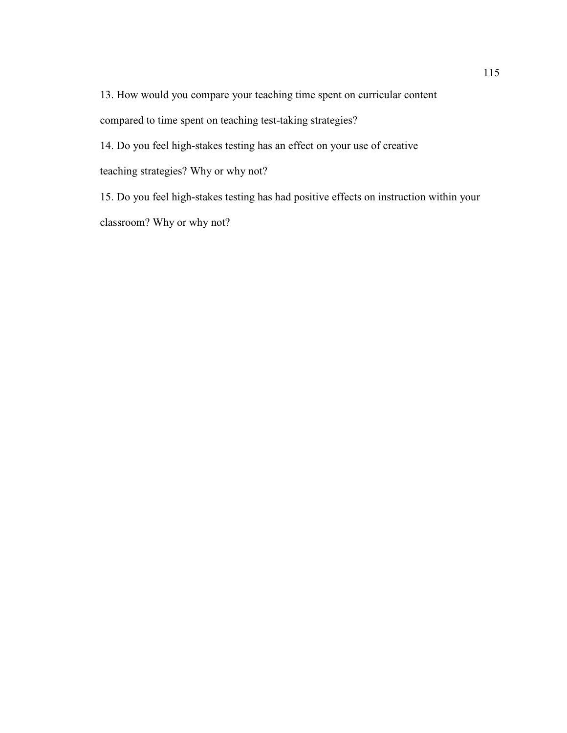13. How would you compare your teaching time spent on curricular content compared to time spent on teaching test-taking strategies?

14. Do you feel high-stakes testing has an effect on your use of creative teaching strategies? Why or why not?

15. Do you feel high-stakes testing has had positive effects on instruction within your classroom? Why or why not?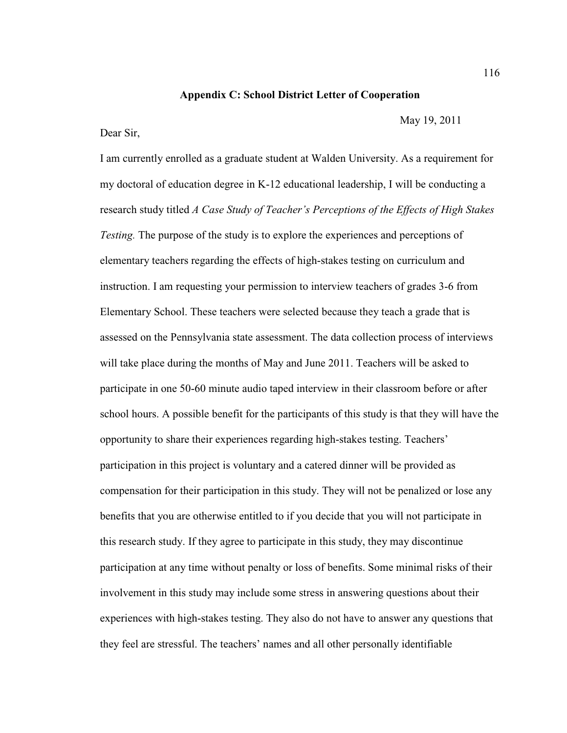### **Appendix C: School District Letter of Cooperation**

Dear Sir,

I am currently enrolled as a graduate student at Walden University. As a requirement for my doctoral of education degree in K-12 educational leadership, I will be conducting a research study titled *A Case Study of Teacher's Perceptions of the Effects of High Stakes Testing.* The purpose of the study is to explore the experiences and perceptions of elementary teachers regarding the effects of high-stakes testing on curriculum and instruction. I am requesting your permission to interview teachers of grades 3-6 from Elementary School. These teachers were selected because they teach a grade that is assessed on the Pennsylvania state assessment. The data collection process of interviews will take place during the months of May and June 2011. Teachers will be asked to participate in one 50-60 minute audio taped interview in their classroom before or after school hours. A possible benefit for the participants of this study is that they will have the opportunity to share their experiences regarding high-stakes testing. Teachers' participation in this project is voluntary and a catered dinner will be provided as compensation for their participation in this study. They will not be penalized or lose any benefits that you are otherwise entitled to if you decide that you will not participate in this research study. If they agree to participate in this study, they may discontinue participation at any time without penalty or loss of benefits. Some minimal risks of their involvement in this study may include some stress in answering questions about their experiences with high-stakes testing. They also do not have to answer any questions that they feel are stressful. The teachers' names and all other personally identifiable

May 19, 2011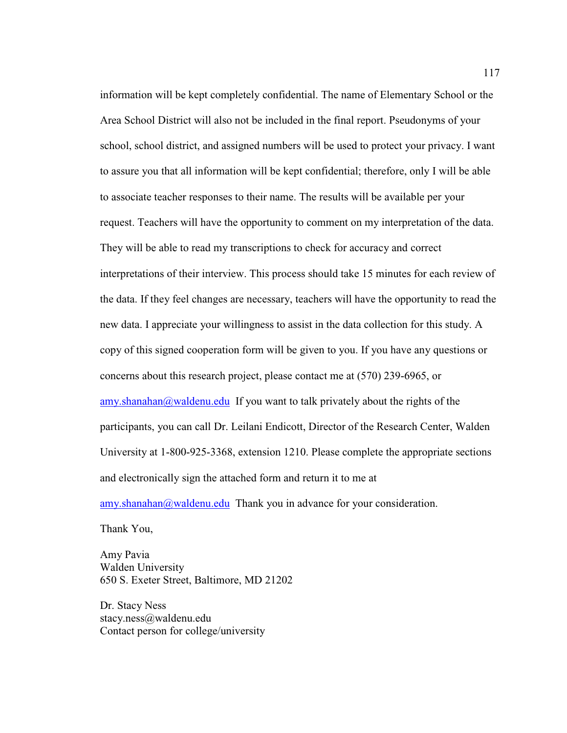information will be kept completely confidential. The name of Elementary School or the Area School District will also not be included in the final report. Pseudonyms of your school, school district, and assigned numbers will be used to protect your privacy. I want to assure you that all information will be kept confidential; therefore, only I will be able to associate teacher responses to their name. The results will be available per your request. Teachers will have the opportunity to comment on my interpretation of the data. They will be able to read my transcriptions to check for accuracy and correct interpretations of their interview. This process should take 15 minutes for each review of the data. If they feel changes are necessary, teachers will have the opportunity to read the new data. I appreciate your willingness to assist in the data collection for this study. A copy of this signed cooperation form will be given to you. If you have any questions or concerns about this research project, please contact me at (570) 239-6965, or  $\frac{amy \sinh a}{a}$  waldenu.edu If you want to talk privately about the rights of the participants, you can call Dr. Leilani Endicott, Director of the Research Center, Walden University at 1-800-925-3368, extension 1210. Please complete the appropriate sections and electronically sign the attached form and return it to me at

amy.shanahan@waldenu.edu Thank you in advance for your consideration.

Thank You,

Amy Pavia Walden University 650 S. Exeter Street, Baltimore, MD 21202

Dr. Stacy Ness stacy.ness@waldenu.edu Contact person for college/university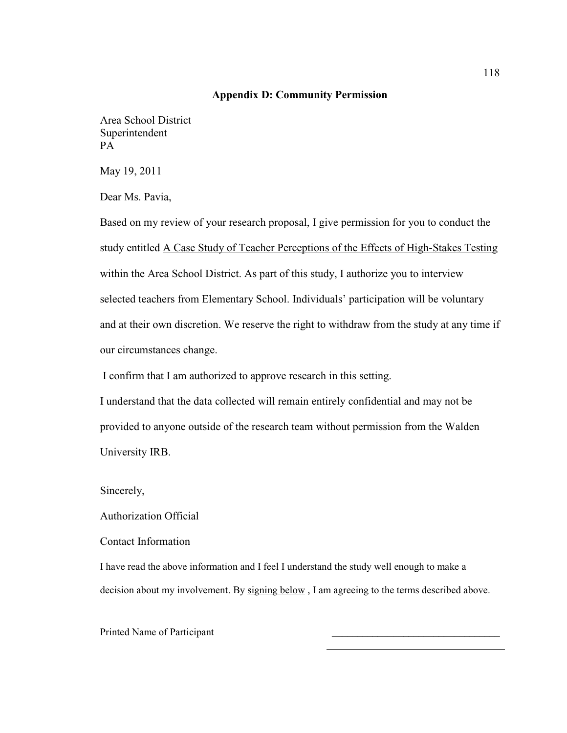### **Appendix D: Community Permission**

Area School District Superintendent PA

May 19, 2011

Dear Ms. Pavia,

Based on my review of your research proposal, I give permission for you to conduct the study entitled A Case Study of Teacher Perceptions of the Effects of High-Stakes Testing within the Area School District. As part of this study, I authorize you to interview selected teachers from Elementary School. Individuals' participation will be voluntary and at their own discretion. We reserve the right to withdraw from the study at any time if our circumstances change.

I confirm that I am authorized to approve research in this setting.

I understand that the data collected will remain entirely confidential and may not be provided to anyone outside of the research team without permission from the Walden University IRB.

Sincerely,

Authorization Official

Contact Information

I have read the above information and I feel I understand the study well enough to make a decision about my involvement. By signing below, I am agreeing to the terms described above.

Printed Name of Participant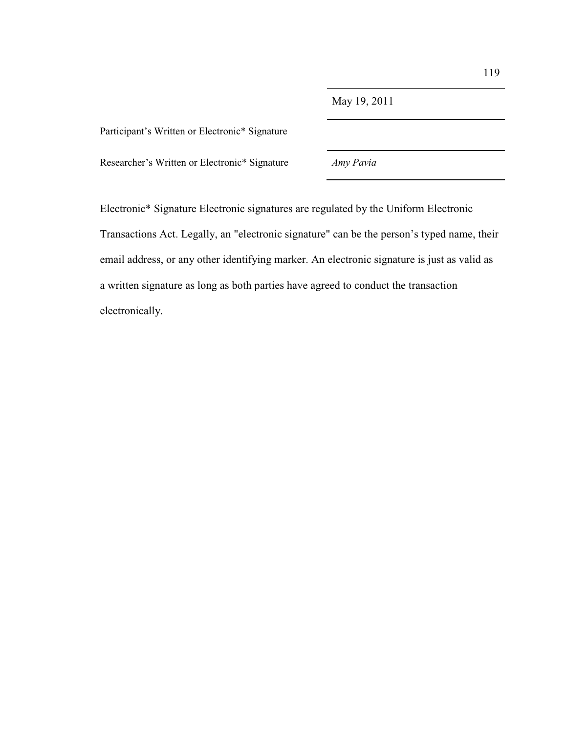Participant's Written or Electronic\* Signature

Researcher's Written or Electronic\* Signature *Amy Pavia*

Electronic\* Signature Electronic signatures are regulated by the Uniform Electronic Transactions Act. Legally, an "electronic signature" can be the person's typed name, their email address, or any other identifying marker. An electronic signature is just as valid as a written signature as long as both parties have agreed to conduct the transaction electronically.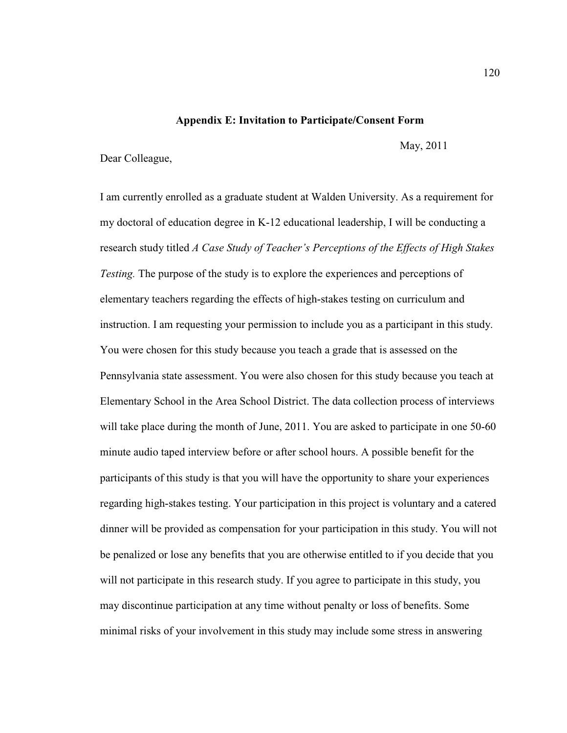### **Appendix E: Invitation to Participate/Consent Form**

May, 2011

### Dear Colleague,

I am currently enrolled as a graduate student at Walden University. As a requirement for my doctoral of education degree in K-12 educational leadership, I will be conducting a research study titled *A Case Study of Teacher's Perceptions of the Effects of High Stakes Testing.* The purpose of the study is to explore the experiences and perceptions of elementary teachers regarding the effects of high-stakes testing on curriculum and instruction. I am requesting your permission to include you as a participant in this study. You were chosen for this study because you teach a grade that is assessed on the Pennsylvania state assessment. You were also chosen for this study because you teach at Elementary School in the Area School District. The data collection process of interviews will take place during the month of June, 2011. You are asked to participate in one 50-60 minute audio taped interview before or after school hours. A possible benefit for the participants of this study is that you will have the opportunity to share your experiences regarding high-stakes testing. Your participation in this project is voluntary and a catered dinner will be provided as compensation for your participation in this study. You will not be penalized or lose any benefits that you are otherwise entitled to if you decide that you will not participate in this research study. If you agree to participate in this study, you may discontinue participation at any time without penalty or loss of benefits. Some minimal risks of your involvement in this study may include some stress in answering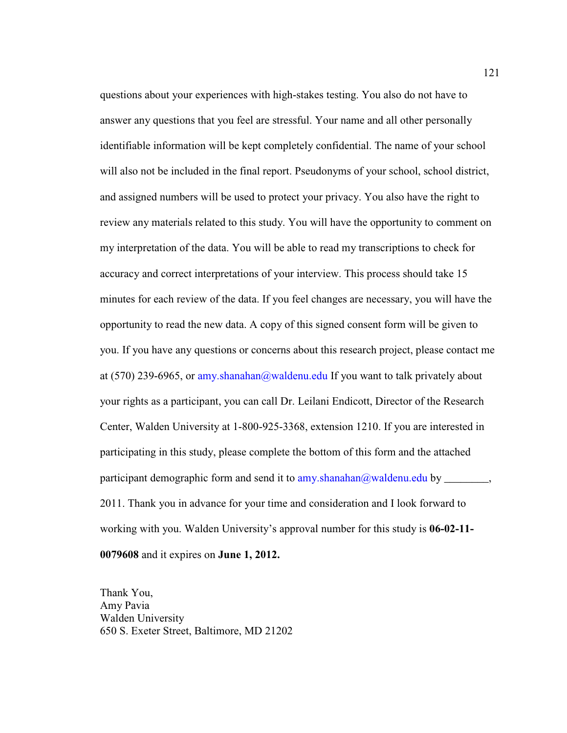questions about your experiences with high-stakes testing. You also do not have to answer any questions that you feel are stressful. Your name and all other personally identifiable information will be kept completely confidential. The name of your school will also not be included in the final report. Pseudonyms of your school, school district, and assigned numbers will be used to protect your privacy. You also have the right to review any materials related to this study. You will have the opportunity to comment on my interpretation of the data. You will be able to read my transcriptions to check for accuracy and correct interpretations of your interview. This process should take 15 minutes for each review of the data. If you feel changes are necessary, you will have the opportunity to read the new data. A copy of this signed consent form will be given to you. If you have any questions or concerns about this research project, please contact me at  $(570)$  239-6965, or amy.shanahan@waldenu.edu If you want to talk privately about your rights as a participant, you can call Dr. Leilani Endicott, Director of the Research Center, Walden University at 1-800-925-3368, extension 1210. If you are interested in participating in this study, please complete the bottom of this form and the attached participant demographic form and send it to amy.shanahan@waldenu.edu by \_\_\_\_\_\_\_, 2011. Thank you in advance for your time and consideration and I look forward to working with you. Walden University's approval number for this study is **06-02-11- 0079608** and it expires on **June 1, 2012.**

Thank You, Amy Pavia Walden University 650 S. Exeter Street, Baltimore, MD 21202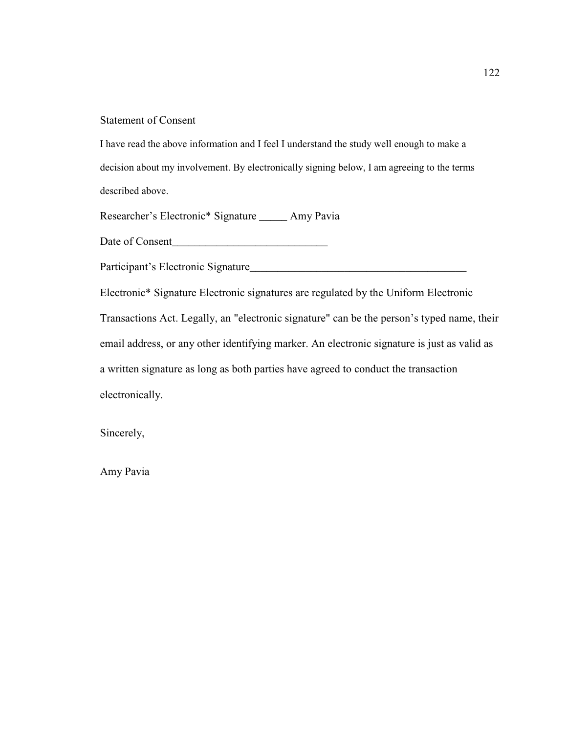# Statement of Consent

I have read the above information and I feel I understand the study well enough to make a decision about my involvement. By electronically signing below, I am agreeing to the terms described above.

Researcher's Electronic\* Signature \_\_\_\_\_ Amy Pavia

Date of Consent

Participant's Electronic Signature\_\_\_\_\_\_\_\_\_\_\_\_\_\_\_\_\_\_\_\_\_\_\_\_\_\_\_\_\_\_\_\_\_\_\_\_\_\_\_

Electronic\* Signature Electronic signatures are regulated by the Uniform Electronic Transactions Act. Legally, an "electronic signature" can be the person's typed name, their email address, or any other identifying marker. An electronic signature is just as valid as a written signature as long as both parties have agreed to conduct the transaction electronically.

Sincerely,

Amy Pavia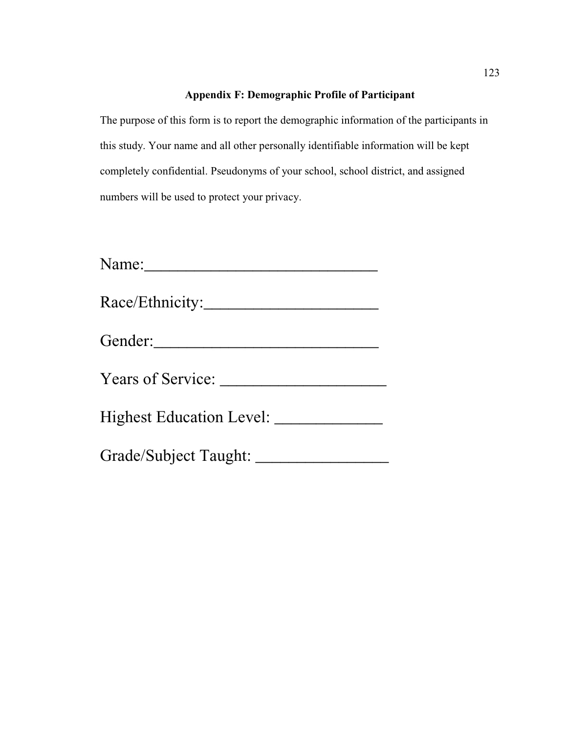# **Appendix F: Demographic Profile of Participant**

The purpose of this form is to report the demographic information of the participants in this study. Your name and all other personally identifiable information will be kept completely confidential. Pseudonyms of your school, school district, and assigned numbers will be used to protect your privacy.

| Gender:               |
|-----------------------|
| Years of Service:     |
|                       |
| Grade/Subject Taught: |